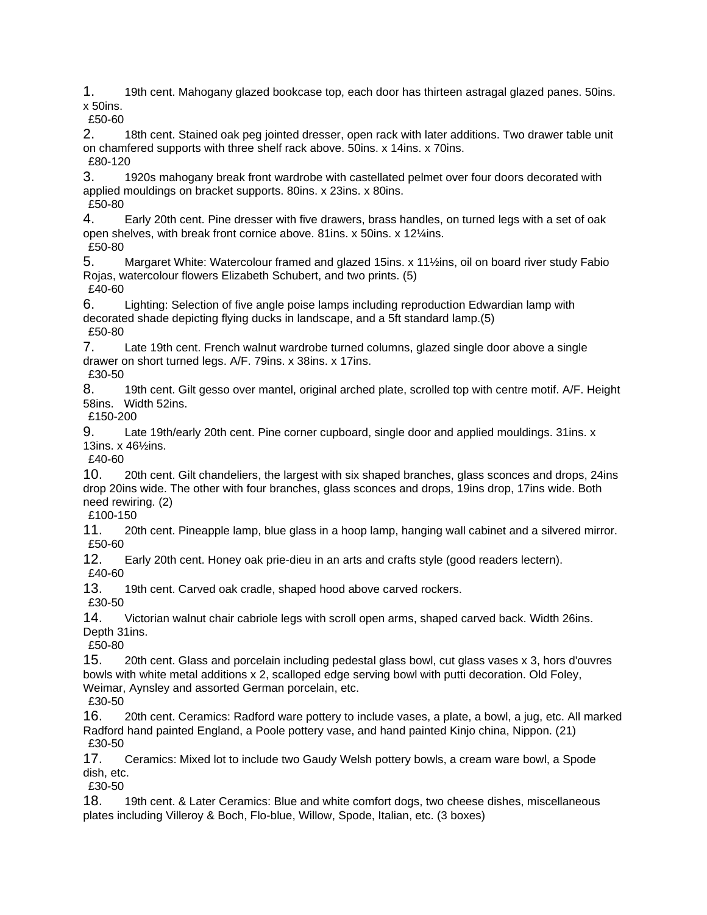1. 19th cent. Mahogany glazed bookcase top, each door has thirteen astragal glazed panes. 50ins. x 50ins.

£50-60

2. 18th cent. Stained oak peg jointed dresser, open rack with later additions. Two drawer table unit on chamfered supports with three shelf rack above. 50ins. x 14ins. x 70ins. £80-120

3. 1920s mahogany break front wardrobe with castellated pelmet over four doors decorated with applied mouldings on bracket supports. 80ins. x 23ins. x 80ins.

£50-80

4. Early 20th cent. Pine dresser with five drawers, brass handles, on turned legs with a set of oak open shelves, with break front cornice above. 81ins. x 50ins. x 12¼ins. £50-80

5. Margaret White: Watercolour framed and glazed 15ins. x 11½ins, oil on board river study Fabio Rojas, watercolour flowers Elizabeth Schubert, and two prints. (5) £40-60

6. Lighting: Selection of five angle poise lamps including reproduction Edwardian lamp with decorated shade depicting flying ducks in landscape, and a 5ft standard lamp.(5) £50-80

7. Late 19th cent. French walnut wardrobe turned columns, glazed single door above a single drawer on short turned legs. A/F. 79ins. x 38ins. x 17ins.

£30-50

8. 19th cent. Gilt gesso over mantel, original arched plate, scrolled top with centre motif. A/F. Height 58ins. Width 52ins.

£150-200

9. Late 19th/early 20th cent. Pine corner cupboard, single door and applied mouldings. 31ins. x 13ins. x 46½ins.

£40-60

10. 20th cent. Gilt chandeliers, the largest with six shaped branches, glass sconces and drops, 24ins drop 20ins wide. The other with four branches, glass sconces and drops, 19ins drop, 17ins wide. Both need rewiring. (2)

£100-150

11. 20th cent. Pineapple lamp, blue glass in a hoop lamp, hanging wall cabinet and a silvered mirror. £50-60

12. Early 20th cent. Honey oak prie-dieu in an arts and crafts style (good readers lectern). £40-60

13. 19th cent. Carved oak cradle, shaped hood above carved rockers.

£30-50

14. Victorian walnut chair cabriole legs with scroll open arms, shaped carved back. Width 26ins. Depth 31ins.

£50-80

15. 20th cent. Glass and porcelain including pedestal glass bowl, cut glass vases x 3, hors d'ouvres bowls with white metal additions x 2, scalloped edge serving bowl with putti decoration. Old Foley, Weimar, Aynsley and assorted German porcelain, etc.

£30-50

16. 20th cent. Ceramics: Radford ware pottery to include vases, a plate, a bowl, a jug, etc. All marked Radford hand painted England, a Poole pottery vase, and hand painted Kinjo china, Nippon. (21) £30-50

17. Ceramics: Mixed lot to include two Gaudy Welsh pottery bowls, a cream ware bowl, a Spode dish, etc.

£30-50

18. 19th cent. & Later Ceramics: Blue and white comfort dogs, two cheese dishes, miscellaneous plates including Villeroy & Boch, Flo-blue, Willow, Spode, Italian, etc. (3 boxes)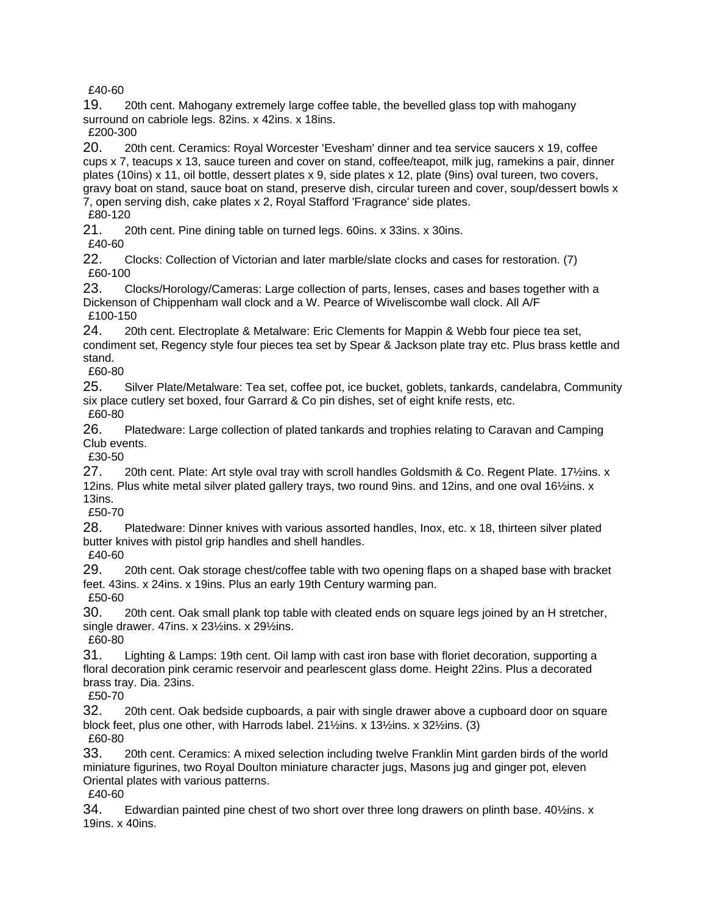£40-60

19. 20th cent. Mahogany extremely large coffee table, the bevelled glass top with mahogany surround on cabriole legs. 82ins. x 42ins. x 18ins.

£200-300

20. 20th cent. Ceramics: Royal Worcester 'Evesham' dinner and tea service saucers x 19, coffee cups x 7, teacups x 13, sauce tureen and cover on stand, coffee/teapot, milk jug, ramekins a pair, dinner plates (10ins) x 11, oil bottle, dessert plates x 9, side plates x 12, plate (9ins) oval tureen, two covers, gravy boat on stand, sauce boat on stand, preserve dish, circular tureen and cover, soup/dessert bowls x 7, open serving dish, cake plates x 2, Royal Stafford 'Fragrance' side plates.

£80-120

21. 20th cent. Pine dining table on turned legs. 60ins. x 33ins. x 30ins.

£40-60

22. Clocks: Collection of Victorian and later marble/slate clocks and cases for restoration. (7) £60-100

23. Clocks/Horology/Cameras: Large collection of parts, lenses, cases and bases together with a Dickenson of Chippenham wall clock and a W. Pearce of Wiveliscombe wall clock. All A/F £100-150

24. 20th cent. Electroplate & Metalware: Eric Clements for Mappin & Webb four piece tea set, condiment set, Regency style four pieces tea set by Spear & Jackson plate tray etc. Plus brass kettle and stand.

£60-80

25. Silver Plate/Metalware: Tea set, coffee pot, ice bucket, goblets, tankards, candelabra, Community six place cutlery set boxed, four Garrard & Co pin dishes, set of eight knife rests, etc. £60-80

26. Platedware: Large collection of plated tankards and trophies relating to Caravan and Camping Club events.

£30-50

27. 20th cent. Plate: Art style oval tray with scroll handles Goldsmith & Co. Regent Plate. 17 $\frac{1}{2}$ ins. x 12ins. Plus white metal silver plated gallery trays, two round 9ins. and 12ins, and one oval 16½ins. x 13ins.

£50-70

28. Platedware: Dinner knives with various assorted handles, Inox, etc. x 18, thirteen silver plated butter knives with pistol grip handles and shell handles.

£40-60

29. 20th cent. Oak storage chest/coffee table with two opening flaps on a shaped base with bracket feet. 43ins. x 24ins. x 19ins. Plus an early 19th Century warming pan. £50-60

30. 20th cent. Oak small plank top table with cleated ends on square legs joined by an H stretcher, single drawer. 47ins. x 23½ins. x 29½ins.

£60-80

31. Lighting & Lamps: 19th cent. Oil lamp with cast iron base with floriet decoration, supporting a floral decoration pink ceramic reservoir and pearlescent glass dome. Height 22ins. Plus a decorated brass tray. Dia. 23ins.

£50-70

32. 20th cent. Oak bedside cupboards, a pair with single drawer above a cupboard door on square block feet, plus one other, with Harrods label. 21½ins. x 13½ins. x 32½ins. (3) £60-80

33. 20th cent. Ceramics: A mixed selection including twelve Franklin Mint garden birds of the world miniature figurines, two Royal Doulton miniature character jugs, Masons jug and ginger pot, eleven Oriental plates with various patterns.

£40-60

34. Edwardian painted pine chest of two short over three long drawers on plinth base.  $40\frac{1}{2}$ ins. x 19ins. x 40ins.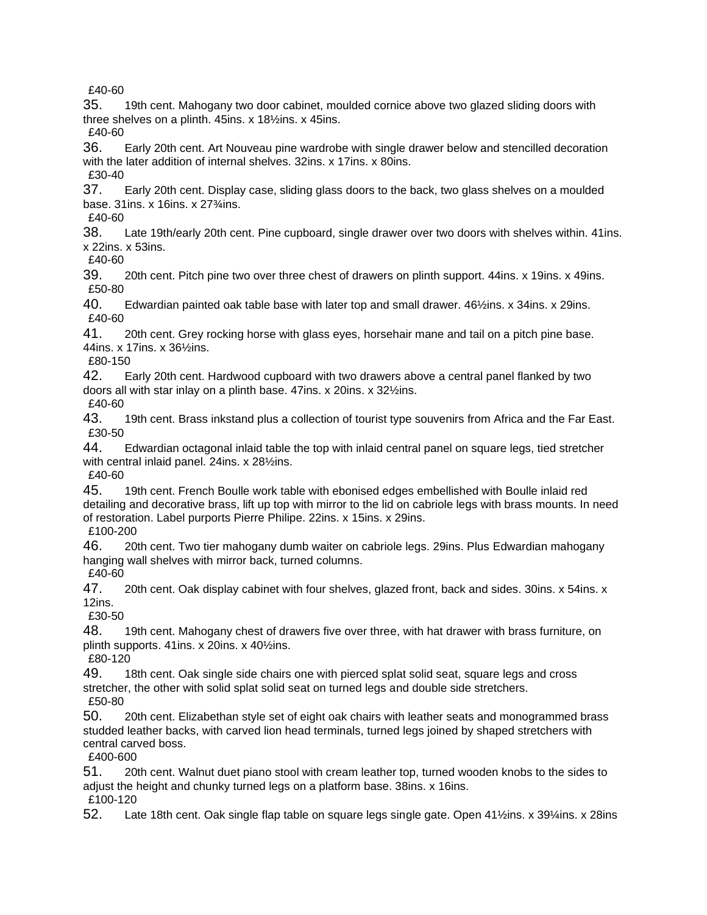£40-60

35. 19th cent. Mahogany two door cabinet, moulded cornice above two glazed sliding doors with three shelves on a plinth. 45ins. x 18½ins. x 45ins.

£40-60

36. Early 20th cent. Art Nouveau pine wardrobe with single drawer below and stencilled decoration with the later addition of internal shelves. 32ins. x 17ins. x 80ins. £30-40

37. Early 20th cent. Display case, sliding glass doors to the back, two glass shelves on a moulded base. 31ins. x 16ins. x 27¾ins.

£40-60

38. Late 19th/early 20th cent. Pine cupboard, single drawer over two doors with shelves within. 41ins. x 22ins. x 53ins.

£40-60

39. 20th cent. Pitch pine two over three chest of drawers on plinth support. 44ins. x 19ins. x 49ins. £50-80

40. Edwardian painted oak table base with later top and small drawer. 46½ins. x 34ins. x 29ins. £40-60

41. 20th cent. Grey rocking horse with glass eyes, horsehair mane and tail on a pitch pine base. 44ins. x 17ins. x 36½ins.

£80-150

42. Early 20th cent. Hardwood cupboard with two drawers above a central panel flanked by two doors all with star inlay on a plinth base. 47ins. x 20ins. x 32½ins.

£40-60

43. 19th cent. Brass inkstand plus a collection of tourist type souvenirs from Africa and the Far East. £30-50

44. Edwardian octagonal inlaid table the top with inlaid central panel on square legs, tied stretcher with central inlaid panel. 24ins. x 28½ins.

£40-60

45. 19th cent. French Boulle work table with ebonised edges embellished with Boulle inlaid red detailing and decorative brass, lift up top with mirror to the lid on cabriole legs with brass mounts. In need of restoration. Label purports Pierre Philipe. 22ins. x 15ins. x 29ins.

£100-200

46. 20th cent. Two tier mahogany dumb waiter on cabriole legs. 29ins. Plus Edwardian mahogany hanging wall shelves with mirror back, turned columns.

£40-60

47. 20th cent. Oak display cabinet with four shelves, glazed front, back and sides. 30ins. x 54ins. x 12ins.

£30-50

48. 19th cent. Mahogany chest of drawers five over three, with hat drawer with brass furniture, on plinth supports. 41ins. x 20ins. x 40½ins.

£80-120

49. 18th cent. Oak single side chairs one with pierced splat solid seat, square legs and cross stretcher, the other with solid splat solid seat on turned legs and double side stretchers. £50-80

50. 20th cent. Elizabethan style set of eight oak chairs with leather seats and monogrammed brass studded leather backs, with carved lion head terminals, turned legs joined by shaped stretchers with central carved boss.

£400-600

51. 20th cent. Walnut duet piano stool with cream leather top, turned wooden knobs to the sides to adjust the height and chunky turned legs on a platform base. 38ins. x 16ins. £100-120

52. Late 18th cent. Oak single flap table on square legs single gate. Open 41½ins. x 39¼ins. x 28ins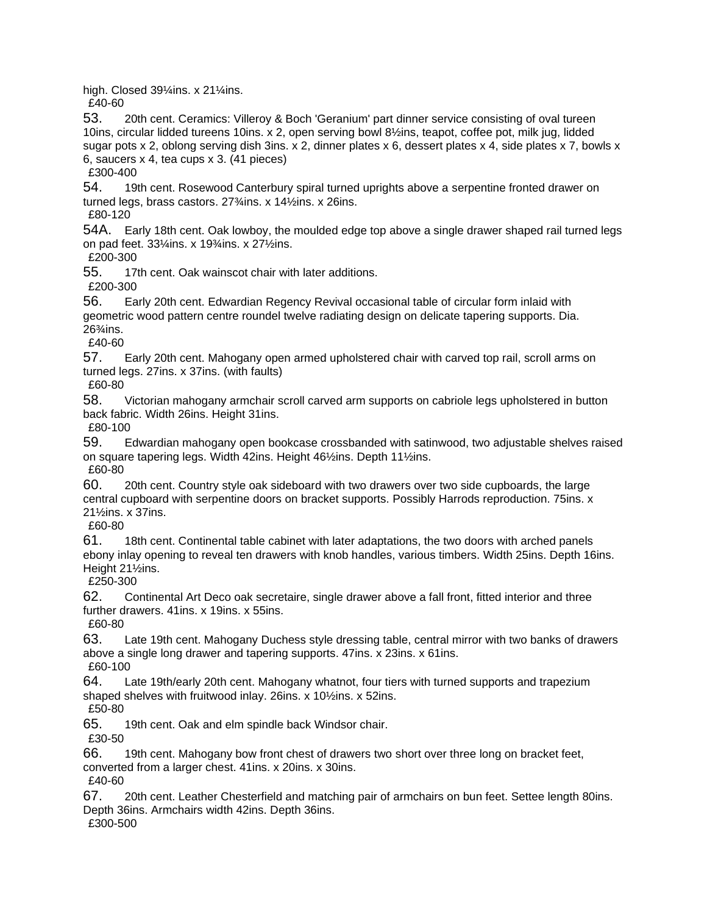high. Closed 39¼ins. x 21¼ins.

£40-60

53. 20th cent. Ceramics: Villeroy & Boch 'Geranium' part dinner service consisting of oval tureen 10ins, circular lidded tureens 10ins. x 2, open serving bowl 8½ins, teapot, coffee pot, milk jug, lidded sugar pots x 2, oblong serving dish 3ins. x 2, dinner plates x 6, dessert plates x 4, side plates x 7, bowls x 6, saucers x 4, tea cups x 3. (41 pieces)

£300-400

54. 19th cent. Rosewood Canterbury spiral turned uprights above a serpentine fronted drawer on turned legs, brass castors. 27¾ins. x 14½ins. x 26ins.

£80-120

54A. Early 18th cent. Oak lowboy, the moulded edge top above a single drawer shaped rail turned legs on pad feet. 33¼ins. x 19¾ins. x 27½ins.

£200-300

55. 17th cent. Oak wainscot chair with later additions.

£200-300

56. Early 20th cent. Edwardian Regency Revival occasional table of circular form inlaid with geometric wood pattern centre roundel twelve radiating design on delicate tapering supports. Dia. 26¾ins.

£40-60

57. Early 20th cent. Mahogany open armed upholstered chair with carved top rail, scroll arms on turned legs. 27ins. x 37ins. (with faults)

£60-80

58. Victorian mahogany armchair scroll carved arm supports on cabriole legs upholstered in button back fabric. Width 26ins. Height 31ins.

£80-100

59. Edwardian mahogany open bookcase crossbanded with satinwood, two adjustable shelves raised on square tapering legs. Width 42ins. Height 46½ins. Depth 11½ins.

£60-80

60. 20th cent. Country style oak sideboard with two drawers over two side cupboards, the large central cupboard with serpentine doors on bracket supports. Possibly Harrods reproduction. 75ins. x 21½ins. x 37ins.

£60-80

61. 18th cent. Continental table cabinet with later adaptations, the two doors with arched panels ebony inlay opening to reveal ten drawers with knob handles, various timbers. Width 25ins. Depth 16ins. Height 21½ins.

£250-300

62. Continental Art Deco oak secretaire, single drawer above a fall front, fitted interior and three further drawers. 41ins. x 19ins. x 55ins.

£60-80

63. Late 19th cent. Mahogany Duchess style dressing table, central mirror with two banks of drawers above a single long drawer and tapering supports. 47ins. x 23ins. x 61ins. £60-100

64. Late 19th/early 20th cent. Mahogany whatnot, four tiers with turned supports and trapezium shaped shelves with fruitwood inlay. 26ins. x 10½ins. x 52ins.

£50-80

65. 19th cent. Oak and elm spindle back Windsor chair.

£30-50

66. 19th cent. Mahogany bow front chest of drawers two short over three long on bracket feet, converted from a larger chest. 41ins. x 20ins. x 30ins.

£40-60

67. 20th cent. Leather Chesterfield and matching pair of armchairs on bun feet. Settee length 80ins. Depth 36ins. Armchairs width 42ins. Depth 36ins.

£300-500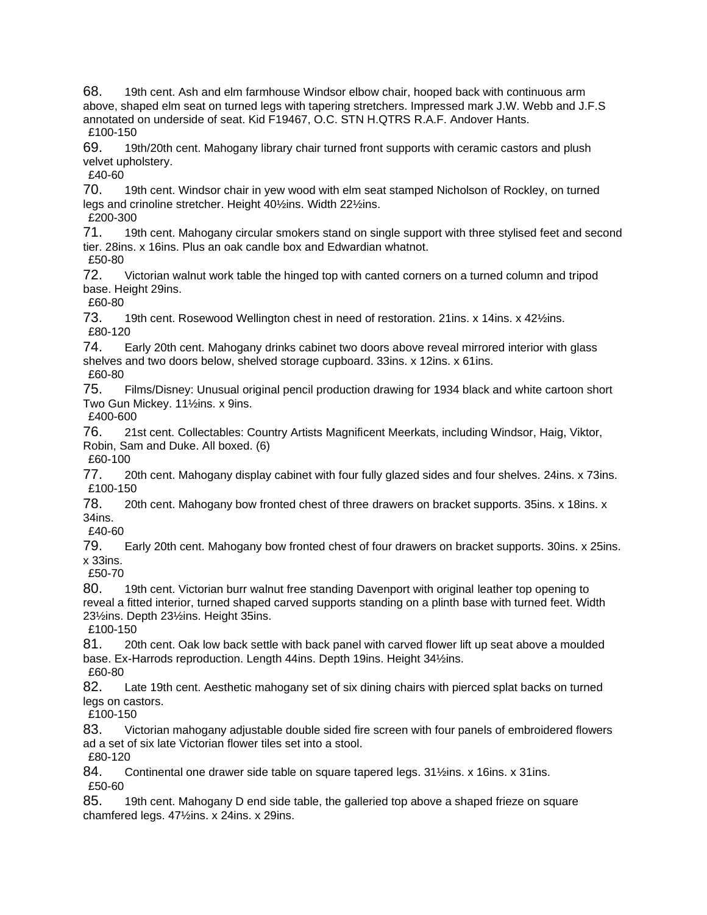68. 19th cent. Ash and elm farmhouse Windsor elbow chair, hooped back with continuous arm above, shaped elm seat on turned legs with tapering stretchers. Impressed mark J.W. Webb and J.F.S annotated on underside of seat. Kid F19467, O.C. STN H.QTRS R.A.F. Andover Hants. £100-150

69. 19th/20th cent. Mahogany library chair turned front supports with ceramic castors and plush velvet upholstery.

£40-60

70. 19th cent. Windsor chair in yew wood with elm seat stamped Nicholson of Rockley, on turned legs and crinoline stretcher. Height 40½ins. Width 22½ins.

£200-300

71. 19th cent. Mahogany circular smokers stand on single support with three stylised feet and second tier. 28ins. x 16ins. Plus an oak candle box and Edwardian whatnot.

£50-80

72. Victorian walnut work table the hinged top with canted corners on a turned column and tripod base. Height 29ins.

£60-80

73. 19th cent. Rosewood Wellington chest in need of restoration. 21ins. x 14ins. x 421/2ins. £80-120

74. Early 20th cent. Mahogany drinks cabinet two doors above reveal mirrored interior with glass shelves and two doors below, shelved storage cupboard. 33ins. x 12ins. x 61ins. £60-80

75. Films/Disney: Unusual original pencil production drawing for 1934 black and white cartoon short Two Gun Mickey. 11½ins. x 9ins.

£400-600

76. 21st cent. Collectables: Country Artists Magnificent Meerkats, including Windsor, Haig, Viktor, Robin, Sam and Duke. All boxed. (6)

£60-100

77. 20th cent. Mahogany display cabinet with four fully glazed sides and four shelves. 24ins. x 73ins. £100-150

78. 20th cent. Mahogany bow fronted chest of three drawers on bracket supports. 35ins. x 18ins. x 34ins.

£40-60

79. Early 20th cent. Mahogany bow fronted chest of four drawers on bracket supports. 30ins. x 25ins. x 33ins.

£50-70

80. 19th cent. Victorian burr walnut free standing Davenport with original leather top opening to reveal a fitted interior, turned shaped carved supports standing on a plinth base with turned feet. Width 23½ins. Depth 23½ins. Height 35ins.

£100-150

81. 20th cent. Oak low back settle with back panel with carved flower lift up seat above a moulded base. Ex-Harrods reproduction. Length 44ins. Depth 19ins. Height 34½ins. £60-80

82. Late 19th cent. Aesthetic mahogany set of six dining chairs with pierced splat backs on turned

legs on castors.

£100-150

83. Victorian mahogany adjustable double sided fire screen with four panels of embroidered flowers ad a set of six late Victorian flower tiles set into a stool.

£80-120

84. Continental one drawer side table on square tapered legs. 31½ins. x 16ins. x 31ins. £50-60

85. 19th cent. Mahogany D end side table, the galleried top above a shaped frieze on square chamfered legs. 47½ins. x 24ins. x 29ins.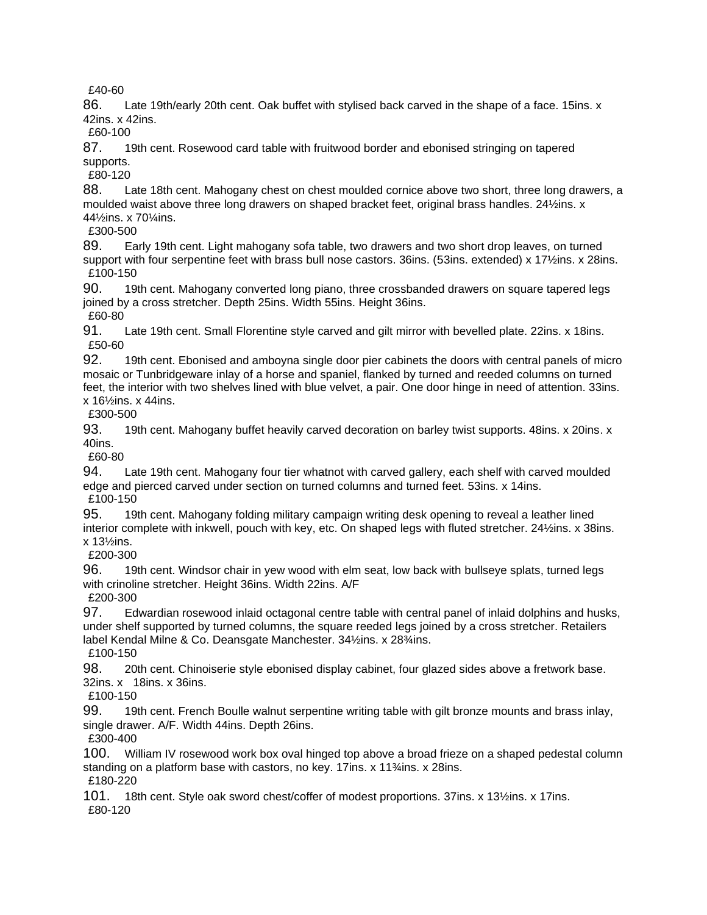£40-60

86. Late 19th/early 20th cent. Oak buffet with stylised back carved in the shape of a face. 15ins. x 42ins. x 42ins.

£60-100

87. 19th cent. Rosewood card table with fruitwood border and ebonised stringing on tapered supports.

£80-120

88. Late 18th cent. Mahogany chest on chest moulded cornice above two short, three long drawers, a moulded waist above three long drawers on shaped bracket feet, original brass handles. 24½ins. x 44½ins. x 70¼ins.

£300-500

89. Early 19th cent. Light mahogany sofa table, two drawers and two short drop leaves, on turned support with four serpentine feet with brass bull nose castors. 36ins. (53ins. extended) x 17½ins. x 28ins. £100-150

90. 19th cent. Mahogany converted long piano, three crossbanded drawers on square tapered legs joined by a cross stretcher. Depth 25ins. Width 55ins. Height 36ins.

£60-80

91. Late 19th cent. Small Florentine style carved and gilt mirror with bevelled plate. 22ins. x 18ins. £50-60

92. 19th cent. Ebonised and amboyna single door pier cabinets the doors with central panels of micro mosaic or Tunbridgeware inlay of a horse and spaniel, flanked by turned and reeded columns on turned feet, the interior with two shelves lined with blue velvet, a pair. One door hinge in need of attention. 33ins. x 16½ins. x 44ins.

£300-500

93. 19th cent. Mahogany buffet heavily carved decoration on barley twist supports. 48ins. x 20ins. x 40ins.

£60-80

94. Late 19th cent. Mahogany four tier whatnot with carved gallery, each shelf with carved moulded edge and pierced carved under section on turned columns and turned feet. 53ins. x 14ins. £100-150

95. 19th cent. Mahogany folding military campaign writing desk opening to reveal a leather lined interior complete with inkwell, pouch with key, etc. On shaped legs with fluted stretcher. 24½ins. x 38ins.

x 13½ins.

£200-300

96. 19th cent. Windsor chair in yew wood with elm seat, low back with bullseye splats, turned legs with crinoline stretcher. Height 36ins. Width 22ins. A/F £200-300

97. Edwardian rosewood inlaid octagonal centre table with central panel of inlaid dolphins and husks, under shelf supported by turned columns, the square reeded legs joined by a cross stretcher. Retailers label Kendal Milne & Co. Deansgate Manchester. 34½ins. x 28¾ins.

£100-150

98. 20th cent. Chinoiserie style ebonised display cabinet, four glazed sides above a fretwork base. 32ins. x 18ins. x 36ins.

£100-150

99. 19th cent. French Boulle walnut serpentine writing table with gilt bronze mounts and brass inlay, single drawer. A/F. Width 44ins. Depth 26ins.

£300-400

100. William IV rosewood work box oval hinged top above a broad frieze on a shaped pedestal column standing on a platform base with castors, no key. 17ins. x 11¼ins. x 28ins. £180-220

101. 18th cent. Style oak sword chest/coffer of modest proportions. 37ins. x 13½ins. x 17ins. £80-120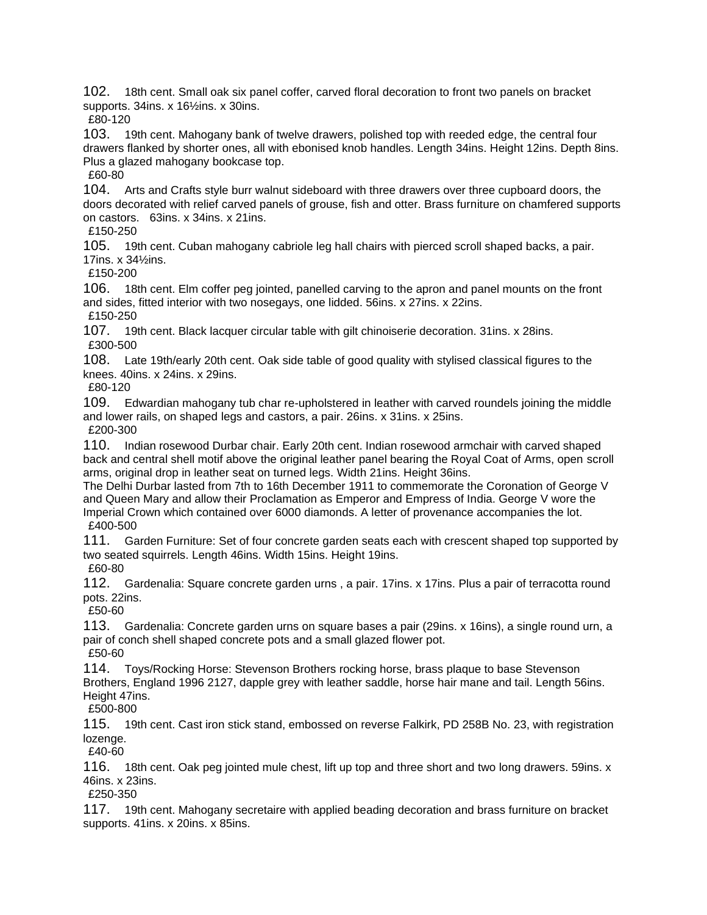102. 18th cent. Small oak six panel coffer, carved floral decoration to front two panels on bracket supports. 34ins. x 16½ins. x 30ins.

£80-120

103. 19th cent. Mahogany bank of twelve drawers, polished top with reeded edge, the central four drawers flanked by shorter ones, all with ebonised knob handles. Length 34ins. Height 12ins. Depth 8ins. Plus a glazed mahogany bookcase top.

£60-80

104. Arts and Crafts style burr walnut sideboard with three drawers over three cupboard doors, the doors decorated with relief carved panels of grouse, fish and otter. Brass furniture on chamfered supports on castors. 63ins. x 34ins. x 21ins.

£150-250

105. 19th cent. Cuban mahogany cabriole leg hall chairs with pierced scroll shaped backs, a pair. 17ins. x 34½ins.

£150-200

106. 18th cent. Elm coffer peg jointed, panelled carving to the apron and panel mounts on the front and sides, fitted interior with two nosegays, one lidded. 56ins. x 27ins. x 22ins. £150-250

107. 19th cent. Black lacquer circular table with gilt chinoiserie decoration. 31ins. x 28ins. £300-500

108. Late 19th/early 20th cent. Oak side table of good quality with stylised classical figures to the knees. 40ins. x 24ins. x 29ins.

£80-120

109. Edwardian mahogany tub char re-upholstered in leather with carved roundels joining the middle and lower rails, on shaped legs and castors, a pair. 26ins. x 31ins. x 25ins.

£200-300

110. Indian rosewood Durbar chair. Early 20th cent. Indian rosewood armchair with carved shaped back and central shell motif above the original leather panel bearing the Royal Coat of Arms, open scroll arms, original drop in leather seat on turned legs. Width 21ins. Height 36ins.

The Delhi Durbar lasted from 7th to 16th December 1911 to commemorate the Coronation of George V and Queen Mary and allow their Proclamation as Emperor and Empress of India. George V wore the Imperial Crown which contained over 6000 diamonds. A letter of provenance accompanies the lot. £400-500

111. Garden Furniture: Set of four concrete garden seats each with crescent shaped top supported by two seated squirrels. Length 46ins. Width 15ins. Height 19ins.

£60-80

112. Gardenalia: Square concrete garden urns , a pair. 17ins. x 17ins. Plus a pair of terracotta round pots. 22ins.

£50-60

113. Gardenalia: Concrete garden urns on square bases a pair (29ins. x 16ins), a single round urn, a pair of conch shell shaped concrete pots and a small glazed flower pot. £50-60

114. Toys/Rocking Horse: Stevenson Brothers rocking horse, brass plaque to base Stevenson Brothers, England 1996 2127, dapple grey with leather saddle, horse hair mane and tail. Length 56ins. Height 47ins.

£500-800

115. 19th cent. Cast iron stick stand, embossed on reverse Falkirk, PD 258B No. 23, with registration lozenge.

£40-60

116. 18th cent. Oak peg jointed mule chest, lift up top and three short and two long drawers. 59ins. x 46ins. x 23ins.

£250-350

117. 19th cent. Mahogany secretaire with applied beading decoration and brass furniture on bracket supports. 41ins. x 20ins. x 85ins.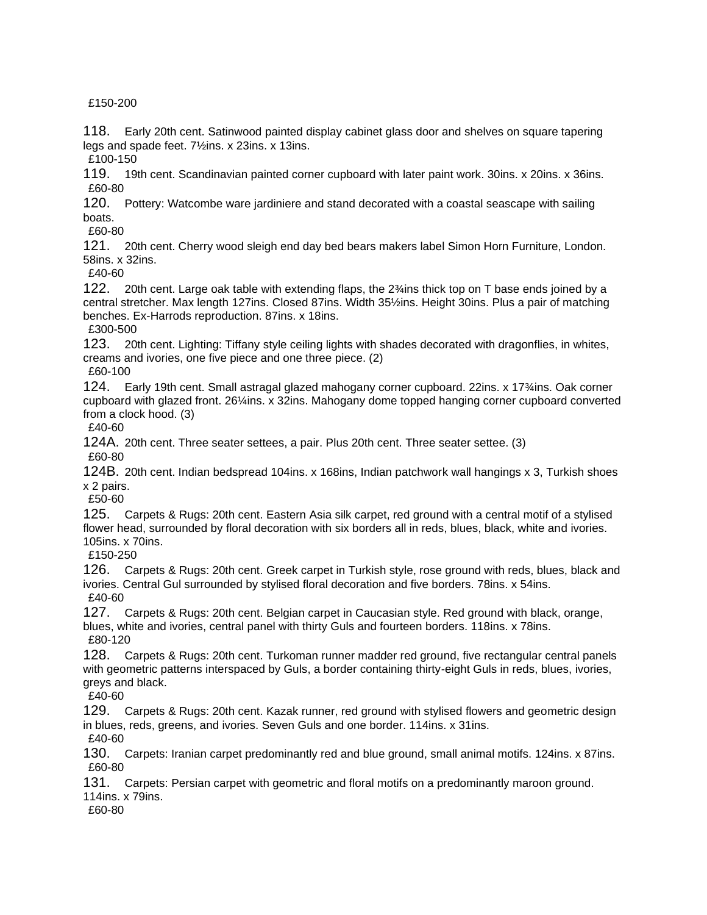£150-200

118. Early 20th cent. Satinwood painted display cabinet glass door and shelves on square tapering legs and spade feet. 7½ins. x 23ins. x 13ins.

£100-150

119. 19th cent. Scandinavian painted corner cupboard with later paint work. 30ins. x 20ins. x 36ins. £60-80

120. Pottery: Watcombe ware jardiniere and stand decorated with a coastal seascape with sailing boats.

£60-80

121. 20th cent. Cherry wood sleigh end day bed bears makers label Simon Horn Furniture, London. 58ins. x 32ins.

£40-60

122. 20th cent. Large oak table with extending flaps, the 2¾ins thick top on T base ends joined by a central stretcher. Max length 127ins. Closed 87ins. Width 35½ins. Height 30ins. Plus a pair of matching benches. Ex-Harrods reproduction. 87ins. x 18ins.

£300-500

123. 20th cent. Lighting: Tiffany style ceiling lights with shades decorated with dragonflies, in whites, creams and ivories, one five piece and one three piece. (2)

£60-100

124. Early 19th cent. Small astragal glazed mahogany corner cupboard. 22ins. x 17¾ins. Oak corner cupboard with glazed front. 26¼ins. x 32ins. Mahogany dome topped hanging corner cupboard converted from a clock hood. (3)

£40-60

124A. 20th cent. Three seater settees, a pair. Plus 20th cent. Three seater settee. (3) £60-80

124B. 20th cent. Indian bedspread 104ins. x 168ins, Indian patchwork wall hangings x 3, Turkish shoes x 2 pairs.

£50-60

125. Carpets & Rugs: 20th cent. Eastern Asia silk carpet, red ground with a central motif of a stylised flower head, surrounded by floral decoration with six borders all in reds, blues, black, white and ivories. 105ins. x 70ins.

£150-250

126. Carpets & Rugs: 20th cent. Greek carpet in Turkish style, rose ground with reds, blues, black and ivories. Central Gul surrounded by stylised floral decoration and five borders. 78ins. x 54ins. £40-60

127. Carpets & Rugs: 20th cent. Belgian carpet in Caucasian style. Red ground with black, orange, blues, white and ivories, central panel with thirty Guls and fourteen borders. 118ins. x 78ins. £80-120

128. Carpets & Rugs: 20th cent. Turkoman runner madder red ground, five rectangular central panels with geometric patterns interspaced by Guls, a border containing thirty-eight Guls in reds, blues, ivories, greys and black.

£40-60

129. Carpets & Rugs: 20th cent. Kazak runner, red ground with stylised flowers and geometric design in blues, reds, greens, and ivories. Seven Guls and one border. 114ins. x 31ins.

£40-60

130. Carpets: Iranian carpet predominantly red and blue ground, small animal motifs. 124ins. x 87ins. £60-80

131. Carpets: Persian carpet with geometric and floral motifs on a predominantly maroon ground. 114ins. x 79ins.

£60-80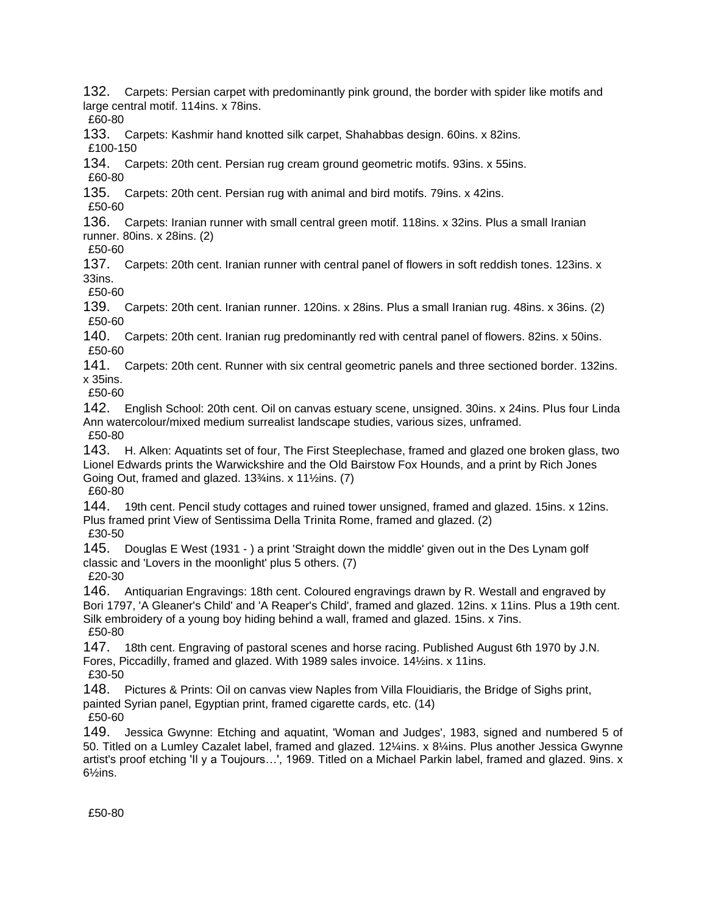132. Carpets: Persian carpet with predominantly pink ground, the border with spider like motifs and large central motif. 114ins. x 78ins.

£60-80

133. Carpets: Kashmir hand knotted silk carpet, Shahabbas design. 60ins. x 82ins. £100-150

134. Carpets: 20th cent. Persian rug cream ground geometric motifs. 93ins. x 55ins.

£60-80

135. Carpets: 20th cent. Persian rug with animal and bird motifs. 79ins. x 42ins. £50-60

136. Carpets: Iranian runner with small central green motif. 118ins. x 32ins. Plus a small Iranian runner. 80ins. x 28ins. (2)

£50-60

137. Carpets: 20th cent. Iranian runner with central panel of flowers in soft reddish tones. 123ins. x 33ins.

£50-60

139. Carpets: 20th cent. Iranian runner. 120ins. x 28ins. Plus a small Iranian rug. 48ins. x 36ins. (2) £50-60

140. Carpets: 20th cent. Iranian rug predominantly red with central panel of flowers. 82ins. x 50ins. £50-60

141. Carpets: 20th cent. Runner with six central geometric panels and three sectioned border. 132ins. x 35ins.

£50-60

142. English School: 20th cent. Oil on canvas estuary scene, unsigned. 30ins. x 24ins. Plus four Linda Ann watercolour/mixed medium surrealist landscape studies, various sizes, unframed. £50-80

143. H. Alken: Aquatints set of four, The First Steeplechase, framed and glazed one broken glass, two Lionel Edwards prints the Warwickshire and the Old Bairstow Fox Hounds, and a print by Rich Jones Going Out, framed and glazed. 13¾ins. x 11½ins. (7)

£60-80

144. 19th cent. Pencil study cottages and ruined tower unsigned, framed and glazed. 15ins. x 12ins. Plus framed print View of Sentissima Della Trinita Rome, framed and glazed. (2) £30-50

145. Douglas E West (1931 - ) a print 'Straight down the middle' given out in the Des Lynam golf classic and 'Lovers in the moonlight' plus 5 others. (7) £20-30

146. Antiquarian Engravings: 18th cent. Coloured engravings drawn by R. Westall and engraved by Bori 1797, 'A Gleaner's Child' and 'A Reaper's Child', framed and glazed. 12ins. x 11ins. Plus a 19th cent. Silk embroidery of a young boy hiding behind a wall, framed and glazed. 15ins. x 7ins. £50-80

147. 18th cent. Engraving of pastoral scenes and horse racing. Published August 6th 1970 by J.N. Fores, Piccadilly, framed and glazed. With 1989 sales invoice. 14½ins. x 11ins. £30-50

148. Pictures & Prints: Oil on canvas view Naples from Villa Flouidiaris, the Bridge of Sighs print, painted Syrian panel, Egyptian print, framed cigarette cards, etc. (14)

£50-60

149. Jessica Gwynne: Etching and aquatint, 'Woman and Judges', 1983, signed and numbered 5 of 50. Titled on a Lumley Cazalet label, framed and glazed. 12¼ins. x 8¼ins. Plus another Jessica Gwynne artist's proof etching 'Il y a Toujours…', 1969. Titled on a Michael Parkin label, framed and glazed. 9ins. x 6½ins.

£50-80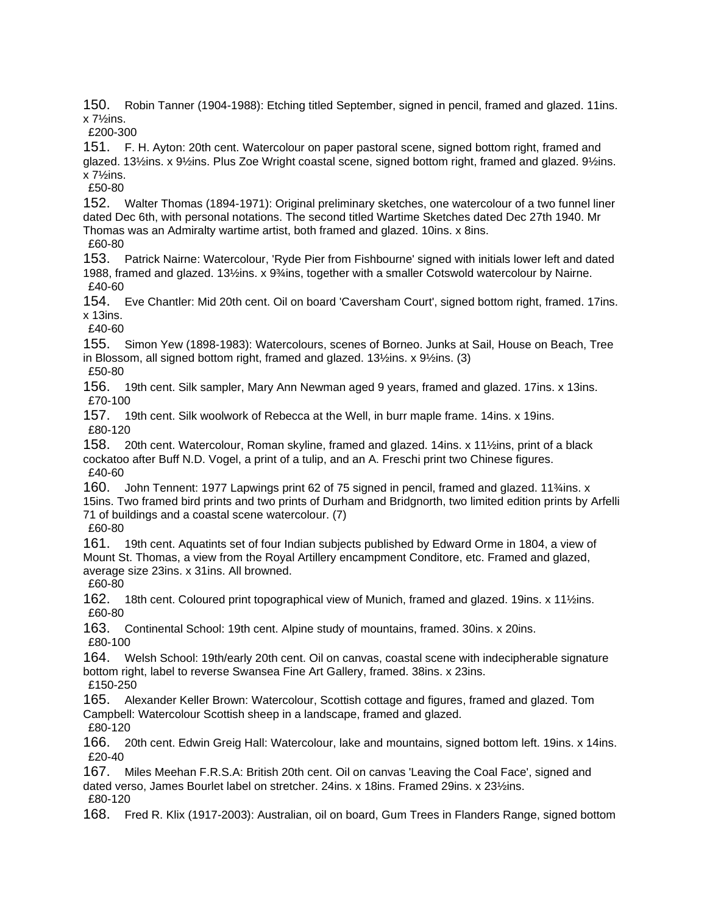150. Robin Tanner (1904-1988): Etching titled September, signed in pencil, framed and glazed. 11ins. x 7½ins.

£200-300

151. F. H. Ayton: 20th cent. Watercolour on paper pastoral scene, signed bottom right, framed and glazed. 13½ins. x 9½ins. Plus Zoe Wright coastal scene, signed bottom right, framed and glazed. 9½ins. x 7½ins.

£50-80

152. Walter Thomas (1894-1971): Original preliminary sketches, one watercolour of a two funnel liner dated Dec 6th, with personal notations. The second titled Wartime Sketches dated Dec 27th 1940. Mr Thomas was an Admiralty wartime artist, both framed and glazed. 10ins. x 8ins.

£60-80

153. Patrick Nairne: Watercolour, 'Ryde Pier from Fishbourne' signed with initials lower left and dated 1988, framed and glazed. 13½ins. x 9¾ins, together with a smaller Cotswold watercolour by Nairne. £40-60

154. Eve Chantler: Mid 20th cent. Oil on board 'Caversham Court', signed bottom right, framed. 17ins. x 13ins.

£40-60

155. Simon Yew (1898-1983): Watercolours, scenes of Borneo. Junks at Sail, House on Beach, Tree in Blossom, all signed bottom right, framed and glazed. 13½ins. x 9½ins. (3) £50-80

156. 19th cent. Silk sampler, Mary Ann Newman aged 9 years, framed and glazed. 17ins. x 13ins. £70-100

157. 19th cent. Silk woolwork of Rebecca at the Well, in burr maple frame. 14ins. x 19ins. £80-120

158. 20th cent. Watercolour, Roman skyline, framed and glazed. 14ins. x 11½ins, print of a black cockatoo after Buff N.D. Vogel, a print of a tulip, and an A. Freschi print two Chinese figures. £40-60

160. John Tennent: 1977 Lapwings print 62 of 75 signed in pencil, framed and glazed. 11¾ins. x 15ins. Two framed bird prints and two prints of Durham and Bridgnorth, two limited edition prints by Arfelli 71 of buildings and a coastal scene watercolour. (7)

£60-80

161. 19th cent. Aquatints set of four Indian subjects published by Edward Orme in 1804, a view of Mount St. Thomas, a view from the Royal Artillery encampment Conditore, etc. Framed and glazed, average size 23ins. x 31ins. All browned.

£60-80

162. 18th cent. Coloured print topographical view of Munich, framed and glazed. 19ins. x 11½ins. £60-80

163. Continental School: 19th cent. Alpine study of mountains, framed. 30ins. x 20ins. £80-100

164. Welsh School: 19th/early 20th cent. Oil on canvas, coastal scene with indecipherable signature bottom right, label to reverse Swansea Fine Art Gallery, framed. 38ins. x 23ins. £150-250

165. Alexander Keller Brown: Watercolour, Scottish cottage and figures, framed and glazed. Tom Campbell: Watercolour Scottish sheep in a landscape, framed and glazed. £80-120

166. 20th cent. Edwin Greig Hall: Watercolour, lake and mountains, signed bottom left. 19ins. x 14ins. £20-40

167. Miles Meehan F.R.S.A: British 20th cent. Oil on canvas 'Leaving the Coal Face', signed and dated verso, James Bourlet label on stretcher. 24ins. x 18ins. Framed 29ins. x 23½ins. £80-120

168. Fred R. Klix (1917-2003): Australian, oil on board, Gum Trees in Flanders Range, signed bottom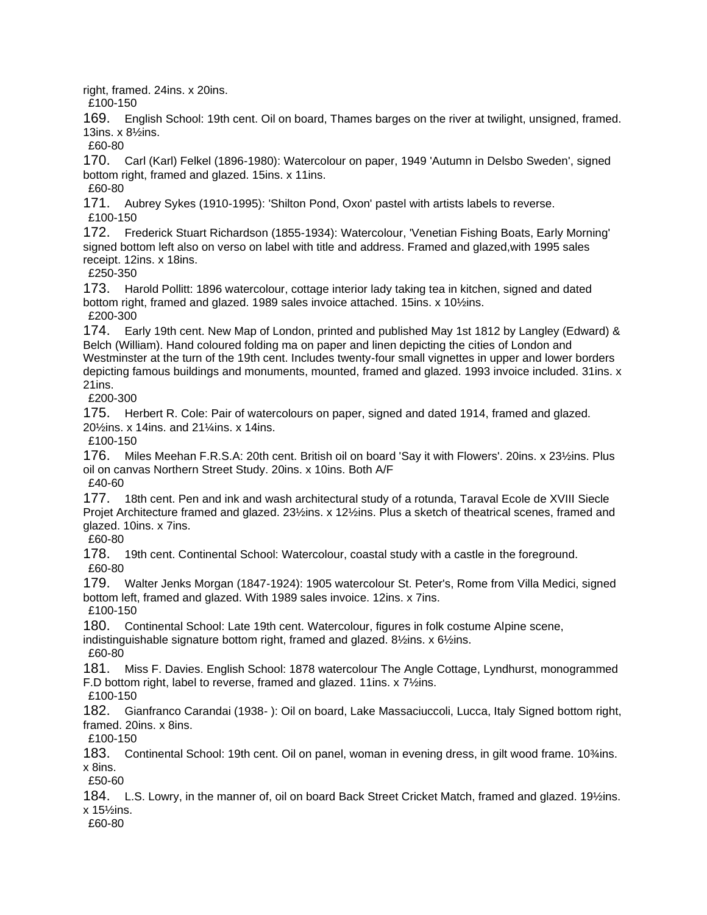right, framed. 24ins. x 20ins.

£100-150

169. English School: 19th cent. Oil on board, Thames barges on the river at twilight, unsigned, framed. 13ins. x 8½ins.

£60-80

170. Carl (Karl) Felkel (1896-1980): Watercolour on paper, 1949 'Autumn in Delsbo Sweden', signed bottom right, framed and glazed. 15ins. x 11ins. £60-80

171. Aubrey Sykes (1910-1995): 'Shilton Pond, Oxon' pastel with artists labels to reverse. £100-150

172. Frederick Stuart Richardson (1855-1934): Watercolour, 'Venetian Fishing Boats, Early Morning' signed bottom left also on verso on label with title and address. Framed and glazed,with 1995 sales receipt. 12ins. x 18ins.

£250-350

173. Harold Pollitt: 1896 watercolour, cottage interior lady taking tea in kitchen, signed and dated bottom right, framed and glazed. 1989 sales invoice attached. 15ins. x 10½ins. £200-300

174. Early 19th cent. New Map of London, printed and published May 1st 1812 by Langley (Edward) & Belch (William). Hand coloured folding ma on paper and linen depicting the cities of London and Westminster at the turn of the 19th cent. Includes twenty-four small vignettes in upper and lower borders depicting famous buildings and monuments, mounted, framed and glazed. 1993 invoice included. 31ins. x 21ins.

£200-300

175. Herbert R. Cole: Pair of watercolours on paper, signed and dated 1914, framed and glazed. 20½ins. x 14ins. and 21¼ins. x 14ins.

£100-150

176. Miles Meehan F.R.S.A: 20th cent. British oil on board 'Say it with Flowers'. 20ins. x 23½ins. Plus oil on canvas Northern Street Study. 20ins. x 10ins. Both A/F £40-60

177. 18th cent. Pen and ink and wash architectural study of a rotunda, Taraval Ecole de XVIII Siecle Projet Architecture framed and glazed. 23½ins. x 12½ins. Plus a sketch of theatrical scenes, framed and glazed. 10ins. x 7ins.

£60-80

178. 19th cent. Continental School: Watercolour, coastal study with a castle in the foreground. £60-80

179. Walter Jenks Morgan (1847-1924): 1905 watercolour St. Peter's, Rome from Villa Medici, signed bottom left, framed and glazed. With 1989 sales invoice. 12ins. x 7ins.

£100-150

180. Continental School: Late 19th cent. Watercolour, figures in folk costume Alpine scene, indistinguishable signature bottom right, framed and glazed. 8½ins. x 6½ins.

£60-80

181. Miss F. Davies. English School: 1878 watercolour The Angle Cottage, Lyndhurst, monogrammed F.D bottom right, label to reverse, framed and glazed. 11ins. x 7½ins.

£100-150

182. Gianfranco Carandai (1938- ): Oil on board, Lake Massaciuccoli, Lucca, Italy Signed bottom right, framed. 20ins. x 8ins.

£100-150

183. Continental School: 19th cent. Oil on panel, woman in evening dress, in gilt wood frame. 10¾ins. x 8ins.

£50-60

184. L.S. Lowry, in the manner of, oil on board Back Street Cricket Match, framed and glazed. 19½ins. x 15½ins.

£60-80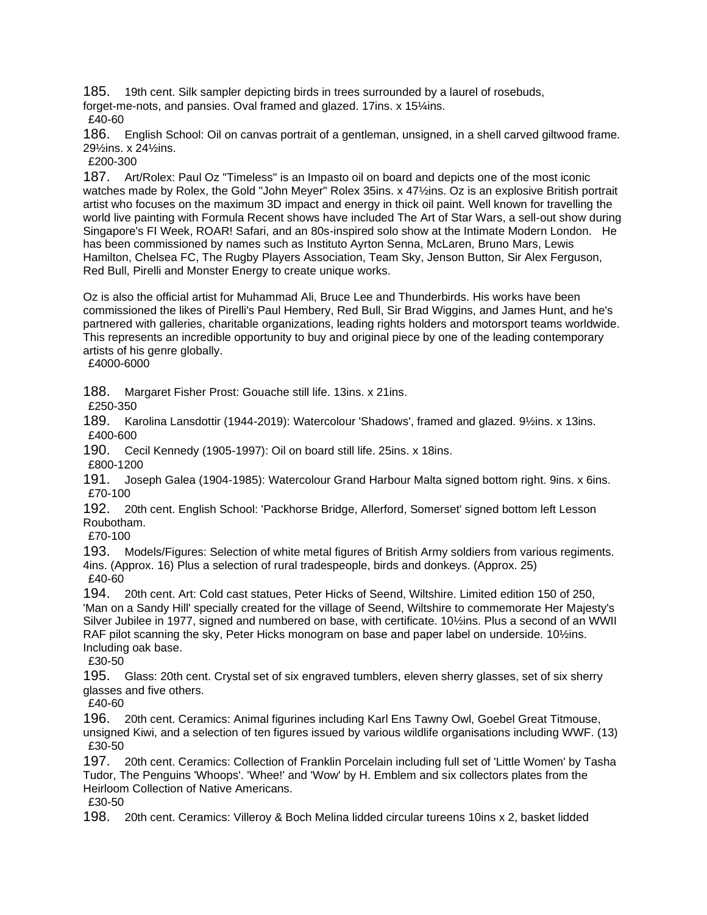185. 19th cent. Silk sampler depicting birds in trees surrounded by a laurel of rosebuds,

forget-me-nots, and pansies. Oval framed and glazed. 17ins. x 15¼ins.

£40-60

186. English School: Oil on canvas portrait of a gentleman, unsigned, in a shell carved giltwood frame. 29½ins. x 24½ins.

£200-300

187. Art/Rolex: Paul Oz "Timeless" is an Impasto oil on board and depicts one of the most iconic watches made by Rolex, the Gold "John Meyer" Rolex 35ins. x 47½ins. Oz is an explosive British portrait artist who focuses on the maximum 3D impact and energy in thick oil paint. Well known for travelling the world live painting with Formula Recent shows have included The Art of Star Wars, a sell-out show during Singapore's FI Week, ROAR! Safari, and an 80s-inspired solo show at the Intimate Modern London. He has been commissioned by names such as Instituto Ayrton Senna, McLaren, Bruno Mars, Lewis Hamilton, Chelsea FC, The Rugby Players Association, Team Sky, Jenson Button, Sir Alex Ferguson, Red Bull, Pirelli and Monster Energy to create unique works.

Oz is also the official artist for Muhammad Ali, Bruce Lee and Thunderbirds. His works have been commissioned the likes of Pirelli's Paul Hembery, Red Bull, Sir Brad Wiggins, and James Hunt, and he's partnered with galleries, charitable organizations, leading rights holders and motorsport teams worldwide. This represents an incredible opportunity to buy and original piece by one of the leading contemporary artists of his genre globally.

£4000-6000

188. Margaret Fisher Prost: Gouache still life. 13ins. x 21ins.

£250-350

189. Karolina Lansdottir (1944-2019): Watercolour 'Shadows', framed and glazed. 9½ins. x 13ins. £400-600

190. Cecil Kennedy (1905-1997): Oil on board still life. 25ins. x 18ins.

£800-1200

191. Joseph Galea (1904-1985): Watercolour Grand Harbour Malta signed bottom right. 9ins. x 6ins. £70-100

192. 20th cent. English School: 'Packhorse Bridge, Allerford, Somerset' signed bottom left Lesson Roubotham.

£70-100

193. Models/Figures: Selection of white metal figures of British Army soldiers from various regiments. 4ins. (Approx. 16) Plus a selection of rural tradespeople, birds and donkeys. (Approx. 25) £40-60

194. 20th cent. Art: Cold cast statues, Peter Hicks of Seend, Wiltshire. Limited edition 150 of 250, 'Man on a Sandy Hill' specially created for the village of Seend, Wiltshire to commemorate Her Majesty's Silver Jubilee in 1977, signed and numbered on base, with certificate. 10½ins. Plus a second of an WWII RAF pilot scanning the sky, Peter Hicks monogram on base and paper label on underside. 10½ins. Including oak base.

£30-50

195. Glass: 20th cent. Crystal set of six engraved tumblers, eleven sherry glasses, set of six sherry glasses and five others.

£40-60

196. 20th cent. Ceramics: Animal figurines including Karl Ens Tawny Owl, Goebel Great Titmouse, unsigned Kiwi, and a selection of ten figures issued by various wildlife organisations including WWF. (13) £30-50

197. 20th cent. Ceramics: Collection of Franklin Porcelain including full set of 'Little Women' by Tasha Tudor, The Penguins 'Whoops'. 'Whee!' and 'Wow' by H. Emblem and six collectors plates from the Heirloom Collection of Native Americans.

£30-50

198. 20th cent. Ceramics: Villeroy & Boch Melina lidded circular tureens 10ins x 2, basket lidded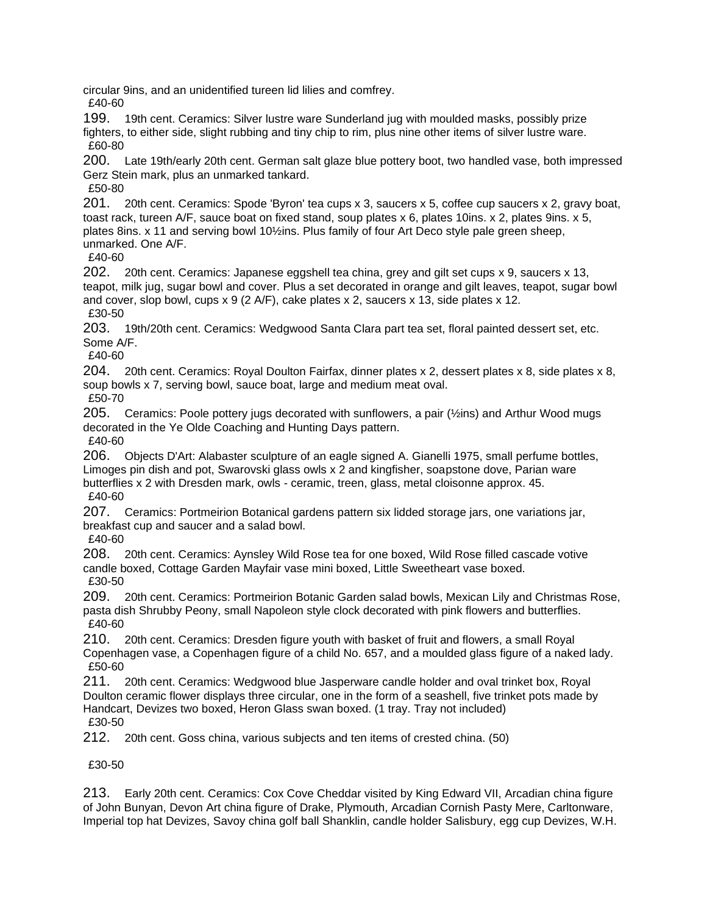circular 9ins, and an unidentified tureen lid lilies and comfrey.

£40-60

199. 19th cent. Ceramics: Silver lustre ware Sunderland jug with moulded masks, possibly prize fighters, to either side, slight rubbing and tiny chip to rim, plus nine other items of silver lustre ware. £60-80

200. Late 19th/early 20th cent. German salt glaze blue pottery boot, two handled vase, both impressed Gerz Stein mark, plus an unmarked tankard.

£50-80

201. 20th cent. Ceramics: Spode 'Byron' tea cups x 3, saucers x 5, coffee cup saucers x 2, gravy boat, toast rack, tureen A/F, sauce boat on fixed stand, soup plates x 6, plates 10ins. x 2, plates 9ins. x 5, plates 8ins. x 11 and serving bowl 10½ins. Plus family of four Art Deco style pale green sheep, unmarked. One A/F.

£40-60

202. 20th cent. Ceramics: Japanese eggshell tea china, grey and gilt set cups x 9, saucers x 13, teapot, milk jug, sugar bowl and cover. Plus a set decorated in orange and gilt leaves, teapot, sugar bowl and cover, slop bowl, cups x 9 (2 A/F), cake plates x 2, saucers x 13, side plates x 12. £30-50

203. 19th/20th cent. Ceramics: Wedgwood Santa Clara part tea set, floral painted dessert set, etc. Some A/F.

£40-60

204. 20th cent. Ceramics: Royal Doulton Fairfax, dinner plates x 2, dessert plates x 8, side plates x 8, soup bowls x 7, serving bowl, sauce boat, large and medium meat oval. £50-70

205. Ceramics: Poole pottery jugs decorated with sunflowers, a pair (½ins) and Arthur Wood mugs decorated in the Ye Olde Coaching and Hunting Days pattern.

£40-60

206. Objects D'Art: Alabaster sculpture of an eagle signed A. Gianelli 1975, small perfume bottles, Limoges pin dish and pot, Swarovski glass owls x 2 and kingfisher, soapstone dove, Parian ware butterflies x 2 with Dresden mark, owls - ceramic, treen, glass, metal cloisonne approx. 45. £40-60

207. Ceramics: Portmeirion Botanical gardens pattern six lidded storage jars, one variations jar, breakfast cup and saucer and a salad bowl.

£40-60

208. 20th cent. Ceramics: Aynsley Wild Rose tea for one boxed, Wild Rose filled cascade votive candle boxed, Cottage Garden Mayfair vase mini boxed, Little Sweetheart vase boxed. £30-50

209. 20th cent. Ceramics: Portmeirion Botanic Garden salad bowls, Mexican Lily and Christmas Rose, pasta dish Shrubby Peony, small Napoleon style clock decorated with pink flowers and butterflies. £40-60

210. 20th cent. Ceramics: Dresden figure youth with basket of fruit and flowers, a small Royal Copenhagen vase, a Copenhagen figure of a child No. 657, and a moulded glass figure of a naked lady. £50-60

211. 20th cent. Ceramics: Wedgwood blue Jasperware candle holder and oval trinket box, Royal Doulton ceramic flower displays three circular, one in the form of a seashell, five trinket pots made by Handcart, Devizes two boxed, Heron Glass swan boxed. (1 tray. Tray not included) £30-50

212. 20th cent. Goss china, various subjects and ten items of crested china. (50)

£30-50

213. Early 20th cent. Ceramics: Cox Cove Cheddar visited by King Edward VII, Arcadian china figure of John Bunyan, Devon Art china figure of Drake, Plymouth, Arcadian Cornish Pasty Mere, Carltonware, Imperial top hat Devizes, Savoy china golf ball Shanklin, candle holder Salisbury, egg cup Devizes, W.H.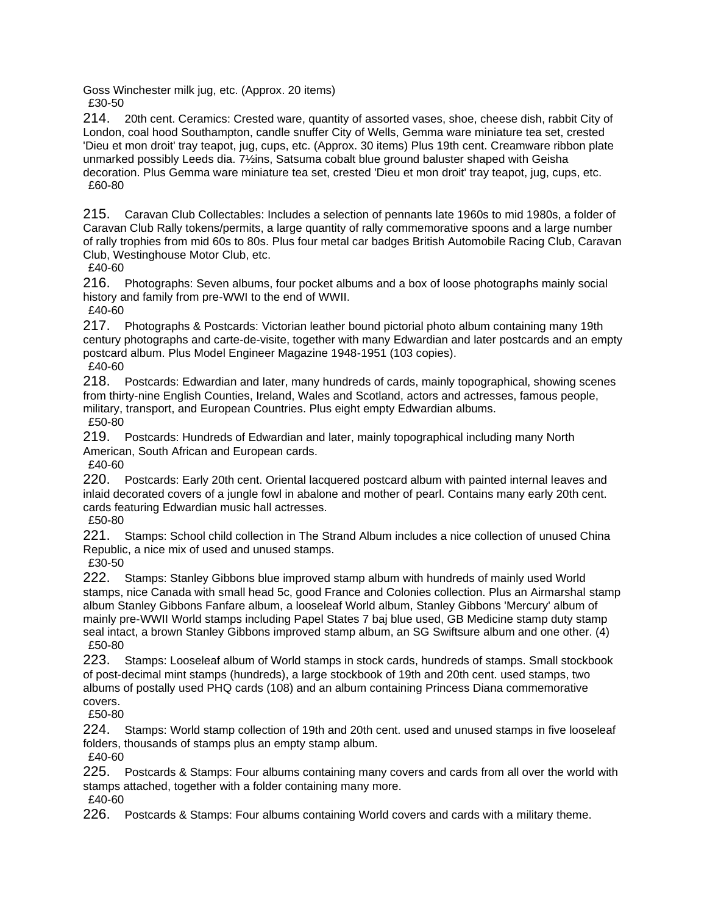Goss Winchester milk jug, etc. (Approx. 20 items) £30-50

214. 20th cent. Ceramics: Crested ware, quantity of assorted vases, shoe, cheese dish, rabbit City of London, coal hood Southampton, candle snuffer City of Wells, Gemma ware miniature tea set, crested 'Dieu et mon droit' tray teapot, jug, cups, etc. (Approx. 30 items) Plus 19th cent. Creamware ribbon plate unmarked possibly Leeds dia. 7½ins, Satsuma cobalt blue ground baluster shaped with Geisha decoration. Plus Gemma ware miniature tea set, crested 'Dieu et mon droit' tray teapot, jug, cups, etc. £60-80

215. Caravan Club Collectables: Includes a selection of pennants late 1960s to mid 1980s, a folder of Caravan Club Rally tokens/permits, a large quantity of rally commemorative spoons and a large number of rally trophies from mid 60s to 80s. Plus four metal car badges British Automobile Racing Club, Caravan Club, Westinghouse Motor Club, etc.

£40-60

216. Photographs: Seven albums, four pocket albums and a box of loose photographs mainly social history and family from pre-WWI to the end of WWII.

£40-60

217. Photographs & Postcards: Victorian leather bound pictorial photo album containing many 19th century photographs and carte-de-visite, together with many Edwardian and later postcards and an empty postcard album. Plus Model Engineer Magazine 1948-1951 (103 copies). £40-60

218. Postcards: Edwardian and later, many hundreds of cards, mainly topographical, showing scenes from thirty-nine English Counties, Ireland, Wales and Scotland, actors and actresses, famous people, military, transport, and European Countries. Plus eight empty Edwardian albums. £50-80

219. Postcards: Hundreds of Edwardian and later, mainly topographical including many North American, South African and European cards.

£40-60

220. Postcards: Early 20th cent. Oriental lacquered postcard album with painted internal leaves and inlaid decorated covers of a jungle fowl in abalone and mother of pearl. Contains many early 20th cent. cards featuring Edwardian music hall actresses.

£50-80

221. Stamps: School child collection in The Strand Album includes a nice collection of unused China Republic, a nice mix of used and unused stamps.

£30-50

222. Stamps: Stanley Gibbons blue improved stamp album with hundreds of mainly used World stamps, nice Canada with small head 5c, good France and Colonies collection. Plus an Airmarshal stamp album Stanley Gibbons Fanfare album, a looseleaf World album, Stanley Gibbons 'Mercury' album of mainly pre-WWII World stamps including Papel States 7 baj blue used, GB Medicine stamp duty stamp seal intact, a brown Stanley Gibbons improved stamp album, an SG Swiftsure album and one other. (4) £50-80

223. Stamps: Looseleaf album of World stamps in stock cards, hundreds of stamps. Small stockbook of post-decimal mint stamps (hundreds), a large stockbook of 19th and 20th cent. used stamps, two albums of postally used PHQ cards (108) and an album containing Princess Diana commemorative covers.

£50-80

224. Stamps: World stamp collection of 19th and 20th cent. used and unused stamps in five looseleaf folders, thousands of stamps plus an empty stamp album.

£40-60

225. Postcards & Stamps: Four albums containing many covers and cards from all over the world with stamps attached, together with a folder containing many more.

£40-60

226. Postcards & Stamps: Four albums containing World covers and cards with a military theme.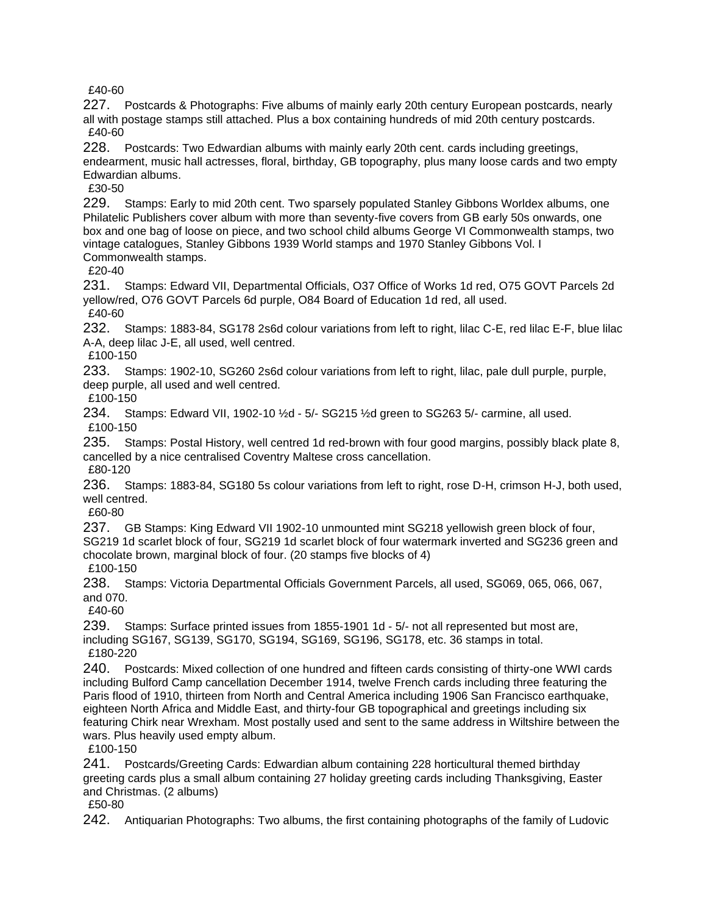£40-60

227. Postcards & Photographs: Five albums of mainly early 20th century European postcards, nearly all with postage stamps still attached. Plus a box containing hundreds of mid 20th century postcards. £40-60

228. Postcards: Two Edwardian albums with mainly early 20th cent. cards including greetings, endearment, music hall actresses, floral, birthday, GB topography, plus many loose cards and two empty Edwardian albums.

£30-50

229. Stamps: Early to mid 20th cent. Two sparsely populated Stanley Gibbons Worldex albums, one Philatelic Publishers cover album with more than seventy-five covers from GB early 50s onwards, one box and one bag of loose on piece, and two school child albums George VI Commonwealth stamps, two vintage catalogues, Stanley Gibbons 1939 World stamps and 1970 Stanley Gibbons Vol. I Commonwealth stamps.

£20-40

231. Stamps: Edward VII, Departmental Officials, O37 Office of Works 1d red, O75 GOVT Parcels 2d yellow/red, O76 GOVT Parcels 6d purple, O84 Board of Education 1d red, all used.

£40-60

232. Stamps: 1883-84, SG178 2s6d colour variations from left to right, lilac C-E, red lilac E-F, blue lilac A-A, deep lilac J-E, all used, well centred.

£100-150

233. Stamps: 1902-10, SG260 2s6d colour variations from left to right, lilac, pale dull purple, purple, deep purple, all used and well centred.

£100-150

234. Stamps: Edward VII, 1902-10 ½d - 5/- SG215 ½d green to SG263 5/- carmine, all used. £100-150

235. Stamps: Postal History, well centred 1d red-brown with four good margins, possibly black plate 8, cancelled by a nice centralised Coventry Maltese cross cancellation.

£80-120

236. Stamps: 1883-84, SG180 5s colour variations from left to right, rose D-H, crimson H-J, both used, well centred.

£60-80

237. GB Stamps: King Edward VII 1902-10 unmounted mint SG218 yellowish green block of four, SG219 1d scarlet block of four, SG219 1d scarlet block of four watermark inverted and SG236 green and chocolate brown, marginal block of four. (20 stamps five blocks of 4)

£100-150

238. Stamps: Victoria Departmental Officials Government Parcels, all used, SG069, 065, 066, 067, and 070.

£40-60

239. Stamps: Surface printed issues from 1855-1901 1d - 5/- not all represented but most are, including SG167, SG139, SG170, SG194, SG169, SG196, SG178, etc. 36 stamps in total. £180-220

240. Postcards: Mixed collection of one hundred and fifteen cards consisting of thirty-one WWI cards including Bulford Camp cancellation December 1914, twelve French cards including three featuring the Paris flood of 1910, thirteen from North and Central America including 1906 San Francisco earthquake, eighteen North Africa and Middle East, and thirty-four GB topographical and greetings including six featuring Chirk near Wrexham. Most postally used and sent to the same address in Wiltshire between the wars. Plus heavily used empty album.

£100-150

241. Postcards/Greeting Cards: Edwardian album containing 228 horticultural themed birthday greeting cards plus a small album containing 27 holiday greeting cards including Thanksgiving, Easter and Christmas. (2 albums)

£50-80

242. Antiquarian Photographs: Two albums, the first containing photographs of the family of Ludovic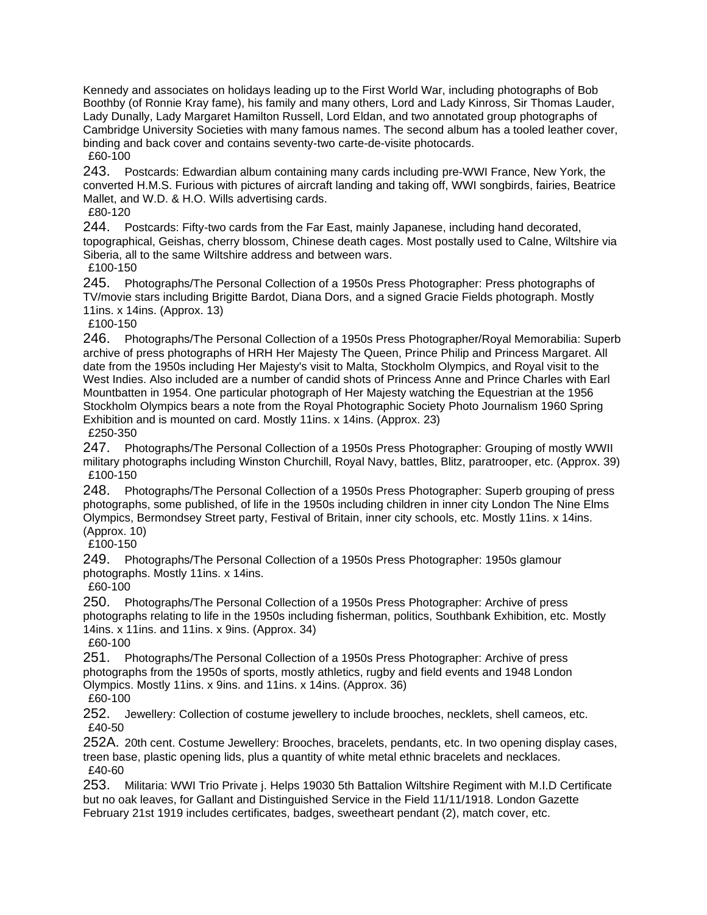Kennedy and associates on holidays leading up to the First World War, including photographs of Bob Boothby (of Ronnie Kray fame), his family and many others, Lord and Lady Kinross, Sir Thomas Lauder, Lady Dunally, Lady Margaret Hamilton Russell, Lord Eldan, and two annotated group photographs of Cambridge University Societies with many famous names. The second album has a tooled leather cover, binding and back cover and contains seventy-two carte-de-visite photocards. £60-100

243. Postcards: Edwardian album containing many cards including pre-WWI France, New York, the converted H.M.S. Furious with pictures of aircraft landing and taking off, WWI songbirds, fairies, Beatrice Mallet, and W.D. & H.O. Wills advertising cards.

£80-120

244. Postcards: Fifty-two cards from the Far East, mainly Japanese, including hand decorated, topographical, Geishas, cherry blossom, Chinese death cages. Most postally used to Calne, Wiltshire via Siberia, all to the same Wiltshire address and between wars.

£100-150

245. Photographs/The Personal Collection of a 1950s Press Photographer: Press photographs of TV/movie stars including Brigitte Bardot, Diana Dors, and a signed Gracie Fields photograph. Mostly 11ins. x 14ins. (Approx. 13)

£100-150

246. Photographs/The Personal Collection of a 1950s Press Photographer/Royal Memorabilia: Superb archive of press photographs of HRH Her Majesty The Queen, Prince Philip and Princess Margaret. All date from the 1950s including Her Majesty's visit to Malta, Stockholm Olympics, and Royal visit to the West Indies. Also included are a number of candid shots of Princess Anne and Prince Charles with Earl Mountbatten in 1954. One particular photograph of Her Majesty watching the Equestrian at the 1956 Stockholm Olympics bears a note from the Royal Photographic Society Photo Journalism 1960 Spring Exhibition and is mounted on card. Mostly 11ins. x 14ins. (Approx. 23) £250-350

247. Photographs/The Personal Collection of a 1950s Press Photographer: Grouping of mostly WWII military photographs including Winston Churchill, Royal Navy, battles, Blitz, paratrooper, etc. (Approx. 39) £100-150

248. Photographs/The Personal Collection of a 1950s Press Photographer: Superb grouping of press photographs, some published, of life in the 1950s including children in inner city London The Nine Elms Olympics, Bermondsey Street party, Festival of Britain, inner city schools, etc. Mostly 11ins. x 14ins. (Approx. 10)

£100-150

249. Photographs/The Personal Collection of a 1950s Press Photographer: 1950s glamour photographs. Mostly 11ins. x 14ins.

£60-100

250. Photographs/The Personal Collection of a 1950s Press Photographer: Archive of press photographs relating to life in the 1950s including fisherman, politics, Southbank Exhibition, etc. Mostly 14ins. x 11ins. and 11ins. x 9ins. (Approx. 34) £60-100

251. Photographs/The Personal Collection of a 1950s Press Photographer: Archive of press photographs from the 1950s of sports, mostly athletics, rugby and field events and 1948 London Olympics. Mostly 11ins. x 9ins. and 11ins. x 14ins. (Approx. 36)

£60-100

252. Jewellery: Collection of costume jewellery to include brooches, necklets, shell cameos, etc. £40-50

252A. 20th cent. Costume Jewellery: Brooches, bracelets, pendants, etc. In two opening display cases, treen base, plastic opening lids, plus a quantity of white metal ethnic bracelets and necklaces. £40-60

253. Militaria: WWI Trio Private j. Helps 19030 5th Battalion Wiltshire Regiment with M.I.D Certificate but no oak leaves, for Gallant and Distinguished Service in the Field 11/11/1918. London Gazette February 21st 1919 includes certificates, badges, sweetheart pendant (2), match cover, etc.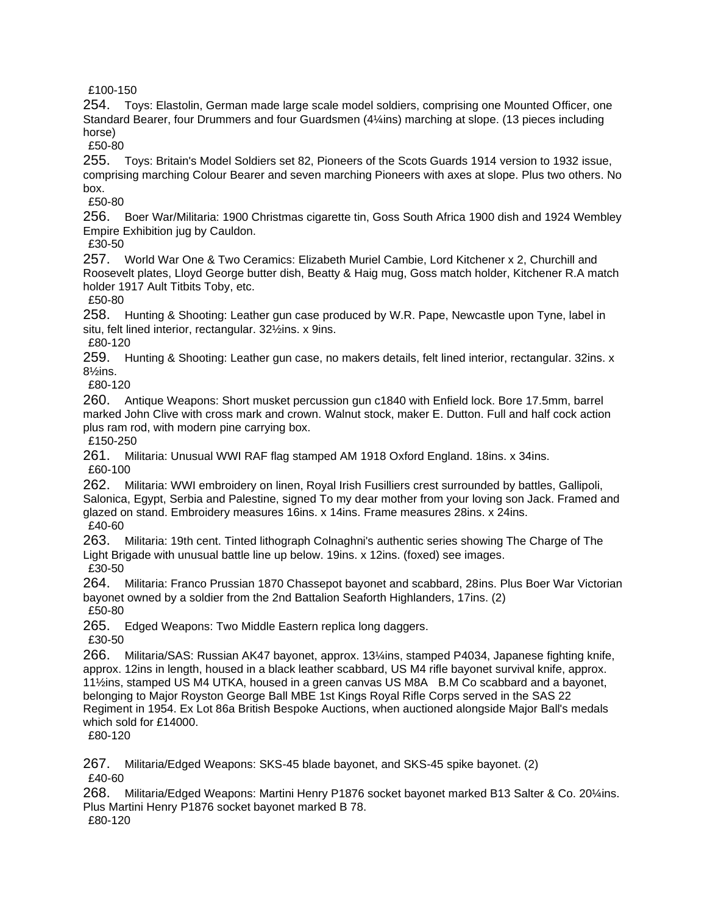£100-150

254. Toys: Elastolin, German made large scale model soldiers, comprising one Mounted Officer, one Standard Bearer, four Drummers and four Guardsmen (4¼ins) marching at slope. (13 pieces including horse)

£50-80

255. Toys: Britain's Model Soldiers set 82, Pioneers of the Scots Guards 1914 version to 1932 issue, comprising marching Colour Bearer and seven marching Pioneers with axes at slope. Plus two others. No box.

£50-80

256. Boer War/Militaria: 1900 Christmas cigarette tin, Goss South Africa 1900 dish and 1924 Wembley Empire Exhibition jug by Cauldon.

£30-50

257. World War One & Two Ceramics: Elizabeth Muriel Cambie, Lord Kitchener x 2, Churchill and Roosevelt plates, Lloyd George butter dish, Beatty & Haig mug, Goss match holder, Kitchener R.A match holder 1917 Ault Titbits Toby, etc.

£50-80

258. Hunting & Shooting: Leather gun case produced by W.R. Pape, Newcastle upon Tyne, label in situ, felt lined interior, rectangular. 32½ins. x 9ins.

£80-120

259. Hunting & Shooting: Leather gun case, no makers details, felt lined interior, rectangular. 32ins. x 8½ins.

£80-120

260. Antique Weapons: Short musket percussion gun c1840 with Enfield lock. Bore 17.5mm, barrel marked John Clive with cross mark and crown. Walnut stock, maker E. Dutton. Full and half cock action plus ram rod, with modern pine carrying box.

£150-250

261. Militaria: Unusual WWI RAF flag stamped AM 1918 Oxford England. 18ins. x 34ins. £60-100

262. Militaria: WWI embroidery on linen, Royal Irish Fusilliers crest surrounded by battles, Gallipoli, Salonica, Egypt, Serbia and Palestine, signed To my dear mother from your loving son Jack. Framed and glazed on stand. Embroidery measures 16ins. x 14ins. Frame measures 28ins. x 24ins. £40-60

263. Militaria: 19th cent. Tinted lithograph Colnaghni's authentic series showing The Charge of The Light Brigade with unusual battle line up below. 19ins. x 12ins. (foxed) see images. £30-50

264. Militaria: Franco Prussian 1870 Chassepot bayonet and scabbard, 28ins. Plus Boer War Victorian bayonet owned by a soldier from the 2nd Battalion Seaforth Highlanders, 17ins. (2) £50-80

265. Edged Weapons: Two Middle Eastern replica long daggers.

£30-50

266. Militaria/SAS: Russian AK47 bayonet, approx. 13¼ins, stamped P4034, Japanese fighting knife, approx. 12ins in length, housed in a black leather scabbard, US M4 rifle bayonet survival knife, approx. 11½ins, stamped US M4 UTKA, housed in a green canvas US M8A B.M Co scabbard and a bayonet, belonging to Major Royston George Ball MBE 1st Kings Royal Rifle Corps served in the SAS 22 Regiment in 1954. Ex Lot 86a British Bespoke Auctions, when auctioned alongside Major Ball's medals which sold for £14000.

£80-120

267. Militaria/Edged Weapons: SKS-45 blade bayonet, and SKS-45 spike bayonet. (2) £40-60

268. Militaria/Edged Weapons: Martini Henry P1876 socket bayonet marked B13 Salter & Co. 20¼ins. Plus Martini Henry P1876 socket bayonet marked B 78.

£80-120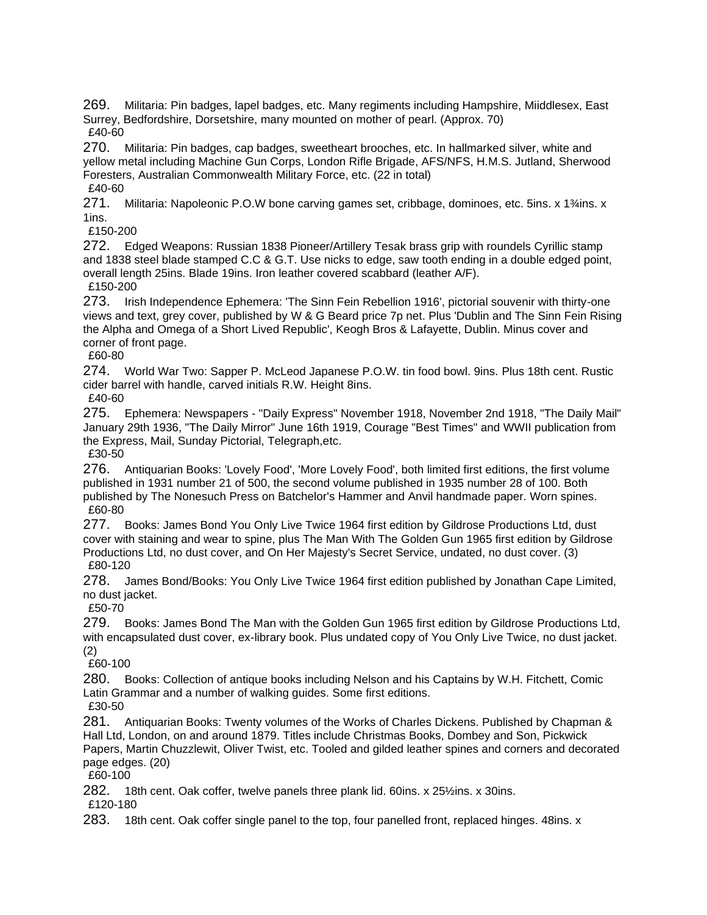269. Militaria: Pin badges, lapel badges, etc. Many regiments including Hampshire, Miiddlesex, East Surrey, Bedfordshire, Dorsetshire, many mounted on mother of pearl. (Approx. 70) £40-60

270. Militaria: Pin badges, cap badges, sweetheart brooches, etc. In hallmarked silver, white and yellow metal including Machine Gun Corps, London Rifle Brigade, AFS/NFS, H.M.S. Jutland, Sherwood Foresters, Australian Commonwealth Military Force, etc. (22 in total) £40-60

271. Militaria: Napoleonic P.O.W bone carving games set, cribbage, dominoes, etc. 5ins. x 1¼ins. x 1ins.

£150-200

272. Edged Weapons: Russian 1838 Pioneer/Artillery Tesak brass grip with roundels Cyrillic stamp and 1838 steel blade stamped C.C & G.T. Use nicks to edge, saw tooth ending in a double edged point, overall length 25ins. Blade 19ins. Iron leather covered scabbard (leather A/F). £150-200

273. Irish Independence Ephemera: 'The Sinn Fein Rebellion 1916', pictorial souvenir with thirty-one views and text, grey cover, published by W & G Beard price 7p net. Plus 'Dublin and The Sinn Fein Rising the Alpha and Omega of a Short Lived Republic', Keogh Bros & Lafayette, Dublin. Minus cover and corner of front page.

£60-80

274. World War Two: Sapper P. McLeod Japanese P.O.W. tin food bowl. 9ins. Plus 18th cent. Rustic cider barrel with handle, carved initials R.W. Height 8ins.

£40-60

275. Ephemera: Newspapers - "Daily Express" November 1918, November 2nd 1918, "The Daily Mail" January 29th 1936, "The Daily Mirror" June 16th 1919, Courage "Best Times" and WWII publication from the Express, Mail, Sunday Pictorial, Telegraph,etc.

£30-50

276. Antiquarian Books: 'Lovely Food', 'More Lovely Food', both limited first editions, the first volume published in 1931 number 21 of 500, the second volume published in 1935 number 28 of 100. Both published by The Nonesuch Press on Batchelor's Hammer and Anvil handmade paper. Worn spines. £60-80

277. Books: James Bond You Only Live Twice 1964 first edition by Gildrose Productions Ltd, dust cover with staining and wear to spine, plus The Man With The Golden Gun 1965 first edition by Gildrose Productions Ltd, no dust cover, and On Her Majesty's Secret Service, undated, no dust cover. (3) £80-120

278. James Bond/Books: You Only Live Twice 1964 first edition published by Jonathan Cape Limited, no dust jacket.

£50-70

279. Books: James Bond The Man with the Golden Gun 1965 first edition by Gildrose Productions Ltd, with encapsulated dust cover, ex-library book. Plus undated copy of You Only Live Twice, no dust jacket. (2)

£60-100

280. Books: Collection of antique books including Nelson and his Captains by W.H. Fitchett, Comic Latin Grammar and a number of walking guides. Some first editions.

£30-50

281. Antiquarian Books: Twenty volumes of the Works of Charles Dickens. Published by Chapman & Hall Ltd, London, on and around 1879. Titles include Christmas Books, Dombey and Son, Pickwick Papers, Martin Chuzzlewit, Oliver Twist, etc. Tooled and gilded leather spines and corners and decorated page edges. (20)

£60-100

282. 18th cent. Oak coffer, twelve panels three plank lid. 60ins. x 25½ins. x 30ins. £120-180

283. 18th cent. Oak coffer single panel to the top, four panelled front, replaced hinges. 48ins. x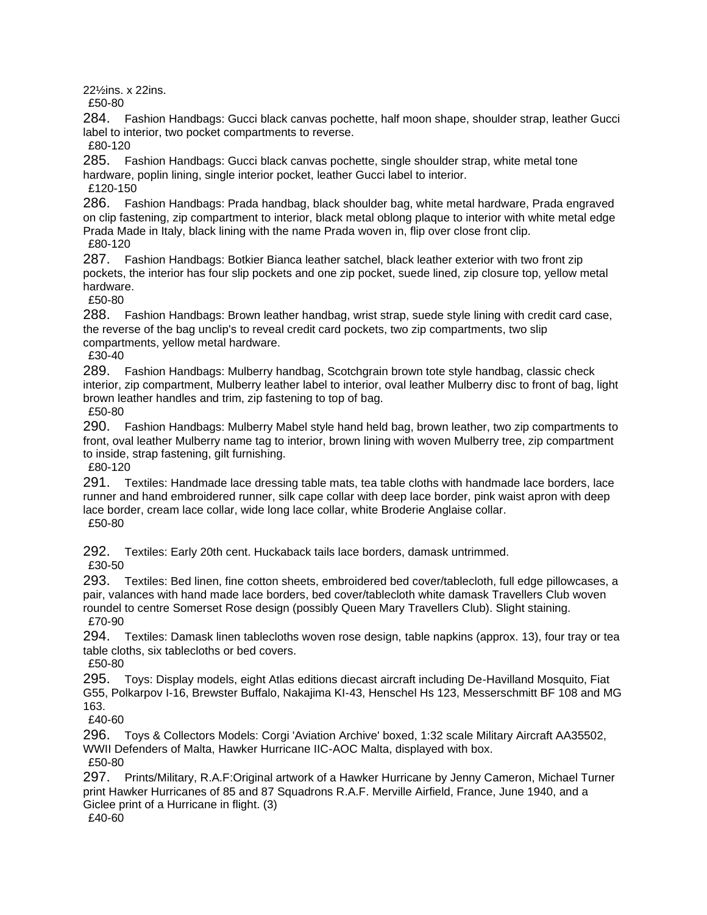22½ins. x 22ins.

£50-80

284. Fashion Handbags: Gucci black canvas pochette, half moon shape, shoulder strap, leather Gucci label to interior, two pocket compartments to reverse.

£80-120

285. Fashion Handbags: Gucci black canvas pochette, single shoulder strap, white metal tone hardware, poplin lining, single interior pocket, leather Gucci label to interior.

£120-150

286. Fashion Handbags: Prada handbag, black shoulder bag, white metal hardware, Prada engraved on clip fastening, zip compartment to interior, black metal oblong plaque to interior with white metal edge Prada Made in Italy, black lining with the name Prada woven in, flip over close front clip. £80-120

287. Fashion Handbags: Botkier Bianca leather satchel, black leather exterior with two front zip pockets, the interior has four slip pockets and one zip pocket, suede lined, zip closure top, yellow metal hardware.

£50-80

288. Fashion Handbags: Brown leather handbag, wrist strap, suede style lining with credit card case, the reverse of the bag unclip's to reveal credit card pockets, two zip compartments, two slip compartments, yellow metal hardware.

£30-40

289. Fashion Handbags: Mulberry handbag, Scotchgrain brown tote style handbag, classic check interior, zip compartment, Mulberry leather label to interior, oval leather Mulberry disc to front of bag, light brown leather handles and trim, zip fastening to top of bag.

£50-80

290. Fashion Handbags: Mulberry Mabel style hand held bag, brown leather, two zip compartments to front, oval leather Mulberry name tag to interior, brown lining with woven Mulberry tree, zip compartment to inside, strap fastening, gilt furnishing.

£80-120

291. Textiles: Handmade lace dressing table mats, tea table cloths with handmade lace borders, lace runner and hand embroidered runner, silk cape collar with deep lace border, pink waist apron with deep lace border, cream lace collar, wide long lace collar, white Broderie Anglaise collar. £50-80

292. Textiles: Early 20th cent. Huckaback tails lace borders, damask untrimmed. £30-50

293. Textiles: Bed linen, fine cotton sheets, embroidered bed cover/tablecloth, full edge pillowcases, a pair, valances with hand made lace borders, bed cover/tablecloth white damask Travellers Club woven roundel to centre Somerset Rose design (possibly Queen Mary Travellers Club). Slight staining. £70-90

294. Textiles: Damask linen tablecloths woven rose design, table napkins (approx. 13), four tray or tea table cloths, six tablecloths or bed covers.

£50-80

295. Toys: Display models, eight Atlas editions diecast aircraft including De-Havilland Mosquito, Fiat G55, Polkarpov I-16, Brewster Buffalo, Nakajima KI-43, Henschel Hs 123, Messerschmitt BF 108 and MG 163.

£40-60

296. Toys & Collectors Models: Corgi 'Aviation Archive' boxed, 1:32 scale Military Aircraft AA35502, WWII Defenders of Malta, Hawker Hurricane IIC-AOC Malta, displayed with box. £50-80

297. Prints/Military, R.A.F:Original artwork of a Hawker Hurricane by Jenny Cameron, Michael Turner print Hawker Hurricanes of 85 and 87 Squadrons R.A.F. Merville Airfield, France, June 1940, and a Giclee print of a Hurricane in flight. (3)

£40-60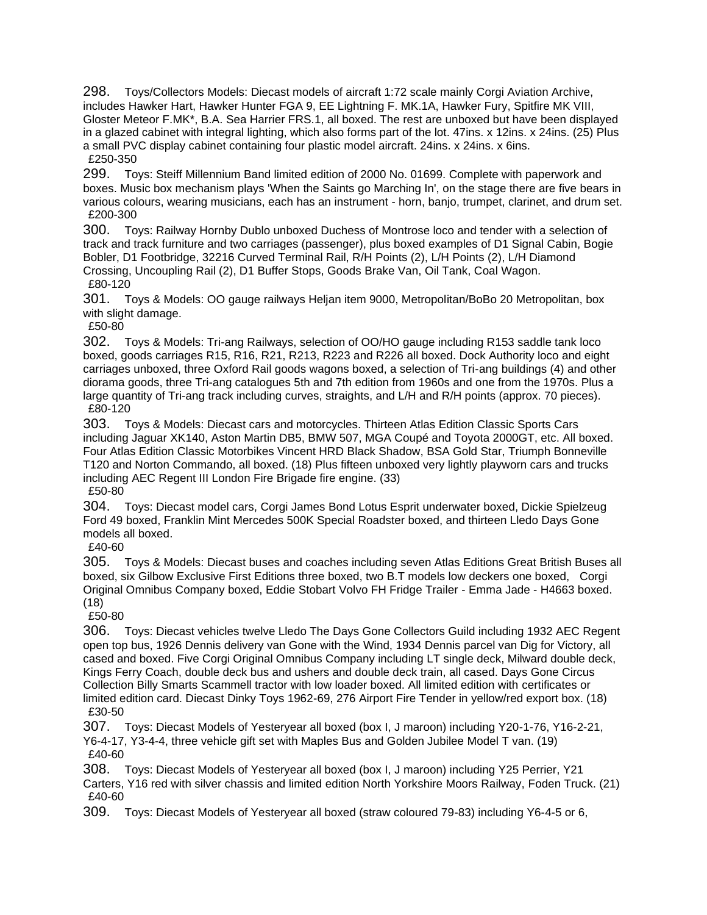298. Toys/Collectors Models: Diecast models of aircraft 1:72 scale mainly Corgi Aviation Archive, includes Hawker Hart, Hawker Hunter FGA 9, EE Lightning F. MK.1A, Hawker Fury, Spitfire MK VIII, Gloster Meteor F.MK\*, B.A. Sea Harrier FRS.1, all boxed. The rest are unboxed but have been displayed in a glazed cabinet with integral lighting, which also forms part of the lot. 47ins. x 12ins. x 24ins. (25) Plus a small PVC display cabinet containing four plastic model aircraft. 24ins. x 24ins. x 6ins. £250-350

299. Toys: Steiff Millennium Band limited edition of 2000 No. 01699. Complete with paperwork and boxes. Music box mechanism plays 'When the Saints go Marching In', on the stage there are five bears in various colours, wearing musicians, each has an instrument - horn, banjo, trumpet, clarinet, and drum set. £200-300

300. Toys: Railway Hornby Dublo unboxed Duchess of Montrose loco and tender with a selection of track and track furniture and two carriages (passenger), plus boxed examples of D1 Signal Cabin, Bogie Bobler, D1 Footbridge, 32216 Curved Terminal Rail, R/H Points (2), L/H Points (2), L/H Diamond Crossing, Uncoupling Rail (2), D1 Buffer Stops, Goods Brake Van, Oil Tank, Coal Wagon. £80-120

301. Toys & Models: OO gauge railways Heljan item 9000, Metropolitan/BoBo 20 Metropolitan, box with slight damage.

£50-80

302. Toys & Models: Tri-ang Railways, selection of OO/HO gauge including R153 saddle tank loco boxed, goods carriages R15, R16, R21, R213, R223 and R226 all boxed. Dock Authority loco and eight carriages unboxed, three Oxford Rail goods wagons boxed, a selection of Tri-ang buildings (4) and other diorama goods, three Tri-ang catalogues 5th and 7th edition from 1960s and one from the 1970s. Plus a large quantity of Tri-ang track including curves, straights, and L/H and R/H points (approx. 70 pieces). £80-120

303. Toys & Models: Diecast cars and motorcycles. Thirteen Atlas Edition Classic Sports Cars including Jaguar XK140, Aston Martin DB5, BMW 507, MGA Coupé and Toyota 2000GT, etc. All boxed. Four Atlas Edition Classic Motorbikes Vincent HRD Black Shadow, BSA Gold Star, Triumph Bonneville T120 and Norton Commando, all boxed. (18) Plus fifteen unboxed very lightly playworn cars and trucks including AEC Regent III London Fire Brigade fire engine. (33)

£50-80 304. Toys: Diecast model cars, Corgi James Bond Lotus Esprit underwater boxed, Dickie Spielzeug Ford 49 boxed, Franklin Mint Mercedes 500K Special Roadster boxed, and thirteen Lledo Days Gone

models all boxed.

£40-60

305. Toys & Models: Diecast buses and coaches including seven Atlas Editions Great British Buses all boxed, six Gilbow Exclusive First Editions three boxed, two B.T models low deckers one boxed, Corgi Original Omnibus Company boxed, Eddie Stobart Volvo FH Fridge Trailer - Emma Jade - H4663 boxed. (18)

£50-80

306. Toys: Diecast vehicles twelve Lledo The Days Gone Collectors Guild including 1932 AEC Regent open top bus, 1926 Dennis delivery van Gone with the Wind, 1934 Dennis parcel van Dig for Victory, all cased and boxed. Five Corgi Original Omnibus Company including LT single deck, Milward double deck, Kings Ferry Coach, double deck bus and ushers and double deck train, all cased. Days Gone Circus Collection Billy Smarts Scammell tractor with low loader boxed. All limited edition with certificates or limited edition card. Diecast Dinky Toys 1962-69, 276 Airport Fire Tender in yellow/red export box. (18) £30-50

307. Toys: Diecast Models of Yesteryear all boxed (box I, J maroon) including Y20-1-76, Y16-2-21, Y6-4-17, Y3-4-4, three vehicle gift set with Maples Bus and Golden Jubilee Model T van. (19) £40-60

308. Toys: Diecast Models of Yesteryear all boxed (box I, J maroon) including Y25 Perrier, Y21 Carters, Y16 red with silver chassis and limited edition North Yorkshire Moors Railway, Foden Truck. (21) £40-60

309. Toys: Diecast Models of Yesteryear all boxed (straw coloured 79-83) including Y6-4-5 or 6,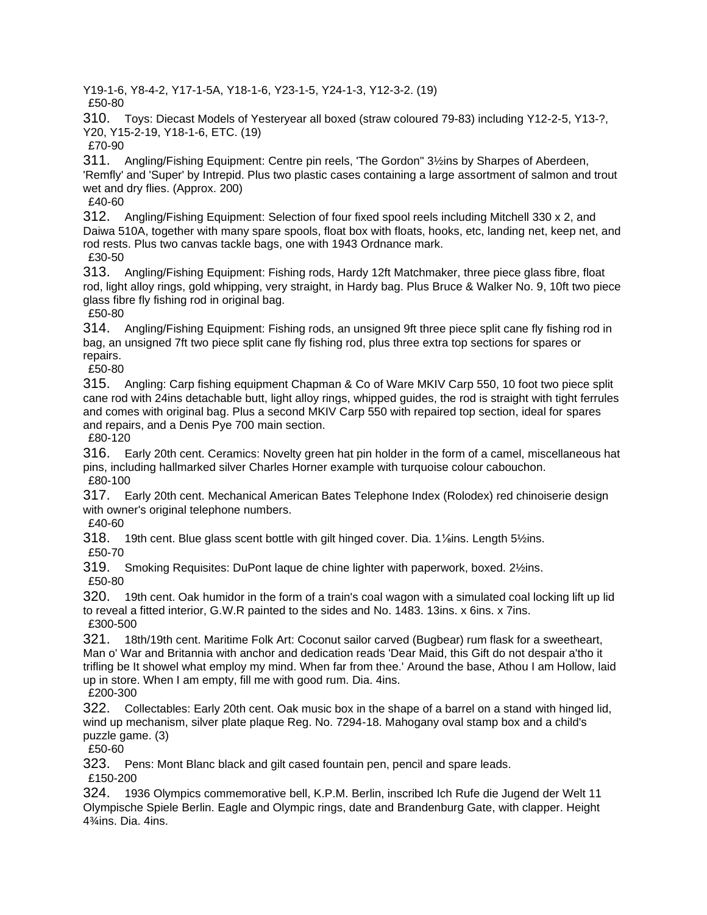Y19-1-6, Y8-4-2, Y17-1-5A, Y18-1-6, Y23-1-5, Y24-1-3, Y12-3-2. (19)

£50-80

310. Toys: Diecast Models of Yesteryear all boxed (straw coloured 79-83) including Y12-2-5, Y13-?, Y20, Y15-2-19, Y18-1-6, ETC. (19)

£70-90

311. Angling/Fishing Equipment: Centre pin reels, 'The Gordon'' 3½ins by Sharpes of Aberdeen, 'Remfly' and 'Super' by Intrepid. Plus two plastic cases containing a large assortment of salmon and trout wet and dry flies. (Approx. 200)

£40-60

312. Angling/Fishing Equipment: Selection of four fixed spool reels including Mitchell 330 x 2, and Daiwa 510A, together with many spare spools, float box with floats, hooks, etc, landing net, keep net, and rod rests. Plus two canvas tackle bags, one with 1943 Ordnance mark. £30-50

313. Angling/Fishing Equipment: Fishing rods, Hardy 12ft Matchmaker, three piece glass fibre, float rod, light alloy rings, gold whipping, very straight, in Hardy bag. Plus Bruce & Walker No. 9, 10ft two piece glass fibre fly fishing rod in original bag.

£50-80

314. Angling/Fishing Equipment: Fishing rods, an unsigned 9ft three piece split cane fly fishing rod in bag, an unsigned 7ft two piece split cane fly fishing rod, plus three extra top sections for spares or repairs.

£50-80

315. Angling: Carp fishing equipment Chapman & Co of Ware MKIV Carp 550, 10 foot two piece split cane rod with 24ins detachable butt, light alloy rings, whipped guides, the rod is straight with tight ferrules and comes with original bag. Plus a second MKIV Carp 550 with repaired top section, ideal for spares and repairs, and a Denis Pye 700 main section.

£80-120

316. Early 20th cent. Ceramics: Novelty green hat pin holder in the form of a camel, miscellaneous hat pins, including hallmarked silver Charles Horner example with turquoise colour cabouchon. £80-100

317. Early 20th cent. Mechanical American Bates Telephone Index (Rolodex) red chinoiserie design with owner's original telephone numbers.

£40-60

318. 19th cent. Blue glass scent bottle with gilt hinged cover. Dia. 1⅛ins. Length 5½ins. £50-70

319. Smoking Requisites: DuPont laque de chine lighter with paperwork, boxed. 2½ins. £50-80

320. 19th cent. Oak humidor in the form of a train's coal wagon with a simulated coal locking lift up lid to reveal a fitted interior, G.W.R painted to the sides and No. 1483. 13ins. x 6ins. x 7ins. £300-500

321. 18th/19th cent. Maritime Folk Art: Coconut sailor carved (Bugbear) rum flask for a sweetheart, Man o' War and Britannia with anchor and dedication reads 'Dear Maid, this Gift do not despair a'tho it trifling be It showel what employ my mind. When far from thee.' Around the base, Athou I am Hollow, laid up in store. When I am empty, fill me with good rum. Dia. 4ins.

£200-300

322. Collectables: Early 20th cent. Oak music box in the shape of a barrel on a stand with hinged lid, wind up mechanism, silver plate plaque Reg. No. 7294-18. Mahogany oval stamp box and a child's puzzle game. (3)

£50-60

323. Pens: Mont Blanc black and gilt cased fountain pen, pencil and spare leads. £150-200

324. 1936 Olympics commemorative bell, K.P.M. Berlin, inscribed Ich Rufe die Jugend der Welt 11 Olympische Spiele Berlin. Eagle and Olympic rings, date and Brandenburg Gate, with clapper. Height 4¾ins. Dia. 4ins.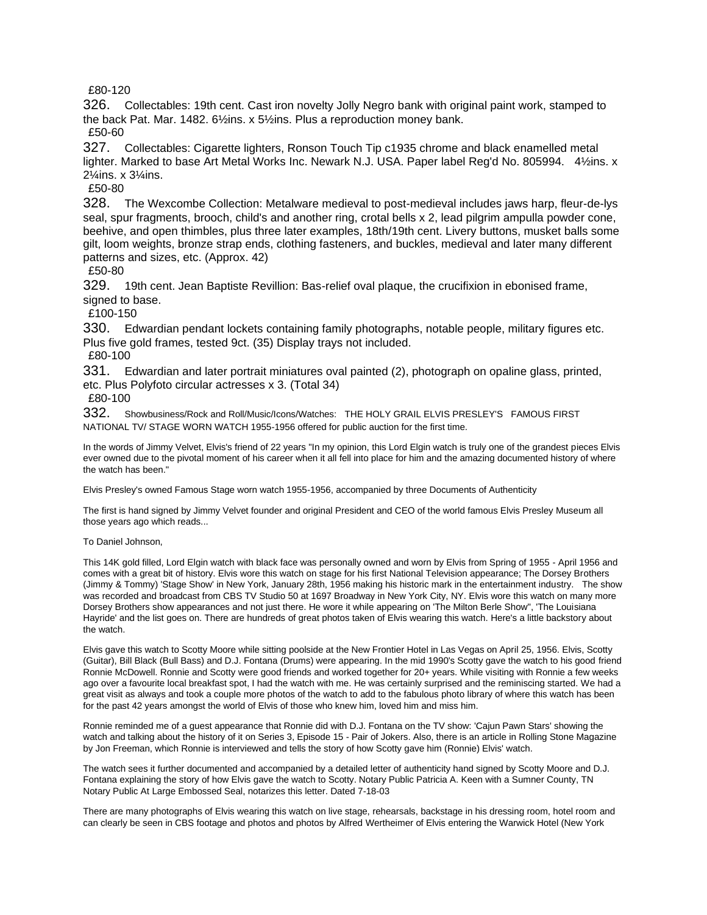£80-120

326. Collectables: 19th cent. Cast iron novelty Jolly Negro bank with original paint work, stamped to the back Pat. Mar. 1482. 6½ins. x 5½ins. Plus a reproduction money bank. £50-60

327. Collectables: Cigarette lighters, Ronson Touch Tip c1935 chrome and black enamelled metal lighter. Marked to base Art Metal Works Inc. Newark N.J. USA. Paper label Reg'd No. 805994. 4½ins. x 2¼ins. x 3¼ins.

£50-80

328. The Wexcombe Collection: Metalware medieval to post-medieval includes jaws harp, fleur-de-lys seal, spur fragments, brooch, child's and another ring, crotal bells x 2, lead pilgrim ampulla powder cone, beehive, and open thimbles, plus three later examples, 18th/19th cent. Livery buttons, musket balls some gilt, loom weights, bronze strap ends, clothing fasteners, and buckles, medieval and later many different patterns and sizes, etc. (Approx. 42)

£50-80

329. 19th cent. Jean Baptiste Revillion: Bas-relief oval plaque, the crucifixion in ebonised frame, signed to base.

£100-150

330. Edwardian pendant lockets containing family photographs, notable people, military figures etc. Plus five gold frames, tested 9ct. (35) Display trays not included.

£80-100

331. Edwardian and later portrait miniatures oval painted (2), photograph on opaline glass, printed, etc. Plus Polyfoto circular actresses x 3. (Total 34)

£80-100

332. Showbusiness/Rock and Roll/Music/Icons/Watches: THE HOLY GRAIL ELVIS PRESLEY'S FAMOUS FIRST NATIONAL TV/ STAGE WORN WATCH 1955-1956 offered for public auction for the first time.

In the words of Jimmy Velvet, Elvis's friend of 22 years "In my opinion, this Lord Elgin watch is truly one of the grandest pieces Elvis ever owned due to the pivotal moment of his career when it all fell into place for him and the amazing documented history of where the watch has been."

Elvis Presley's owned Famous Stage worn watch 1955-1956, accompanied by three Documents of Authenticity

The first is hand signed by Jimmy Velvet founder and original President and CEO of the world famous Elvis Presley Museum all those years ago which reads...

#### To Daniel Johnson,

This 14K gold filled, Lord Elgin watch with black face was personally owned and worn by Elvis from Spring of 1955 - April 1956 and comes with a great bit of history. Elvis wore this watch on stage for his first National Television appearance; The Dorsey Brothers (Jimmy & Tommy) 'Stage Show' in New York, January 28th, 1956 making his historic mark in the entertainment industry. The show was recorded and broadcast from CBS TV Studio 50 at 1697 Broadway in New York City, NY. Elvis wore this watch on many more Dorsey Brothers show appearances and not just there. He wore it while appearing on 'The Milton Berle Show", 'The Louisiana Hayride' and the list goes on. There are hundreds of great photos taken of Elvis wearing this watch. Here's a little backstory about the watch.

Elvis gave this watch to Scotty Moore while sitting poolside at the New Frontier Hotel in Las Vegas on April 25, 1956. Elvis, Scotty (Guitar), Bill Black (Bull Bass) and D.J. Fontana (Drums) were appearing. In the mid 1990's Scotty gave the watch to his good friend Ronnie McDowell. Ronnie and Scotty were good friends and worked together for 20+ years. While visiting with Ronnie a few weeks ago over a favourite local breakfast spot, I had the watch with me. He was certainly surprised and the reminiscing started. We had a great visit as always and took a couple more photos of the watch to add to the fabulous photo library of where this watch has been for the past 42 years amongst the world of Elvis of those who knew him, loved him and miss him.

Ronnie reminded me of a guest appearance that Ronnie did with D.J. Fontana on the TV show: 'Cajun Pawn Stars' showing the watch and talking about the history of it on Series 3, Episode 15 - Pair of Jokers. Also, there is an article in Rolling Stone Magazine by Jon Freeman, which Ronnie is interviewed and tells the story of how Scotty gave him (Ronnie) Elvis' watch.

The watch sees it further documented and accompanied by a detailed letter of authenticity hand signed by Scotty Moore and D.J. Fontana explaining the story of how Elvis gave the watch to Scotty. Notary Public Patricia A. Keen with a Sumner County, TN Notary Public At Large Embossed Seal, notarizes this letter. Dated 7-18-03

There are many photographs of Elvis wearing this watch on live stage, rehearsals, backstage in his dressing room, hotel room and can clearly be seen in CBS footage and photos and photos by Alfred Wertheimer of Elvis entering the Warwick Hotel (New York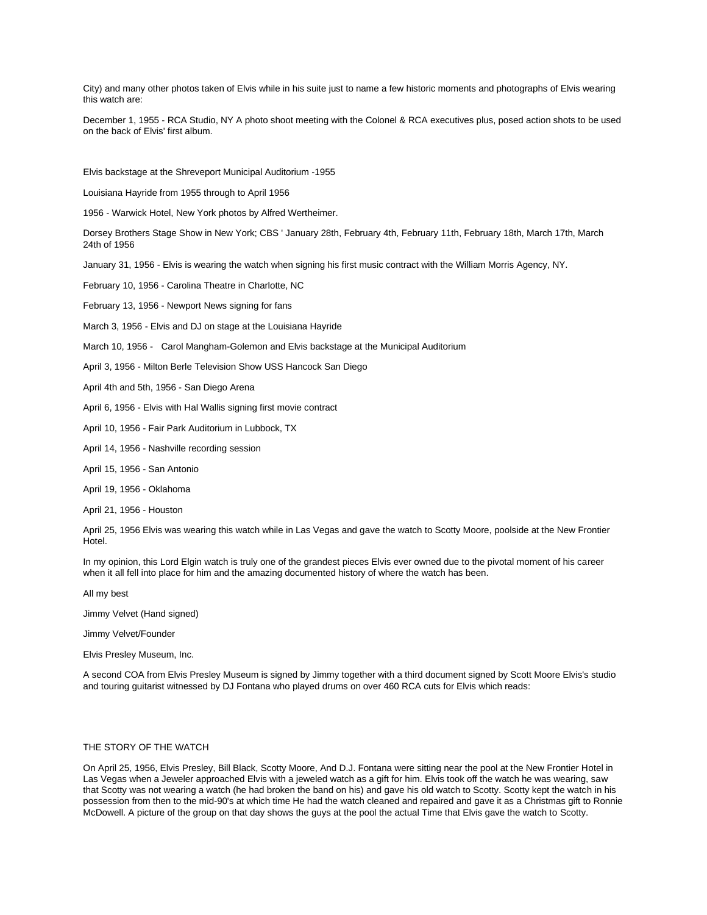City) and many other photos taken of Elvis while in his suite just to name a few historic moments and photographs of Elvis wearing this watch are:

December 1, 1955 - RCA Studio, NY A photo shoot meeting with the Colonel & RCA executives plus, posed action shots to be used on the back of Elvis' first album.

Elvis backstage at the Shreveport Municipal Auditorium -1955

Louisiana Hayride from 1955 through to April 1956

1956 - Warwick Hotel, New York photos by Alfred Wertheimer.

Dorsey Brothers Stage Show in New York; CBS ' January 28th, February 4th, February 11th, February 18th, March 17th, March 24th of 1956

January 31, 1956 - Elvis is wearing the watch when signing his first music contract with the William Morris Agency, NY.

February 10, 1956 - Carolina Theatre in Charlotte, NC

February 13, 1956 - Newport News signing for fans

March 3, 1956 - Elvis and DJ on stage at the Louisiana Hayride

March 10, 1956 - Carol Mangham-Golemon and Elvis backstage at the Municipal Auditorium

April 3, 1956 - Milton Berle Television Show USS Hancock San Diego

April 4th and 5th, 1956 - San Diego Arena

April 6, 1956 - Elvis with Hal Wallis signing first movie contract

April 10, 1956 - Fair Park Auditorium in Lubbock, TX

April 14, 1956 - Nashville recording session

April 15, 1956 - San Antonio

April 19, 1956 - Oklahoma

April 21, 1956 - Houston

April 25, 1956 Elvis was wearing this watch while in Las Vegas and gave the watch to Scotty Moore, poolside at the New Frontier Hotel.

In my opinion, this Lord Elgin watch is truly one of the grandest pieces Elvis ever owned due to the pivotal moment of his career when it all fell into place for him and the amazing documented history of where the watch has been.

All my best

Jimmy Velvet (Hand signed)

Jimmy Velvet/Founder

Elvis Presley Museum, Inc.

A second COA from Elvis Presley Museum is signed by Jimmy together with a third document signed by Scott Moore Elvis's studio and touring guitarist witnessed by DJ Fontana who played drums on over 460 RCA cuts for Elvis which reads:

#### THE STORY OF THE WATCH

On April 25, 1956, Elvis Presley, Bill Black, Scotty Moore, And D.J. Fontana were sitting near the pool at the New Frontier Hotel in Las Vegas when a Jeweler approached Elvis with a jeweled watch as a gift for him. Elvis took off the watch he was wearing, saw that Scotty was not wearing a watch (he had broken the band on his) and gave his old watch to Scotty. Scotty kept the watch in his possession from then to the mid-90's at which time He had the watch cleaned and repaired and gave it as a Christmas gift to Ronnie McDowell. A picture of the group on that day shows the guys at the pool the actual Time that Elvis gave the watch to Scotty.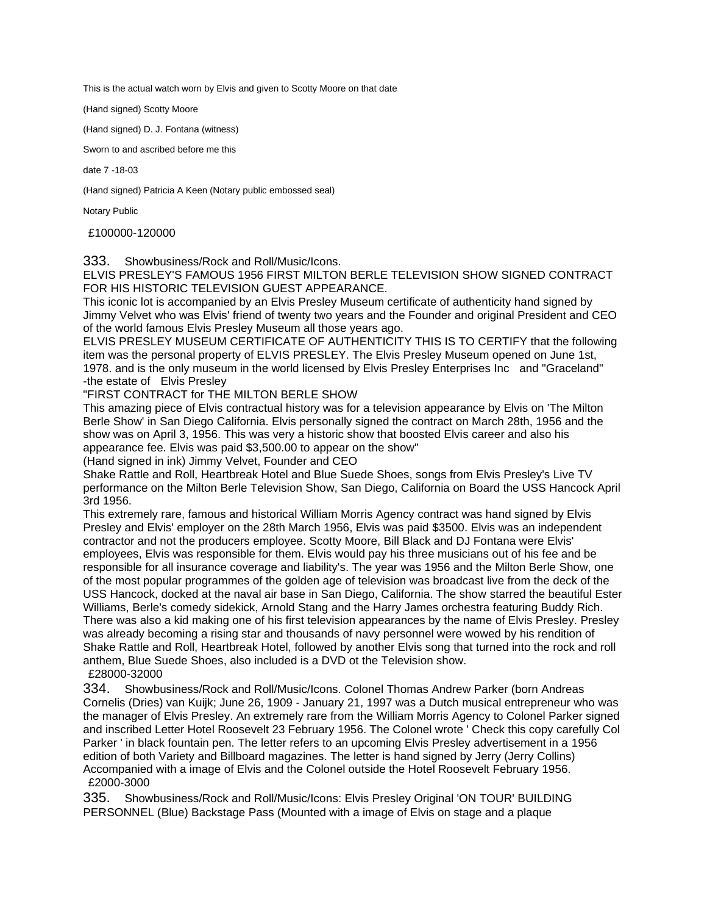This is the actual watch worn by Elvis and given to Scotty Moore on that date

(Hand signed) Scotty Moore

(Hand signed) D. J. Fontana (witness)

Sworn to and ascribed before me this

date 7 -18-03

(Hand signed) Patricia A Keen (Notary public embossed seal)

Notary Public

£100000-120000

333. Showbusiness/Rock and Roll/Music/Icons.

ELVIS PRESLEY'S FAMOUS 1956 FIRST MILTON BERLE TELEVISION SHOW SIGNED CONTRACT FOR HIS HISTORIC TELEVISION GUEST APPEARANCE.

This iconic lot is accompanied by an Elvis Presley Museum certificate of authenticity hand signed by Jimmy Velvet who was Elvis' friend of twenty two years and the Founder and original President and CEO of the world famous Elvis Presley Museum all those years ago.

ELVIS PRESLEY MUSEUM CERTIFICATE OF AUTHENTICITY THIS IS TO CERTIFY that the following item was the personal property of ELVIS PRESLEY. The Elvis Presley Museum opened on June 1st, 1978. and is the only museum in the world licensed by Elvis Presley Enterprises Inc and "Graceland" -the estate of Elvis Presley

"FIRST CONTRACT for THE MILTON BERLE SHOW

This amazing piece of Elvis contractual history was for a television appearance by Elvis on 'The Milton Berle Show' in San Diego California. Elvis personally signed the contract on March 28th, 1956 and the show was on April 3, 1956. This was very a historic show that boosted Elvis career and also his appearance fee. Elvis was paid \$3,500.00 to appear on the show"

(Hand signed in ink) Jimmy Velvet, Founder and CEO

Shake Rattle and Roll, Heartbreak Hotel and Blue Suede Shoes, songs from Elvis Presley's Live TV performance on the Milton Berle Television Show, San Diego, California on Board the USS Hancock April 3rd 1956.

This extremely rare, famous and historical William Morris Agency contract was hand signed by Elvis Presley and Elvis' employer on the 28th March 1956, Elvis was paid \$3500. Elvis was an independent contractor and not the producers employee. Scotty Moore, Bill Black and DJ Fontana were Elvis' employees, Elvis was responsible for them. Elvis would pay his three musicians out of his fee and be responsible for all insurance coverage and liability's. The year was 1956 and the Milton Berle Show, one of the most popular programmes of the golden age of television was broadcast live from the deck of the USS Hancock, docked at the naval air base in San Diego, California. The show starred the beautiful Ester Williams, Berle's comedy sidekick, Arnold Stang and the Harry James orchestra featuring Buddy Rich. There was also a kid making one of his first television appearances by the name of Elvis Presley. Presley was already becoming a rising star and thousands of navy personnel were wowed by his rendition of Shake Rattle and Roll, Heartbreak Hotel, followed by another Elvis song that turned into the rock and roll anthem, Blue Suede Shoes, also included is a DVD ot the Television show. £28000-32000

334. Showbusiness/Rock and Roll/Music/Icons. Colonel Thomas Andrew Parker (born Andreas Cornelis (Dries) van Kuijk; June 26, 1909 - January 21, 1997 was a Dutch musical entrepreneur who was the manager of Elvis Presley. An extremely rare from the William Morris Agency to Colonel Parker signed and inscribed Letter Hotel Roosevelt 23 February 1956. The Colonel wrote ' Check this copy carefully Col Parker ' in black fountain pen. The letter refers to an upcoming Elvis Presley advertisement in a 1956 edition of both Variety and Billboard magazines. The letter is hand signed by Jerry (Jerry Collins) Accompanied with a image of Elvis and the Colonel outside the Hotel Roosevelt February 1956. £2000-3000

335. Showbusiness/Rock and Roll/Music/Icons: Elvis Presley Original 'ON TOUR' BUILDING PERSONNEL (Blue) Backstage Pass (Mounted with a image of Elvis on stage and a plaque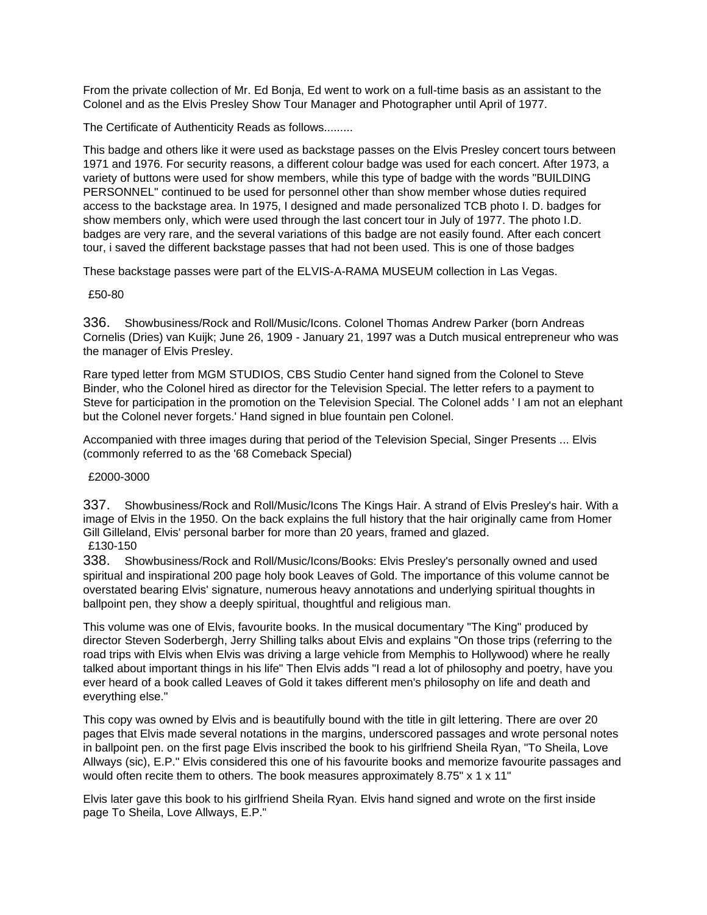From the private collection of Mr. Ed Bonja, Ed went to work on a full-time basis as an assistant to the Colonel and as the Elvis Presley Show Tour Manager and Photographer until April of 1977.

The Certificate of Authenticity Reads as follows.........

This badge and others like it were used as backstage passes on the Elvis Presley concert tours between 1971 and 1976. For security reasons, a different colour badge was used for each concert. After 1973, a variety of buttons were used for show members, while this type of badge with the words "BUILDING PERSONNEL" continued to be used for personnel other than show member whose duties required access to the backstage area. In 1975, I designed and made personalized TCB photo I. D. badges for show members only, which were used through the last concert tour in July of 1977. The photo I.D. badges are very rare, and the several variations of this badge are not easily found. After each concert tour, i saved the different backstage passes that had not been used. This is one of those badges

These backstage passes were part of the ELVIS-A-RAMA MUSEUM collection in Las Vegas.

£50-80

336. Showbusiness/Rock and Roll/Music/Icons. Colonel Thomas Andrew Parker (born Andreas Cornelis (Dries) van Kuijk; June 26, 1909 - January 21, 1997 was a Dutch musical entrepreneur who was the manager of Elvis Presley.

Rare typed letter from MGM STUDIOS, CBS Studio Center hand signed from the Colonel to Steve Binder, who the Colonel hired as director for the Television Special. The letter refers to a payment to Steve for participation in the promotion on the Television Special. The Colonel adds ' I am not an elephant but the Colonel never forgets.' Hand signed in blue fountain pen Colonel.

Accompanied with three images during that period of the Television Special, Singer Presents ... Elvis (commonly referred to as the '68 Comeback Special)

£2000-3000

337. Showbusiness/Rock and Roll/Music/Icons The Kings Hair. A strand of Elvis Presley's hair. With a image of Elvis in the 1950. On the back explains the full history that the hair originally came from Homer Gill Gilleland, Elvis' personal barber for more than 20 years, framed and glazed. £130-150

338. Showbusiness/Rock and Roll/Music/Icons/Books: Elvis Presley's personally owned and used spiritual and inspirational 200 page holy book Leaves of Gold. The importance of this volume cannot be overstated bearing Elvis' signature, numerous heavy annotations and underlying spiritual thoughts in ballpoint pen, they show a deeply spiritual, thoughtful and religious man.

This volume was one of Elvis, favourite books. In the musical documentary "The King" produced by director Steven Soderbergh, Jerry Shilling talks about Elvis and explains "On those trips (referring to the road trips with Elvis when Elvis was driving a large vehicle from Memphis to Hollywood) where he really talked about important things in his life" Then Elvis adds "I read a lot of philosophy and poetry, have you ever heard of a book called Leaves of Gold it takes different men's philosophy on life and death and everything else."

This copy was owned by Elvis and is beautifully bound with the title in gilt lettering. There are over 20 pages that Elvis made several notations in the margins, underscored passages and wrote personal notes in ballpoint pen. on the first page Elvis inscribed the book to his girlfriend Sheila Ryan, "To Sheila, Love Allways (sic), E.P." Elvis considered this one of his favourite books and memorize favourite passages and would often recite them to others. The book measures approximately 8.75" x 1 x 11"

Elvis later gave this book to his girlfriend Sheila Ryan. Elvis hand signed and wrote on the first inside page To Sheila, Love Allways, E.P."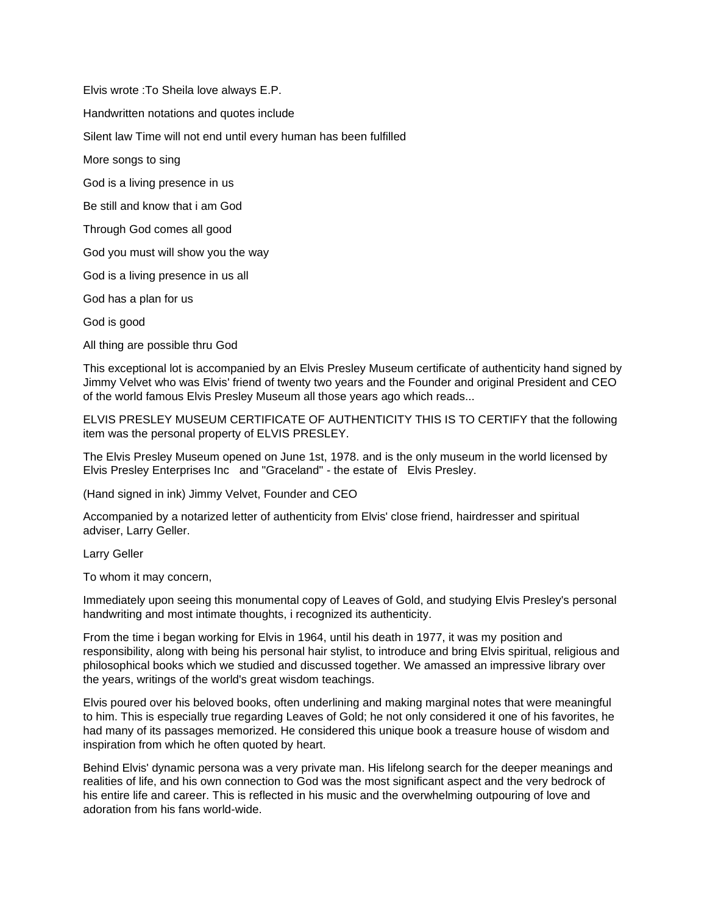Elvis wrote :To Sheila love always E.P.

Handwritten notations and quotes include

Silent law Time will not end until every human has been fulfilled

More songs to sing

God is a living presence in us

Be still and know that i am God

Through God comes all good

God you must will show you the way

God is a living presence in us all

God has a plan for us

God is good

All thing are possible thru God

This exceptional lot is accompanied by an Elvis Presley Museum certificate of authenticity hand signed by Jimmy Velvet who was Elvis' friend of twenty two years and the Founder and original President and CEO of the world famous Elvis Presley Museum all those years ago which reads...

ELVIS PRESLEY MUSEUM CERTIFICATE OF AUTHENTICITY THIS IS TO CERTIFY that the following item was the personal property of ELVIS PRESLEY.

The Elvis Presley Museum opened on June 1st, 1978. and is the only museum in the world licensed by Elvis Presley Enterprises Inc and "Graceland" - the estate of Elvis Presley.

(Hand signed in ink) Jimmy Velvet, Founder and CEO

Accompanied by a notarized letter of authenticity from Elvis' close friend, hairdresser and spiritual adviser, Larry Geller.

Larry Geller

To whom it may concern,

Immediately upon seeing this monumental copy of Leaves of Gold, and studying Elvis Presley's personal handwriting and most intimate thoughts, i recognized its authenticity.

From the time i began working for Elvis in 1964, until his death in 1977, it was my position and responsibility, along with being his personal hair stylist, to introduce and bring Elvis spiritual, religious and philosophical books which we studied and discussed together. We amassed an impressive library over the years, writings of the world's great wisdom teachings.

Elvis poured over his beloved books, often underlining and making marginal notes that were meaningful to him. This is especially true regarding Leaves of Gold; he not only considered it one of his favorites, he had many of its passages memorized. He considered this unique book a treasure house of wisdom and inspiration from which he often quoted by heart.

Behind Elvis' dynamic persona was a very private man. His lifelong search for the deeper meanings and realities of life, and his own connection to God was the most significant aspect and the very bedrock of his entire life and career. This is reflected in his music and the overwhelming outpouring of love and adoration from his fans world-wide.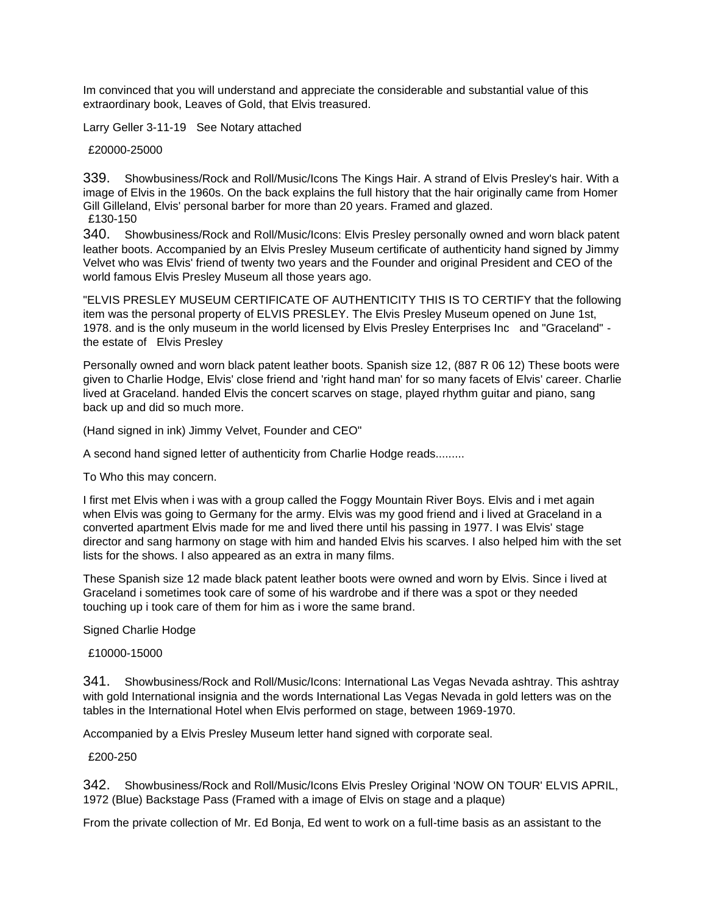Im convinced that you will understand and appreciate the considerable and substantial value of this extraordinary book, Leaves of Gold, that Elvis treasured.

Larry Geller 3-11-19 See Notary attached

£20000-25000

339. Showbusiness/Rock and Roll/Music/Icons The Kings Hair. A strand of Elvis Presley's hair. With a image of Elvis in the 1960s. On the back explains the full history that the hair originally came from Homer Gill Gilleland, Elvis' personal barber for more than 20 years. Framed and glazed. £130-150

340. Showbusiness/Rock and Roll/Music/Icons: Elvis Presley personally owned and worn black patent leather boots. Accompanied by an Elvis Presley Museum certificate of authenticity hand signed by Jimmy Velvet who was Elvis' friend of twenty two years and the Founder and original President and CEO of the world famous Elvis Presley Museum all those years ago.

"ELVIS PRESLEY MUSEUM CERTIFICATE OF AUTHENTICITY THIS IS TO CERTIFY that the following item was the personal property of ELVIS PRESLEY. The Elvis Presley Museum opened on June 1st, 1978. and is the only museum in the world licensed by Elvis Presley Enterprises Inc and "Graceland" the estate of Elvis Presley

Personally owned and worn black patent leather boots. Spanish size 12, (887 R 06 12) These boots were given to Charlie Hodge, Elvis' close friend and 'right hand man' for so many facets of Elvis' career. Charlie lived at Graceland. handed Elvis the concert scarves on stage, played rhythm guitar and piano, sang back up and did so much more.

(Hand signed in ink) Jimmy Velvet, Founder and CEO"

A second hand signed letter of authenticity from Charlie Hodge reads.........

To Who this may concern.

I first met Elvis when i was with a group called the Foggy Mountain River Boys. Elvis and i met again when Elvis was going to Germany for the army. Elvis was my good friend and i lived at Graceland in a converted apartment Elvis made for me and lived there until his passing in 1977. I was Elvis' stage director and sang harmony on stage with him and handed Elvis his scarves. I also helped him with the set lists for the shows. I also appeared as an extra in many films.

These Spanish size 12 made black patent leather boots were owned and worn by Elvis. Since i lived at Graceland i sometimes took care of some of his wardrobe and if there was a spot or they needed touching up i took care of them for him as i wore the same brand.

Signed Charlie Hodge

£10000-15000

341. Showbusiness/Rock and Roll/Music/Icons: International Las Vegas Nevada ashtray. This ashtray with gold International insignia and the words International Las Vegas Nevada in gold letters was on the tables in the International Hotel when Elvis performed on stage, between 1969-1970.

Accompanied by a Elvis Presley Museum letter hand signed with corporate seal.

£200-250

342. Showbusiness/Rock and Roll/Music/Icons Elvis Presley Original 'NOW ON TOUR' ELVIS APRIL, 1972 (Blue) Backstage Pass (Framed with a image of Elvis on stage and a plaque)

From the private collection of Mr. Ed Bonja, Ed went to work on a full-time basis as an assistant to the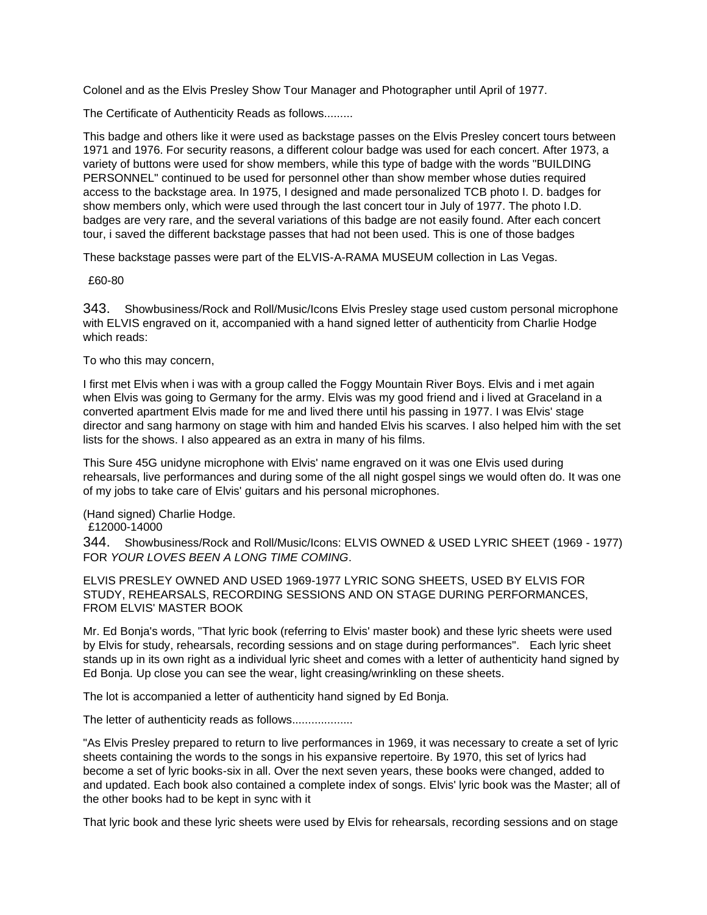Colonel and as the Elvis Presley Show Tour Manager and Photographer until April of 1977.

The Certificate of Authenticity Reads as follows.........

This badge and others like it were used as backstage passes on the Elvis Presley concert tours between 1971 and 1976. For security reasons, a different colour badge was used for each concert. After 1973, a variety of buttons were used for show members, while this type of badge with the words "BUILDING PERSONNEL" continued to be used for personnel other than show member whose duties required access to the backstage area. In 1975, I designed and made personalized TCB photo I. D. badges for show members only, which were used through the last concert tour in July of 1977. The photo I.D. badges are very rare, and the several variations of this badge are not easily found. After each concert tour, i saved the different backstage passes that had not been used. This is one of those badges

These backstage passes were part of the ELVIS-A-RAMA MUSEUM collection in Las Vegas.

£60-80

343. Showbusiness/Rock and Roll/Music/Icons Elvis Presley stage used custom personal microphone with ELVIS engraved on it, accompanied with a hand signed letter of authenticity from Charlie Hodge which reads:

To who this may concern,

I first met Elvis when i was with a group called the Foggy Mountain River Boys. Elvis and i met again when Elvis was going to Germany for the army. Elvis was my good friend and i lived at Graceland in a converted apartment Elvis made for me and lived there until his passing in 1977. I was Elvis' stage director and sang harmony on stage with him and handed Elvis his scarves. I also helped him with the set lists for the shows. I also appeared as an extra in many of his films.

This Sure 45G unidyne microphone with Elvis' name engraved on it was one Elvis used during rehearsals, live performances and during some of the all night gospel sings we would often do. It was one of my jobs to take care of Elvis' guitars and his personal microphones.

(Hand signed) Charlie Hodge.

£12000-14000

344. Showbusiness/Rock and Roll/Music/Icons: ELVIS OWNED & USED LYRIC SHEET (1969 - 1977) FOR *YOUR LOVES BEEN A LONG TIME COMING*.

ELVIS PRESLEY OWNED AND USED 1969-1977 LYRIC SONG SHEETS, USED BY ELVIS FOR STUDY, REHEARSALS, RECORDING SESSIONS AND ON STAGE DURING PERFORMANCES, FROM ELVIS' MASTER BOOK

Mr. Ed Bonja's words, "That lyric book (referring to Elvis' master book) and these lyric sheets were used by Elvis for study, rehearsals, recording sessions and on stage during performances". Each lyric sheet stands up in its own right as a individual lyric sheet and comes with a letter of authenticity hand signed by Ed Bonja. Up close you can see the wear, light creasing/wrinkling on these sheets.

The lot is accompanied a letter of authenticity hand signed by Ed Bonja.

The letter of authenticity reads as follows...................

"As Elvis Presley prepared to return to live performances in 1969, it was necessary to create a set of lyric sheets containing the words to the songs in his expansive repertoire. By 1970, this set of lyrics had become a set of lyric books-six in all. Over the next seven years, these books were changed, added to and updated. Each book also contained a complete index of songs. Elvis' lyric book was the Master; all of the other books had to be kept in sync with it

That lyric book and these lyric sheets were used by Elvis for rehearsals, recording sessions and on stage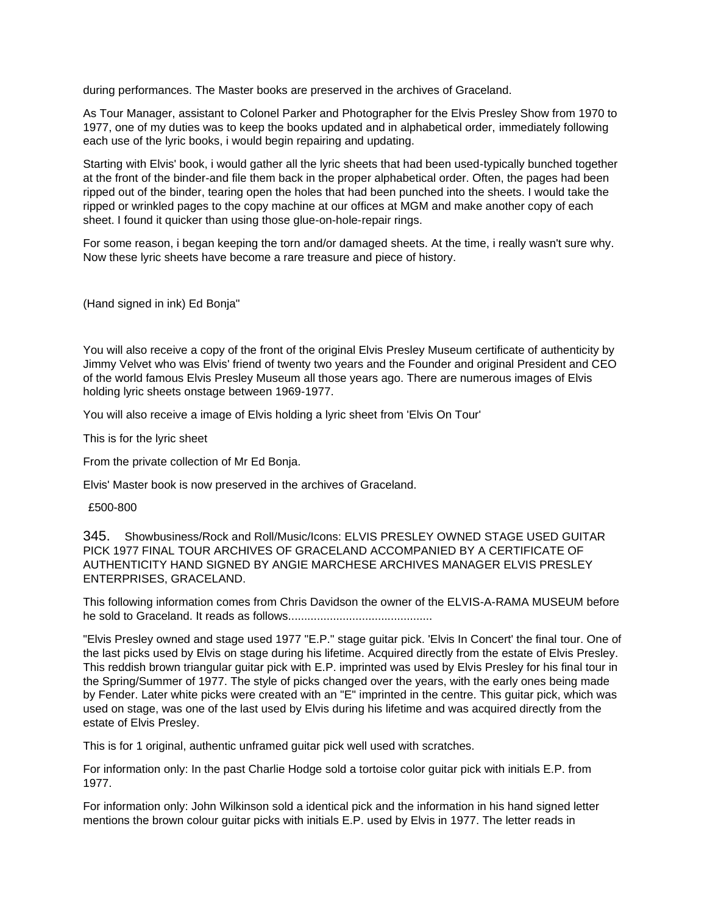during performances. The Master books are preserved in the archives of Graceland.

As Tour Manager, assistant to Colonel Parker and Photographer for the Elvis Presley Show from 1970 to 1977, one of my duties was to keep the books updated and in alphabetical order, immediately following each use of the lyric books, i would begin repairing and updating.

Starting with Elvis' book, i would gather all the lyric sheets that had been used-typically bunched together at the front of the binder-and file them back in the proper alphabetical order. Often, the pages had been ripped out of the binder, tearing open the holes that had been punched into the sheets. I would take the ripped or wrinkled pages to the copy machine at our offices at MGM and make another copy of each sheet. I found it quicker than using those glue-on-hole-repair rings.

For some reason, i began keeping the torn and/or damaged sheets. At the time, i really wasn't sure why. Now these lyric sheets have become a rare treasure and piece of history.

(Hand signed in ink) Ed Bonja"

You will also receive a copy of the front of the original Elvis Presley Museum certificate of authenticity by Jimmy Velvet who was Elvis' friend of twenty two years and the Founder and original President and CEO of the world famous Elvis Presley Museum all those years ago. There are numerous images of Elvis holding lyric sheets onstage between 1969-1977.

You will also receive a image of Elvis holding a lyric sheet from 'Elvis On Tour'

This is for the lyric sheet

From the private collection of Mr Ed Bonja.

Elvis' Master book is now preserved in the archives of Graceland.

#### £500-800

345. Showbusiness/Rock and Roll/Music/Icons: ELVIS PRESLEY OWNED STAGE USED GUITAR PICK 1977 FINAL TOUR ARCHIVES OF GRACELAND ACCOMPANIED BY A CERTIFICATE OF AUTHENTICITY HAND SIGNED BY ANGIE MARCHESE ARCHIVES MANAGER ELVIS PRESLEY ENTERPRISES, GRACELAND.

This following information comes from Chris Davidson the owner of the ELVIS-A-RAMA MUSEUM before he sold to Graceland. It reads as follows.............................................

"Elvis Presley owned and stage used 1977 "E.P." stage guitar pick. 'Elvis In Concert' the final tour. One of the last picks used by Elvis on stage during his lifetime. Acquired directly from the estate of Elvis Presley. This reddish brown triangular guitar pick with E.P. imprinted was used by Elvis Presley for his final tour in the Spring/Summer of 1977. The style of picks changed over the years, with the early ones being made by Fender. Later white picks were created with an "E" imprinted in the centre. This guitar pick, which was used on stage, was one of the last used by Elvis during his lifetime and was acquired directly from the estate of Elvis Presley.

This is for 1 original, authentic unframed guitar pick well used with scratches.

For information only: In the past Charlie Hodge sold a tortoise color guitar pick with initials E.P. from 1977.

For information only: John Wilkinson sold a identical pick and the information in his hand signed letter mentions the brown colour guitar picks with initials E.P. used by Elvis in 1977. The letter reads in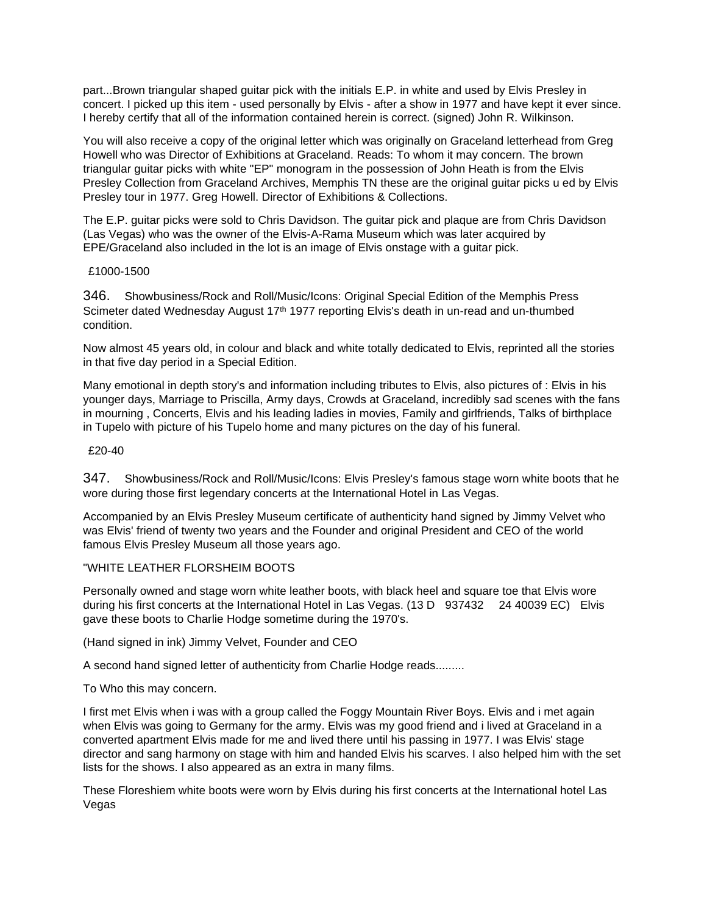part...Brown triangular shaped guitar pick with the initials E.P. in white and used by Elvis Presley in concert. I picked up this item - used personally by Elvis - after a show in 1977 and have kept it ever since. I hereby certify that all of the information contained herein is correct. (signed) John R. Wilkinson.

You will also receive a copy of the original letter which was originally on Graceland letterhead from Greg Howell who was Director of Exhibitions at Graceland. Reads: To whom it may concern. The brown triangular guitar picks with white "EP" monogram in the possession of John Heath is from the Elvis Presley Collection from Graceland Archives, Memphis TN these are the original guitar picks u ed by Elvis Presley tour in 1977. Greg Howell. Director of Exhibitions & Collections.

The E.P. guitar picks were sold to Chris Davidson. The guitar pick and plaque are from Chris Davidson (Las Vegas) who was the owner of the Elvis-A-Rama Museum which was later acquired by EPE/Graceland also included in the lot is an image of Elvis onstage with a guitar pick.

### £1000-1500

346. Showbusiness/Rock and Roll/Music/Icons: Original Special Edition of the Memphis Press Scimeter dated Wednesday August 17<sup>th</sup> 1977 reporting Elvis's death in un-read and un-thumbed condition.

Now almost 45 years old, in colour and black and white totally dedicated to Elvis, reprinted all the stories in that five day period in a Special Edition.

Many emotional in depth story's and information including tributes to Elvis, also pictures of : Elvis in his younger days, Marriage to Priscilla, Army days, Crowds at Graceland, incredibly sad scenes with the fans in mourning , Concerts, Elvis and his leading ladies in movies, Family and girlfriends, Talks of birthplace in Tupelo with picture of his Tupelo home and many pictures on the day of his funeral.

### £20-40

347. Showbusiness/Rock and Roll/Music/Icons: Elvis Presley's famous stage worn white boots that he wore during those first legendary concerts at the International Hotel in Las Vegas.

Accompanied by an Elvis Presley Museum certificate of authenticity hand signed by Jimmy Velvet who was Elvis' friend of twenty two years and the Founder and original President and CEO of the world famous Elvis Presley Museum all those years ago.

### "WHITE LEATHER FLORSHEIM BOOTS

Personally owned and stage worn white leather boots, with black heel and square toe that Elvis wore during his first concerts at the International Hotel in Las Vegas. (13 D 937432 24 40039 EC) Elvis gave these boots to Charlie Hodge sometime during the 1970's.

(Hand signed in ink) Jimmy Velvet, Founder and CEO

A second hand signed letter of authenticity from Charlie Hodge reads.........

To Who this may concern.

I first met Elvis when i was with a group called the Foggy Mountain River Boys. Elvis and i met again when Elvis was going to Germany for the army. Elvis was my good friend and i lived at Graceland in a converted apartment Elvis made for me and lived there until his passing in 1977. I was Elvis' stage director and sang harmony on stage with him and handed Elvis his scarves. I also helped him with the set lists for the shows. I also appeared as an extra in many films.

These Floreshiem white boots were worn by Elvis during his first concerts at the International hotel Las Vegas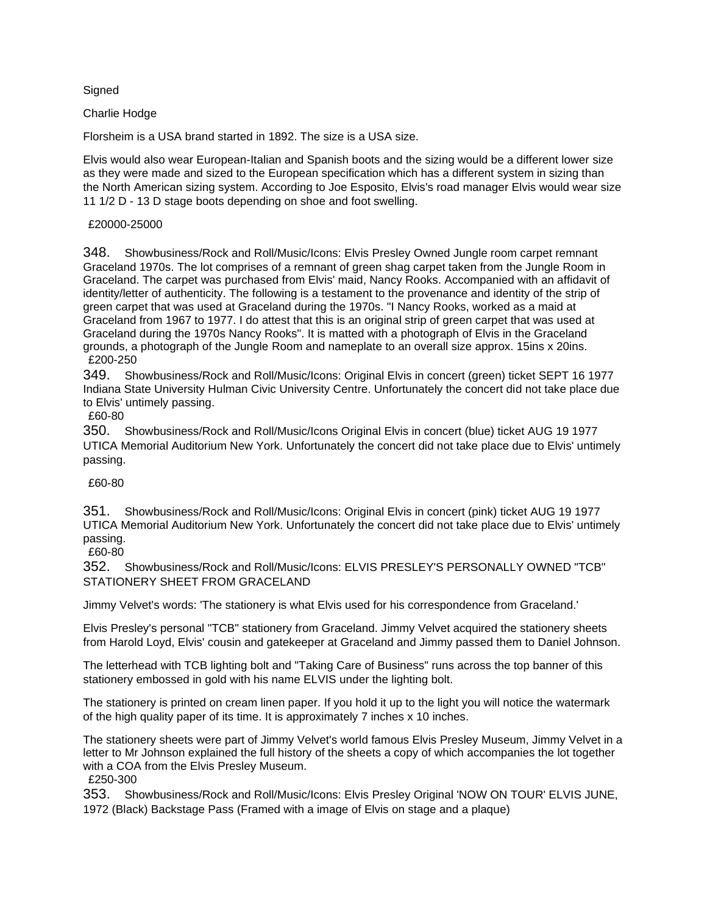Signed

## Charlie Hodge

Florsheim is a USA brand started in 1892. The size is a USA size.

Elvis would also wear European-Italian and Spanish boots and the sizing would be a different lower size as they were made and sized to the European specification which has a different system in sizing than the North American sizing system. According to Joe Esposito, Elvis's road manager Elvis would wear size 11 1/2 D - 13 D stage boots depending on shoe and foot swelling.

## £20000-25000

348. Showbusiness/Rock and Roll/Music/Icons: Elvis Presley Owned Jungle room carpet remnant Graceland 1970s. The lot comprises of a remnant of green shag carpet taken from the Jungle Room in Graceland. The carpet was purchased from Elvis' maid, Nancy Rooks. Accompanied with an affidavit of identity/letter of authenticity. The following is a testament to the provenance and identity of the strip of green carpet that was used at Graceland during the 1970s. "I Nancy Rooks, worked as a maid at Graceland from 1967 to 1977. I do attest that this is an original strip of green carpet that was used at Graceland during the 1970s Nancy Rooks". It is matted with a photograph of Elvis in the Graceland grounds, a photograph of the Jungle Room and nameplate to an overall size approx. 15ins x 20ins. £200-250

349. Showbusiness/Rock and Roll/Music/Icons: Original Elvis in concert (green) ticket SEPT 16 1977 Indiana State University Hulman Civic University Centre. Unfortunately the concert did not take place due to Elvis' untimely passing.

£60-80

350. Showbusiness/Rock and Roll/Music/Icons Original Elvis in concert (blue) ticket AUG 19 1977 UTICA Memorial Auditorium New York. Unfortunately the concert did not take place due to Elvis' untimely passing.

# £60-80

351. Showbusiness/Rock and Roll/Music/Icons: Original Elvis in concert (pink) ticket AUG 19 1977 UTICA Memorial Auditorium New York. Unfortunately the concert did not take place due to Elvis' untimely passing.

£60-80

352. Showbusiness/Rock and Roll/Music/Icons: ELVIS PRESLEY'S PERSONALLY OWNED "TCB" STATIONERY SHEET FROM GRACELAND

Jimmy Velvet's words: 'The stationery is what Elvis used for his correspondence from Graceland.'

Elvis Presley's personal "TCB" stationery from Graceland. Jimmy Velvet acquired the stationery sheets from Harold Loyd, Elvis' cousin and gatekeeper at Graceland and Jimmy passed them to Daniel Johnson.

The letterhead with TCB lighting bolt and "Taking Care of Business" runs across the top banner of this stationery embossed in gold with his name ELVIS under the lighting bolt.

The stationery is printed on cream linen paper. If you hold it up to the light you will notice the watermark of the high quality paper of its time. It is approximately 7 inches x 10 inches.

The stationery sheets were part of Jimmy Velvet's world famous Elvis Presley Museum, Jimmy Velvet in a letter to Mr Johnson explained the full history of the sheets a copy of which accompanies the lot together with a COA from the Elvis Presley Museum.

£250-300

353. Showbusiness/Rock and Roll/Music/Icons: Elvis Presley Original 'NOW ON TOUR' ELVIS JUNE, 1972 (Black) Backstage Pass (Framed with a image of Elvis on stage and a plaque)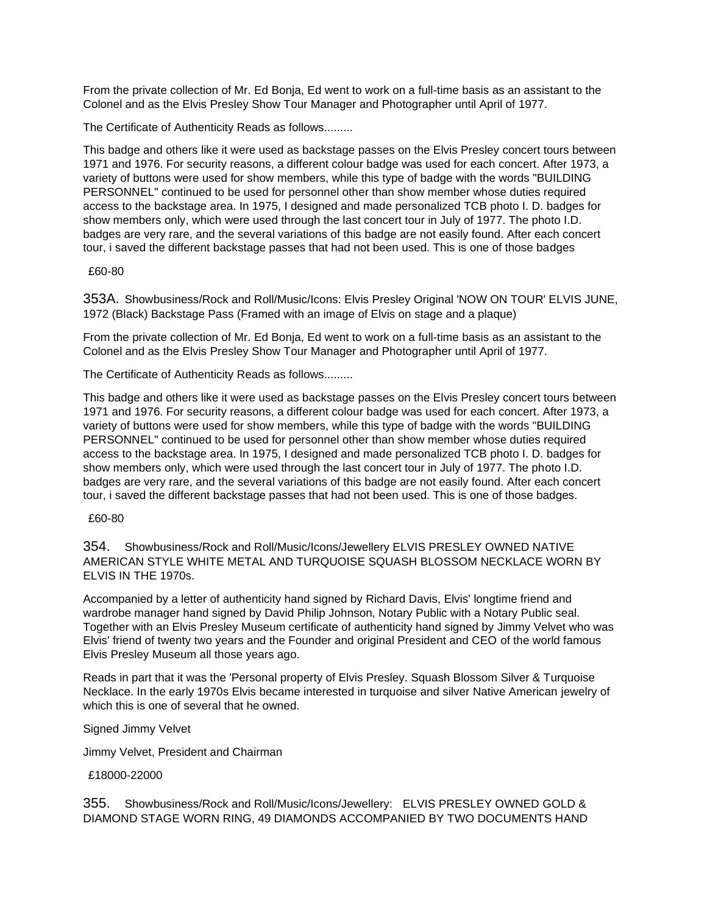From the private collection of Mr. Ed Bonja, Ed went to work on a full-time basis as an assistant to the Colonel and as the Elvis Presley Show Tour Manager and Photographer until April of 1977.

The Certificate of Authenticity Reads as follows.........

This badge and others like it were used as backstage passes on the Elvis Presley concert tours between 1971 and 1976. For security reasons, a different colour badge was used for each concert. After 1973, a variety of buttons were used for show members, while this type of badge with the words "BUILDING PERSONNEL" continued to be used for personnel other than show member whose duties required access to the backstage area. In 1975, I designed and made personalized TCB photo I. D. badges for show members only, which were used through the last concert tour in July of 1977. The photo I.D. badges are very rare, and the several variations of this badge are not easily found. After each concert tour, i saved the different backstage passes that had not been used. This is one of those badges

### £60-80

353A. Showbusiness/Rock and Roll/Music/Icons: Elvis Presley Original 'NOW ON TOUR' ELVIS JUNE, 1972 (Black) Backstage Pass (Framed with an image of Elvis on stage and a plaque)

From the private collection of Mr. Ed Bonja, Ed went to work on a full-time basis as an assistant to the Colonel and as the Elvis Presley Show Tour Manager and Photographer until April of 1977.

The Certificate of Authenticity Reads as follows.........

This badge and others like it were used as backstage passes on the Elvis Presley concert tours between 1971 and 1976. For security reasons, a different colour badge was used for each concert. After 1973, a variety of buttons were used for show members, while this type of badge with the words "BUILDING PERSONNEL" continued to be used for personnel other than show member whose duties required access to the backstage area. In 1975, I designed and made personalized TCB photo I. D. badges for show members only, which were used through the last concert tour in July of 1977. The photo I.D. badges are very rare, and the several variations of this badge are not easily found. After each concert tour, i saved the different backstage passes that had not been used. This is one of those badges.

### £60-80

354. Showbusiness/Rock and Roll/Music/Icons/Jewellery ELVIS PRESLEY OWNED NATIVE AMERICAN STYLE WHITE METAL AND TURQUOISE SQUASH BLOSSOM NECKLACE WORN BY ELVIS IN THE 1970s.

Accompanied by a letter of authenticity hand signed by Richard Davis, Elvis' longtime friend and wardrobe manager hand signed by David Philip Johnson, Notary Public with a Notary Public seal. Together with an Elvis Presley Museum certificate of authenticity hand signed by Jimmy Velvet who was Elvis' friend of twenty two years and the Founder and original President and CEO of the world famous Elvis Presley Museum all those years ago.

Reads in part that it was the 'Personal property of Elvis Presley. Squash Blossom Silver & Turquoise Necklace. In the early 1970s Elvis became interested in turquoise and silver Native American jewelry of which this is one of several that he owned.

### Signed Jimmy Velvet

Jimmy Velvet, President and Chairman

### £18000-22000

355. Showbusiness/Rock and Roll/Music/Icons/Jewellery: ELVIS PRESLEY OWNED GOLD & DIAMOND STAGE WORN RING, 49 DIAMONDS ACCOMPANIED BY TWO DOCUMENTS HAND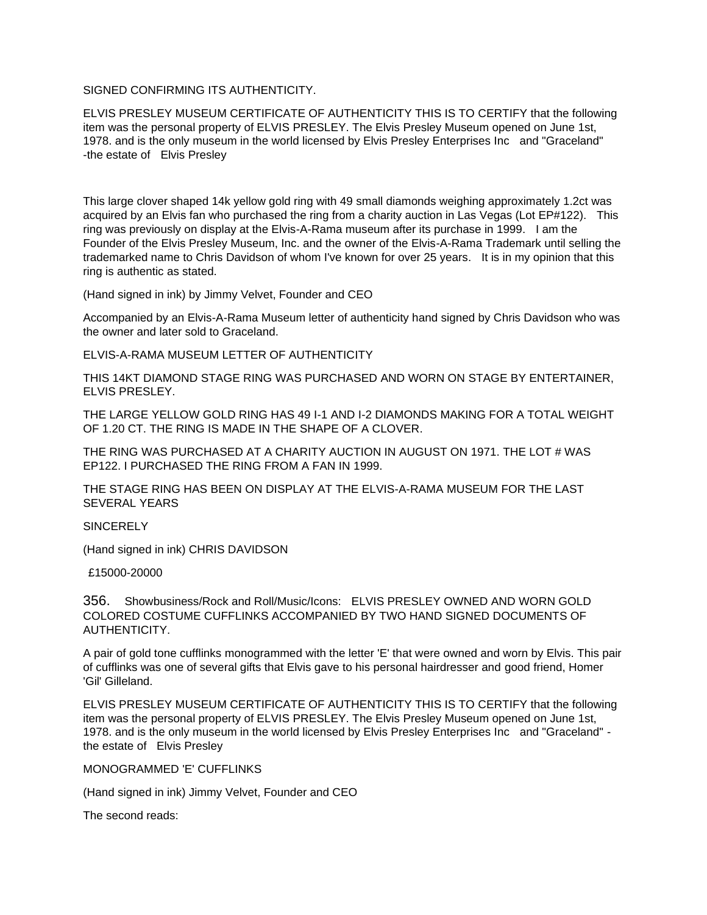# SIGNED CONFIRMING ITS AUTHENTICITY.

ELVIS PRESLEY MUSEUM CERTIFICATE OF AUTHENTICITY THIS IS TO CERTIFY that the following item was the personal property of ELVIS PRESLEY. The Elvis Presley Museum opened on June 1st, 1978. and is the only museum in the world licensed by Elvis Presley Enterprises Inc and "Graceland" -the estate of Elvis Presley

This large clover shaped 14k yellow gold ring with 49 small diamonds weighing approximately 1.2ct was acquired by an Elvis fan who purchased the ring from a charity auction in Las Vegas (Lot EP#122). This ring was previously on display at the Elvis-A-Rama museum after its purchase in 1999. I am the Founder of the Elvis Presley Museum, Inc. and the owner of the Elvis-A-Rama Trademark until selling the trademarked name to Chris Davidson of whom I've known for over 25 years. It is in my opinion that this ring is authentic as stated.

(Hand signed in ink) by Jimmy Velvet, Founder and CEO

Accompanied by an Elvis-A-Rama Museum letter of authenticity hand signed by Chris Davidson who was the owner and later sold to Graceland.

ELVIS-A-RAMA MUSEUM LETTER OF AUTHENTICITY

THIS 14KT DIAMOND STAGE RING WAS PURCHASED AND WORN ON STAGE BY ENTERTAINER, ELVIS PRESLEY.

THE LARGE YELLOW GOLD RING HAS 49 I-1 AND I-2 DIAMONDS MAKING FOR A TOTAL WEIGHT OF 1.20 CT. THE RING IS MADE IN THE SHAPE OF A CLOVER.

THE RING WAS PURCHASED AT A CHARITY AUCTION IN AUGUST ON 1971. THE LOT # WAS EP122. I PURCHASED THE RING FROM A FAN IN 1999.

THE STAGE RING HAS BEEN ON DISPLAY AT THE ELVIS-A-RAMA MUSEUM FOR THE LAST SEVERAL YEARS

SINCERELY

(Hand signed in ink) CHRIS DAVIDSON

£15000-20000

356. Showbusiness/Rock and Roll/Music/Icons: ELVIS PRESLEY OWNED AND WORN GOLD COLORED COSTUME CUFFLINKS ACCOMPANIED BY TWO HAND SIGNED DOCUMENTS OF AUTHENTICITY.

A pair of gold tone cufflinks monogrammed with the letter 'E' that were owned and worn by Elvis. This pair of cufflinks was one of several gifts that Elvis gave to his personal hairdresser and good friend, Homer 'Gil' Gilleland.

ELVIS PRESLEY MUSEUM CERTIFICATE OF AUTHENTICITY THIS IS TO CERTIFY that the following item was the personal property of ELVIS PRESLEY. The Elvis Presley Museum opened on June 1st, 1978. and is the only museum in the world licensed by Elvis Presley Enterprises Inc and "Graceland" the estate of Elvis Presley

MONOGRAMMED 'E' CUFFLINKS

(Hand signed in ink) Jimmy Velvet, Founder and CEO

The second reads: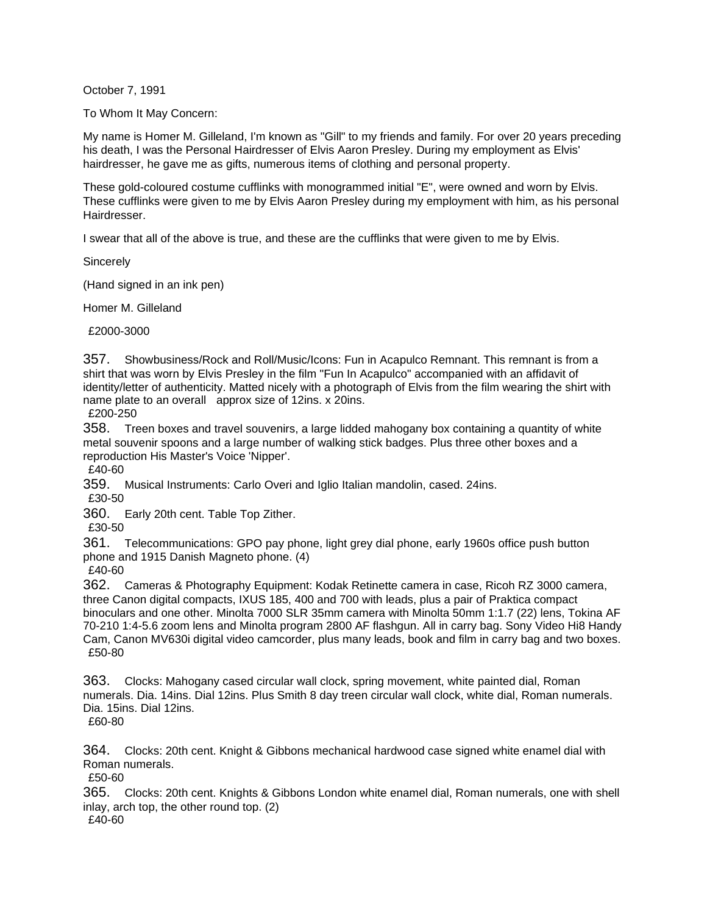October 7, 1991

To Whom It May Concern:

My name is Homer M. Gilleland, I'm known as "Gill" to my friends and family. For over 20 years preceding his death, I was the Personal Hairdresser of Elvis Aaron Presley. During my employment as Elvis' hairdresser, he gave me as gifts, numerous items of clothing and personal property.

These gold-coloured costume cufflinks with monogrammed initial "E", were owned and worn by Elvis. These cufflinks were given to me by Elvis Aaron Presley during my employment with him, as his personal Hairdresser.

I swear that all of the above is true, and these are the cufflinks that were given to me by Elvis.

**Sincerely** 

(Hand signed in an ink pen)

Homer M. Gilleland

£2000-3000

357. Showbusiness/Rock and Roll/Music/Icons: Fun in Acapulco Remnant. This remnant is from a shirt that was worn by Elvis Presley in the film "Fun In Acapulco" accompanied with an affidavit of identity/letter of authenticity. Matted nicely with a photograph of Elvis from the film wearing the shirt with name plate to an overall approx size of 12ins. x 20ins.

£200-250

358. Treen boxes and travel souvenirs, a large lidded mahogany box containing a quantity of white metal souvenir spoons and a large number of walking stick badges. Plus three other boxes and a reproduction His Master's Voice 'Nipper'.

£40-60

359. Musical Instruments: Carlo Overi and Iglio Italian mandolin, cased. 24ins.

£30-50

360. Early 20th cent. Table Top Zither.

£30-50

361. Telecommunications: GPO pay phone, light grey dial phone, early 1960s office push button phone and 1915 Danish Magneto phone. (4)

£40-60

362. Cameras & Photography Equipment: Kodak Retinette camera in case, Ricoh RZ 3000 camera, three Canon digital compacts, IXUS 185, 400 and 700 with leads, plus a pair of Praktica compact binoculars and one other. Minolta 7000 SLR 35mm camera with Minolta 50mm 1:1.7 (22) lens, Tokina AF 70-210 1:4-5.6 zoom lens and Minolta program 2800 AF flashgun. All in carry bag. Sony Video Hi8 Handy Cam, Canon MV630i digital video camcorder, plus many leads, book and film in carry bag and two boxes. £50-80

363. Clocks: Mahogany cased circular wall clock, spring movement, white painted dial, Roman numerals. Dia. 14ins. Dial 12ins. Plus Smith 8 day treen circular wall clock, white dial, Roman numerals. Dia. 15ins. Dial 12ins.

£60-80

364. Clocks: 20th cent. Knight & Gibbons mechanical hardwood case signed white enamel dial with Roman numerals.

£50-60

365. Clocks: 20th cent. Knights & Gibbons London white enamel dial, Roman numerals, one with shell inlay, arch top, the other round top. (2)

£40-60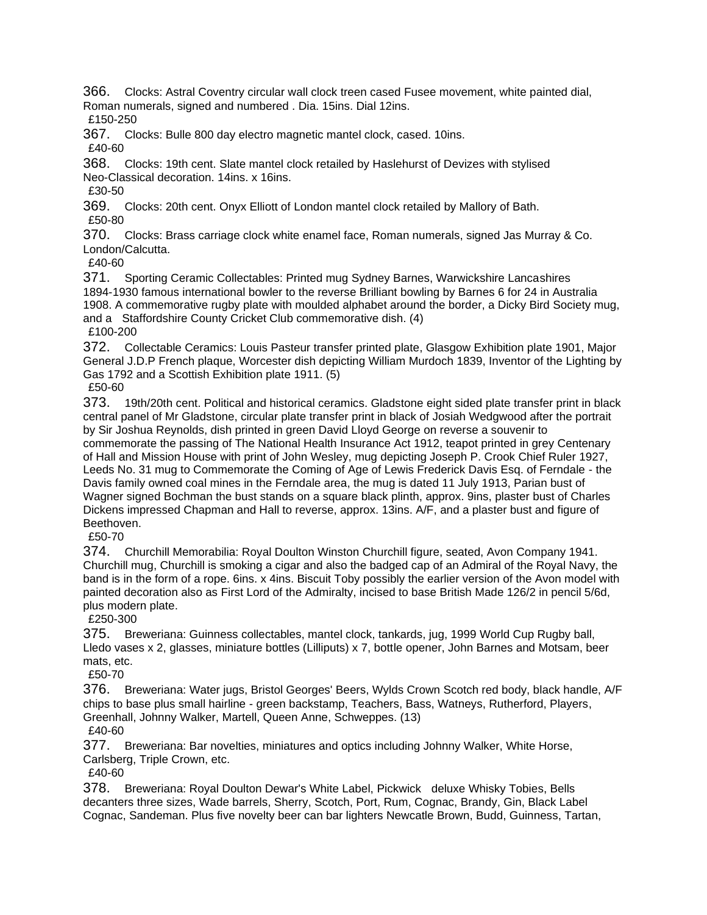366. Clocks: Astral Coventry circular wall clock treen cased Fusee movement, white painted dial, Roman numerals, signed and numbered . Dia. 15ins. Dial 12ins. £150-250

367. Clocks: Bulle 800 day electro magnetic mantel clock, cased. 10ins.

£40-60

368. Clocks: 19th cent. Slate mantel clock retailed by Haslehurst of Devizes with stylised Neo-Classical decoration. 14ins. x 16ins.

£30-50

369. Clocks: 20th cent. Onyx Elliott of London mantel clock retailed by Mallory of Bath. £50-80

370. Clocks: Brass carriage clock white enamel face, Roman numerals, signed Jas Murray & Co. London/Calcutta.

£40-60

371. Sporting Ceramic Collectables: Printed mug Sydney Barnes, Warwickshire Lancashires 1894-1930 famous international bowler to the reverse Brilliant bowling by Barnes 6 for 24 in Australia 1908. A commemorative rugby plate with moulded alphabet around the border, a Dicky Bird Society mug, and a Staffordshire County Cricket Club commemorative dish. (4)

£100-200

372. Collectable Ceramics: Louis Pasteur transfer printed plate, Glasgow Exhibition plate 1901, Major General J.D.P French plaque, Worcester dish depicting William Murdoch 1839, Inventor of the Lighting by Gas 1792 and a Scottish Exhibition plate 1911. (5)

£50-60

373. 19th/20th cent. Political and historical ceramics. Gladstone eight sided plate transfer print in black central panel of Mr Gladstone, circular plate transfer print in black of Josiah Wedgwood after the portrait by Sir Joshua Reynolds, dish printed in green David Lloyd George on reverse a souvenir to commemorate the passing of The National Health Insurance Act 1912, teapot printed in grey Centenary of Hall and Mission House with print of John Wesley, mug depicting Joseph P. Crook Chief Ruler 1927, Leeds No. 31 mug to Commemorate the Coming of Age of Lewis Frederick Davis Esq. of Ferndale - the Davis family owned coal mines in the Ferndale area, the mug is dated 11 July 1913, Parian bust of Wagner signed Bochman the bust stands on a square black plinth, approx. 9ins, plaster bust of Charles Dickens impressed Chapman and Hall to reverse, approx. 13ins. A/F, and a plaster bust and figure of Beethoven.

£50-70

374. Churchill Memorabilia: Royal Doulton Winston Churchill figure, seated, Avon Company 1941. Churchill mug, Churchill is smoking a cigar and also the badged cap of an Admiral of the Royal Navy, the band is in the form of a rope. 6ins. x 4ins. Biscuit Toby possibly the earlier version of the Avon model with painted decoration also as First Lord of the Admiralty, incised to base British Made 126/2 in pencil 5/6d, plus modern plate.

£250-300

375. Breweriana: Guinness collectables, mantel clock, tankards, jug, 1999 World Cup Rugby ball, Lledo vases x 2, glasses, miniature bottles (Lilliputs) x 7, bottle opener, John Barnes and Motsam, beer mats, etc.

£50-70

376. Breweriana: Water jugs, Bristol Georges' Beers, Wylds Crown Scotch red body, black handle, A/F chips to base plus small hairline - green backstamp, Teachers, Bass, Watneys, Rutherford, Players, Greenhall, Johnny Walker, Martell, Queen Anne, Schweppes. (13) £40-60

377. Breweriana: Bar novelties, miniatures and optics including Johnny Walker, White Horse, Carlsberg, Triple Crown, etc.

£40-60

378. Breweriana: Royal Doulton Dewar's White Label, Pickwick deluxe Whisky Tobies, Bells decanters three sizes, Wade barrels, Sherry, Scotch, Port, Rum, Cognac, Brandy, Gin, Black Label Cognac, Sandeman. Plus five novelty beer can bar lighters Newcatle Brown, Budd, Guinness, Tartan,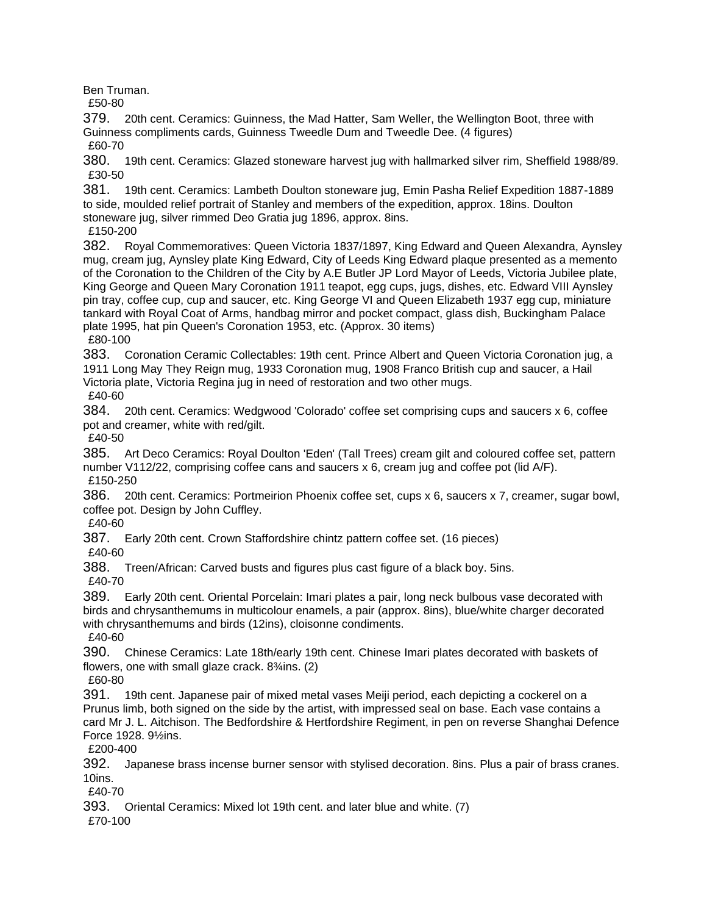Ben Truman.

£50-80

379. 20th cent. Ceramics: Guinness, the Mad Hatter, Sam Weller, the Wellington Boot, three with Guinness compliments cards, Guinness Tweedle Dum and Tweedle Dee. (4 figures) £60-70

380. 19th cent. Ceramics: Glazed stoneware harvest jug with hallmarked silver rim, Sheffield 1988/89. £30-50

381. 19th cent. Ceramics: Lambeth Doulton stoneware jug, Emin Pasha Relief Expedition 1887-1889 to side, moulded relief portrait of Stanley and members of the expedition, approx. 18ins. Doulton stoneware jug, silver rimmed Deo Gratia jug 1896, approx. 8ins. £150-200

382. Royal Commemoratives: Queen Victoria 1837/1897, King Edward and Queen Alexandra, Aynsley mug, cream jug, Aynsley plate King Edward, City of Leeds King Edward plaque presented as a memento of the Coronation to the Children of the City by A.E Butler JP Lord Mayor of Leeds, Victoria Jubilee plate, King George and Queen Mary Coronation 1911 teapot, egg cups, jugs, dishes, etc. Edward VIII Aynsley pin tray, coffee cup, cup and saucer, etc. King George VI and Queen Elizabeth 1937 egg cup, miniature tankard with Royal Coat of Arms, handbag mirror and pocket compact, glass dish, Buckingham Palace

plate 1995, hat pin Queen's Coronation 1953, etc. (Approx. 30 items) £80-100

383. Coronation Ceramic Collectables: 19th cent. Prince Albert and Queen Victoria Coronation jug, a 1911 Long May They Reign mug, 1933 Coronation mug, 1908 Franco British cup and saucer, a Hail Victoria plate, Victoria Regina jug in need of restoration and two other mugs.

£40-60

384. 20th cent. Ceramics: Wedgwood 'Colorado' coffee set comprising cups and saucers x 6, coffee pot and creamer, white with red/gilt.

£40-50

385. Art Deco Ceramics: Royal Doulton 'Eden' (Tall Trees) cream gilt and coloured coffee set, pattern number V112/22, comprising coffee cans and saucers x 6, cream jug and coffee pot (lid A/F). £150-250

386. 20th cent. Ceramics: Portmeirion Phoenix coffee set, cups x 6, saucers x 7, creamer, sugar bowl, coffee pot. Design by John Cuffley.

£40-60

387. Early 20th cent. Crown Staffordshire chintz pattern coffee set. (16 pieces) £40-60

388. Treen/African: Carved busts and figures plus cast figure of a black boy. 5ins.

£40-70

389. Early 20th cent. Oriental Porcelain: Imari plates a pair, long neck bulbous vase decorated with birds and chrysanthemums in multicolour enamels, a pair (approx. 8ins), blue/white charger decorated with chrysanthemums and birds (12ins), cloisonne condiments.

£40-60

390. Chinese Ceramics: Late 18th/early 19th cent. Chinese Imari plates decorated with baskets of flowers, one with small glaze crack.  $8\frac{3}{4}$ ins. (2)

£60-80

391. 19th cent. Japanese pair of mixed metal vases Meiji period, each depicting a cockerel on a Prunus limb, both signed on the side by the artist, with impressed seal on base. Each vase contains a card Mr J. L. Aitchison. The Bedfordshire & Hertfordshire Regiment, in pen on reverse Shanghai Defence Force 1928. 9½ins.

£200-400

392. Japanese brass incense burner sensor with stylised decoration. 8ins. Plus a pair of brass cranes. 10ins.

£40-70

393. Oriental Ceramics: Mixed lot 19th cent. and later blue and white. (7)

£70-100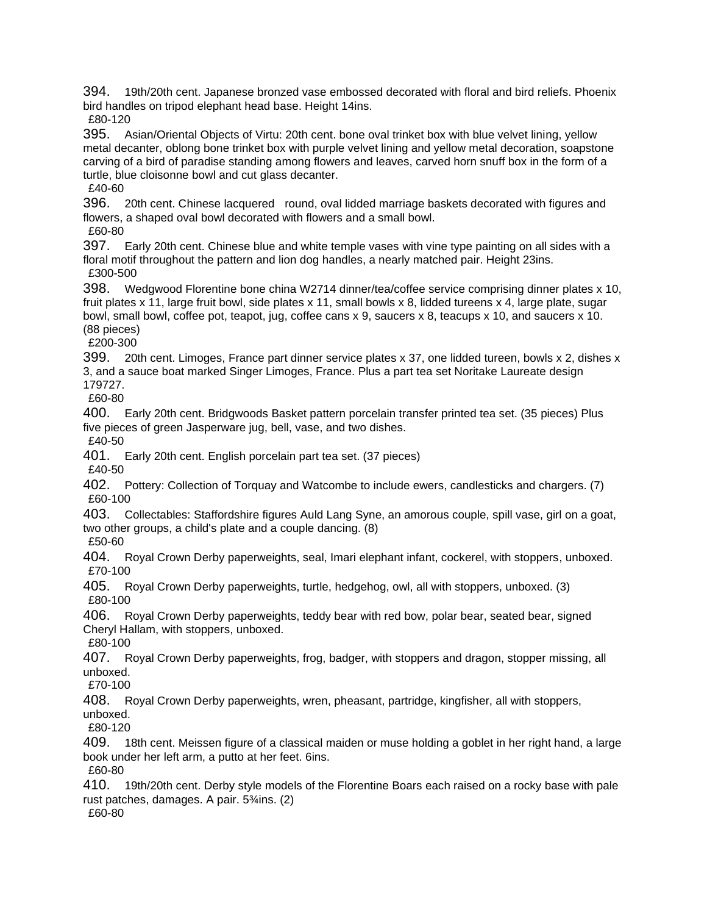394. 19th/20th cent. Japanese bronzed vase embossed decorated with floral and bird reliefs. Phoenix bird handles on tripod elephant head base. Height 14ins.

£80-120

395. Asian/Oriental Objects of Virtu: 20th cent. bone oval trinket box with blue velvet lining, yellow metal decanter, oblong bone trinket box with purple velvet lining and yellow metal decoration, soapstone carving of a bird of paradise standing among flowers and leaves, carved horn snuff box in the form of a turtle, blue cloisonne bowl and cut glass decanter.

£40-60

396. 20th cent. Chinese lacquered round, oval lidded marriage baskets decorated with figures and flowers, a shaped oval bowl decorated with flowers and a small bowl. £60-80

397. Early 20th cent. Chinese blue and white temple vases with vine type painting on all sides with a floral motif throughout the pattern and lion dog handles, a nearly matched pair. Height 23ins. £300-500

398. Wedgwood Florentine bone china W2714 dinner/tea/coffee service comprising dinner plates x 10, fruit plates x 11, large fruit bowl, side plates x 11, small bowls x 8, lidded tureens x 4, large plate, sugar bowl, small bowl, coffee pot, teapot, jug, coffee cans x 9, saucers x 8, teacups x 10, and saucers x 10. (88 pieces)

£200-300

399. 20th cent. Limoges, France part dinner service plates x 37, one lidded tureen, bowls x 2, dishes x 3, and a sauce boat marked Singer Limoges, France. Plus a part tea set Noritake Laureate design 179727.

£60-80

400. Early 20th cent. Bridgwoods Basket pattern porcelain transfer printed tea set. (35 pieces) Plus five pieces of green Jasperware jug, bell, vase, and two dishes.

£40-50

401. Early 20th cent. English porcelain part tea set. (37 pieces)

£40-50

402. Pottery: Collection of Torquay and Watcombe to include ewers, candlesticks and chargers. (7) £60-100

403. Collectables: Staffordshire figures Auld Lang Syne, an amorous couple, spill vase, girl on a goat, two other groups, a child's plate and a couple dancing. (8)

£50-60

404. Royal Crown Derby paperweights, seal, Imari elephant infant, cockerel, with stoppers, unboxed. £70-100

405. Royal Crown Derby paperweights, turtle, hedgehog, owl, all with stoppers, unboxed. (3) £80-100

406. Royal Crown Derby paperweights, teddy bear with red bow, polar bear, seated bear, signed Cheryl Hallam, with stoppers, unboxed.

£80-100

407. Royal Crown Derby paperweights, frog, badger, with stoppers and dragon, stopper missing, all unboxed.

£70-100

408. Royal Crown Derby paperweights, wren, pheasant, partridge, kingfisher, all with stoppers, unboxed.

£80-120

409. 18th cent. Meissen figure of a classical maiden or muse holding a goblet in her right hand, a large book under her left arm, a putto at her feet. 6ins.

£60-80

410. 19th/20th cent. Derby style models of the Florentine Boars each raised on a rocky base with pale rust patches, damages. A pair. 5¾ins. (2) £60-80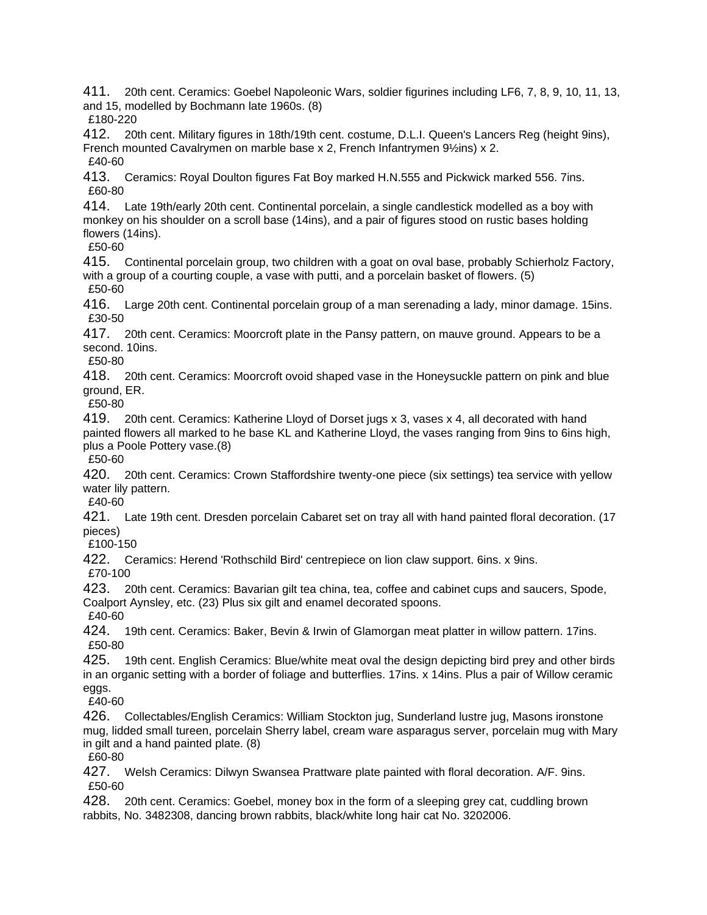411. 20th cent. Ceramics: Goebel Napoleonic Wars, soldier figurines including LF6, 7, 8, 9, 10, 11, 13, and 15, modelled by Bochmann late 1960s. (8) £180-220

412. 20th cent. Military figures in 18th/19th cent. costume, D.L.I. Queen's Lancers Reg (height 9ins), French mounted Cavalrymen on marble base x 2, French Infantrymen 9½ins) x 2. £40-60

413. Ceramics: Royal Doulton figures Fat Boy marked H.N.555 and Pickwick marked 556. 7ins. £60-80

414. Late 19th/early 20th cent. Continental porcelain, a single candlestick modelled as a boy with monkey on his shoulder on a scroll base (14ins), and a pair of figures stood on rustic bases holding flowers (14ins).

£50-60

415. Continental porcelain group, two children with a goat on oval base, probably Schierholz Factory, with a group of a courting couple, a vase with putti, and a porcelain basket of flowers. (5) £50-60

416. Large 20th cent. Continental porcelain group of a man serenading a lady, minor damage. 15ins. £30-50

417. 20th cent. Ceramics: Moorcroft plate in the Pansy pattern, on mauve ground. Appears to be a second. 10ins.

£50-80

418. 20th cent. Ceramics: Moorcroft ovoid shaped vase in the Honeysuckle pattern on pink and blue ground, ER.

£50-80

419. 20th cent. Ceramics: Katherine Lloyd of Dorset jugs x 3, vases x 4, all decorated with hand painted flowers all marked to he base KL and Katherine Lloyd, the vases ranging from 9ins to 6ins high, plus a Poole Pottery vase.(8)

£50-60

420. 20th cent. Ceramics: Crown Staffordshire twenty-one piece (six settings) tea service with yellow water lily pattern.

£40-60

421. Late 19th cent. Dresden porcelain Cabaret set on tray all with hand painted floral decoration. (17 pieces)

£100-150

422. Ceramics: Herend 'Rothschild Bird' centrepiece on lion claw support. 6ins. x 9ins.

£70-100

423. 20th cent. Ceramics: Bavarian gilt tea china, tea, coffee and cabinet cups and saucers, Spode, Coalport Aynsley, etc. (23) Plus six gilt and enamel decorated spoons.

£40-60

424. 19th cent. Ceramics: Baker, Bevin & Irwin of Glamorgan meat platter in willow pattern. 17ins. £50-80

425. 19th cent. English Ceramics: Blue/white meat oval the design depicting bird prey and other birds in an organic setting with a border of foliage and butterflies. 17ins. x 14ins. Plus a pair of Willow ceramic eggs.

£40-60

426. Collectables/English Ceramics: William Stockton jug, Sunderland lustre jug, Masons ironstone mug, lidded small tureen, porcelain Sherry label, cream ware asparagus server, porcelain mug with Mary in gilt and a hand painted plate. (8)

£60-80

427. Welsh Ceramics: Dilwyn Swansea Prattware plate painted with floral decoration. A/F. 9ins. £50-60

428. 20th cent. Ceramics: Goebel, money box in the form of a sleeping grey cat, cuddling brown rabbits, No. 3482308, dancing brown rabbits, black/white long hair cat No. 3202006.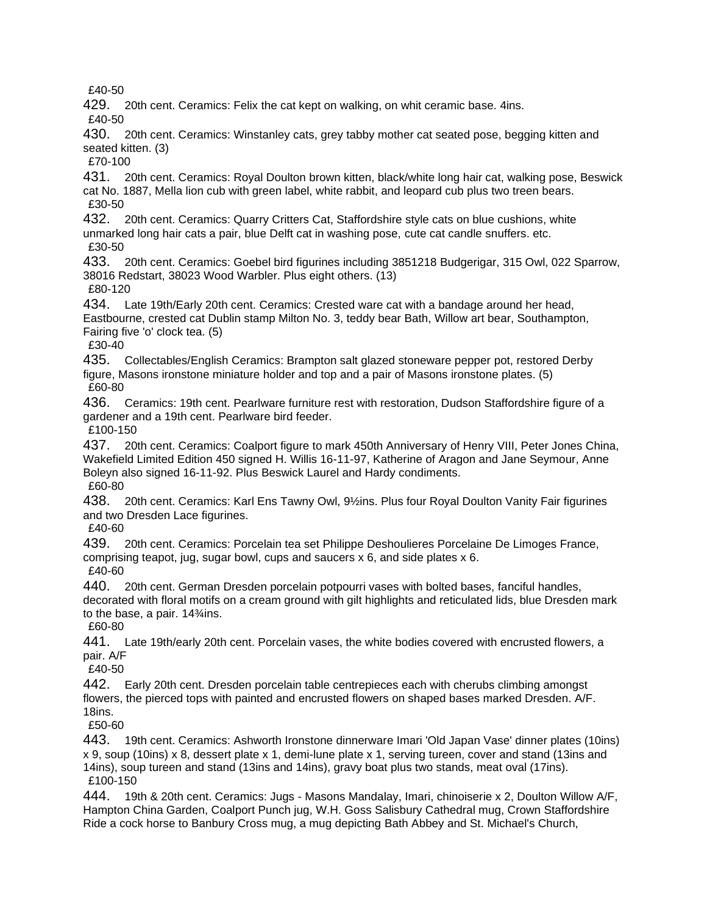£40-50

429. 20th cent. Ceramics: Felix the cat kept on walking, on whit ceramic base. 4ins.

£40-50

430. 20th cent. Ceramics: Winstanley cats, grey tabby mother cat seated pose, begging kitten and seated kitten. (3)

£70-100

431. 20th cent. Ceramics: Royal Doulton brown kitten, black/white long hair cat, walking pose, Beswick cat No. 1887, Mella lion cub with green label, white rabbit, and leopard cub plus two treen bears. £30-50

432. 20th cent. Ceramics: Quarry Critters Cat, Staffordshire style cats on blue cushions, white unmarked long hair cats a pair, blue Delft cat in washing pose, cute cat candle snuffers. etc. £30-50

433. 20th cent. Ceramics: Goebel bird figurines including 3851218 Budgerigar, 315 Owl, 022 Sparrow, 38016 Redstart, 38023 Wood Warbler. Plus eight others. (13) £80-120

434. Late 19th/Early 20th cent. Ceramics: Crested ware cat with a bandage around her head, Eastbourne, crested cat Dublin stamp Milton No. 3, teddy bear Bath, Willow art bear, Southampton, Fairing five 'o' clock tea. (5)

£30-40

435. Collectables/English Ceramics: Brampton salt glazed stoneware pepper pot, restored Derby figure, Masons ironstone miniature holder and top and a pair of Masons ironstone plates. (5) £60-80

436. Ceramics: 19th cent. Pearlware furniture rest with restoration, Dudson Staffordshire figure of a gardener and a 19th cent. Pearlware bird feeder.

£100-150

437. 20th cent. Ceramics: Coalport figure to mark 450th Anniversary of Henry VIII, Peter Jones China, Wakefield Limited Edition 450 signed H. Willis 16-11-97, Katherine of Aragon and Jane Seymour, Anne Boleyn also signed 16-11-92. Plus Beswick Laurel and Hardy condiments. £60-80

438. 20th cent. Ceramics: Karl Ens Tawny Owl, 9½ins. Plus four Royal Doulton Vanity Fair figurines and two Dresden Lace figurines.

£40-60

439. 20th cent. Ceramics: Porcelain tea set Philippe Deshoulieres Porcelaine De Limoges France, comprising teapot, jug, sugar bowl, cups and saucers x 6, and side plates x 6. £40-60

440. 20th cent. German Dresden porcelain potpourri vases with bolted bases, fanciful handles, decorated with floral motifs on a cream ground with gilt highlights and reticulated lids, blue Dresden mark to the base, a pair. 14¾ins.

£60-80

441. Late 19th/early 20th cent. Porcelain vases, the white bodies covered with encrusted flowers, a pair. A/F

£40-50

442. Early 20th cent. Dresden porcelain table centrepieces each with cherubs climbing amongst flowers, the pierced tops with painted and encrusted flowers on shaped bases marked Dresden. A/F. 18ins.

£50-60

443. 19th cent. Ceramics: Ashworth Ironstone dinnerware Imari 'Old Japan Vase' dinner plates (10ins) x 9, soup (10ins) x 8, dessert plate x 1, demi-lune plate x 1, serving tureen, cover and stand (13ins and 14ins), soup tureen and stand (13ins and 14ins), gravy boat plus two stands, meat oval (17ins). £100-150

444. 19th & 20th cent. Ceramics: Jugs - Masons Mandalay, Imari, chinoiserie x 2, Doulton Willow A/F, Hampton China Garden, Coalport Punch jug, W.H. Goss Salisbury Cathedral mug, Crown Staffordshire Ride a cock horse to Banbury Cross mug, a mug depicting Bath Abbey and St. Michael's Church,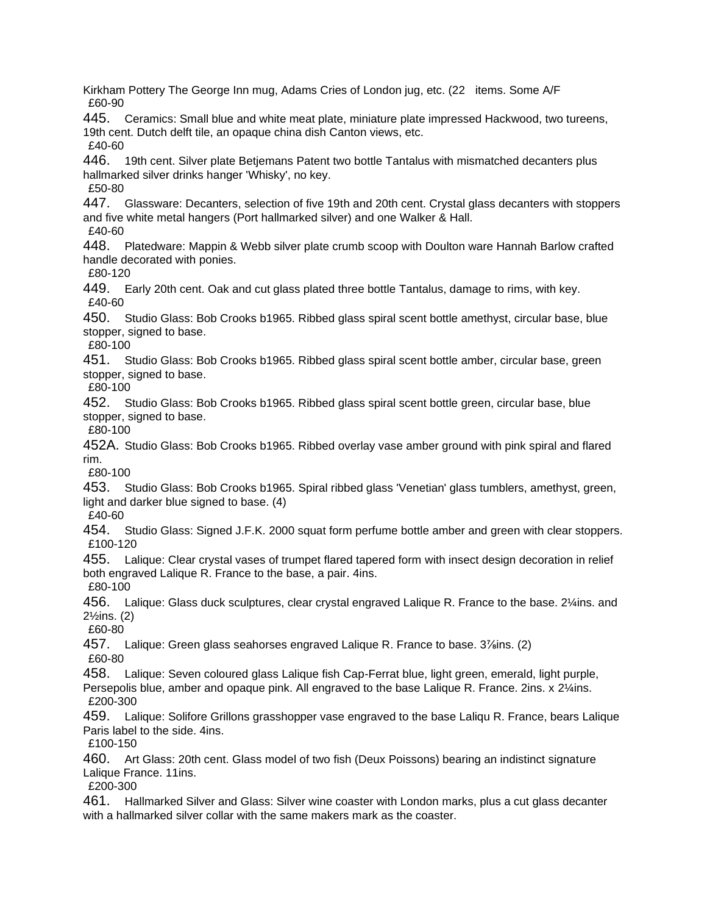Kirkham Pottery The George Inn mug, Adams Cries of London jug, etc. (22 items. Some A/F £60-90 445. Ceramics: Small blue and white meat plate, miniature plate impressed Hackwood, two tureens, 19th cent. Dutch delft tile, an opaque china dish Canton views, etc. £40-60 446. 19th cent. Silver plate Betjemans Patent two bottle Tantalus with mismatched decanters plus hallmarked silver drinks hanger 'Whisky', no key. £50-80 447. Glassware: Decanters, selection of five 19th and 20th cent. Crystal glass decanters with stoppers and five white metal hangers (Port hallmarked silver) and one Walker & Hall. £40-60 448. Platedware: Mappin & Webb silver plate crumb scoop with Doulton ware Hannah Barlow crafted handle decorated with ponies. £80-120 449. Early 20th cent. Oak and cut glass plated three bottle Tantalus, damage to rims, with key. £40-60 450. Studio Glass: Bob Crooks b1965. Ribbed glass spiral scent bottle amethyst, circular base, blue stopper, signed to base. £80-100 451. Studio Glass: Bob Crooks b1965. Ribbed glass spiral scent bottle amber, circular base, green stopper, signed to base. £80-100 452. Studio Glass: Bob Crooks b1965. Ribbed glass spiral scent bottle green, circular base, blue stopper, signed to base. £80-100 452A. Studio Glass: Bob Crooks b1965. Ribbed overlay vase amber ground with pink spiral and flared rim. £80-100 453. Studio Glass: Bob Crooks b1965. Spiral ribbed glass 'Venetian' glass tumblers, amethyst, green, light and darker blue signed to base. (4) £40-60 454. Studio Glass: Signed J.F.K. 2000 squat form perfume bottle amber and green with clear stoppers. £100-120 455. Lalique: Clear crystal vases of trumpet flared tapered form with insect design decoration in relief both engraved Lalique R. France to the base, a pair. 4ins. £80-100 456. Lalique: Glass duck sculptures, clear crystal engraved Lalique R. France to the base. 2¼ins. and 2½ins. (2) £60-80 457. Lalique: Green glass seahorses engraved Lalique R. France to base. 3<sup>7/s</sup>ins. (2) £60-80 458. Lalique: Seven coloured glass Lalique fish Cap-Ferrat blue, light green, emerald, light purple, Persepolis blue, amber and opaque pink. All engraved to the base Lalique R. France. 2ins. x 2¼ins. £200-300 459. Lalique: Solifore Grillons grasshopper vase engraved to the base Laliqu R. France, bears Lalique Paris label to the side. 4ins. £100-150 460. Art Glass: 20th cent. Glass model of two fish (Deux Poissons) bearing an indistinct signature Lalique France. 11ins. £200-300 461. Hallmarked Silver and Glass: Silver wine coaster with London marks, plus a cut glass decanter

with a hallmarked silver collar with the same makers mark as the coaster.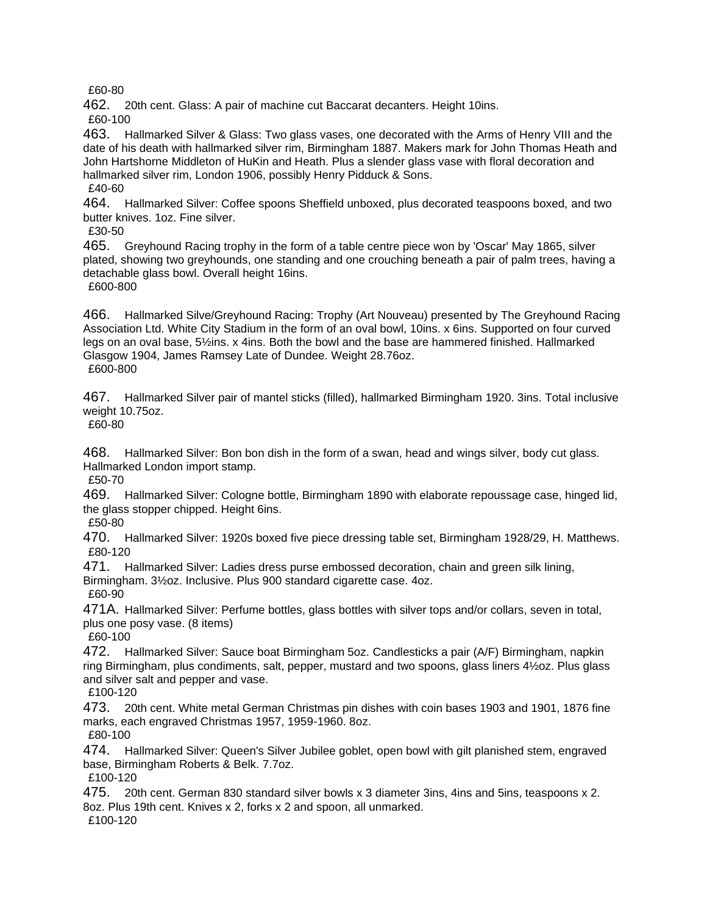£60-80

462. 20th cent. Glass: A pair of machine cut Baccarat decanters. Height 10ins.

£60-100

463. Hallmarked Silver & Glass: Two glass vases, one decorated with the Arms of Henry VIII and the date of his death with hallmarked silver rim, Birmingham 1887. Makers mark for John Thomas Heath and John Hartshorne Middleton of HuKin and Heath. Plus a slender glass vase with floral decoration and hallmarked silver rim, London 1906, possibly Henry Pidduck & Sons. £40-60

464. Hallmarked Silver: Coffee spoons Sheffield unboxed, plus decorated teaspoons boxed, and two butter knives. 1oz. Fine silver.

£30-50

465. Greyhound Racing trophy in the form of a table centre piece won by 'Oscar' May 1865, silver plated, showing two greyhounds, one standing and one crouching beneath a pair of palm trees, having a detachable glass bowl. Overall height 16ins.

£600-800

466. Hallmarked Silve/Greyhound Racing: Trophy (Art Nouveau) presented by The Greyhound Racing Association Ltd. White City Stadium in the form of an oval bowl, 10ins. x 6ins. Supported on four curved legs on an oval base, 5½ins. x 4ins. Both the bowl and the base are hammered finished. Hallmarked Glasgow 1904, James Ramsey Late of Dundee. Weight 28.76oz. £600-800

467. Hallmarked Silver pair of mantel sticks (filled), hallmarked Birmingham 1920. 3ins. Total inclusive weight 10.75oz.

£60-80

468. Hallmarked Silver: Bon bon dish in the form of a swan, head and wings silver, body cut glass. Hallmarked London import stamp.

£50-70

469. Hallmarked Silver: Cologne bottle, Birmingham 1890 with elaborate repoussage case, hinged lid, the glass stopper chipped. Height 6ins.

£50-80

470. Hallmarked Silver: 1920s boxed five piece dressing table set, Birmingham 1928/29, H. Matthews. £80-120

471. Hallmarked Silver: Ladies dress purse embossed decoration, chain and green silk lining, Birmingham. 3½oz. Inclusive. Plus 900 standard cigarette case. 4oz. £60-90

471A. Hallmarked Silver: Perfume bottles, glass bottles with silver tops and/or collars, seven in total, plus one posy vase. (8 items)

£60-100

472. Hallmarked Silver: Sauce boat Birmingham 5oz. Candlesticks a pair (A/F) Birmingham, napkin ring Birmingham, plus condiments, salt, pepper, mustard and two spoons, glass liners 4½oz. Plus glass and silver salt and pepper and vase.

£100-120

473. 20th cent. White metal German Christmas pin dishes with coin bases 1903 and 1901, 1876 fine marks, each engraved Christmas 1957, 1959-1960. 8oz.

£80-100

474. Hallmarked Silver: Queen's Silver Jubilee goblet, open bowl with gilt planished stem, engraved base, Birmingham Roberts & Belk. 7.7oz.

£100-120

475. 20th cent. German 830 standard silver bowls x 3 diameter 3ins, 4ins and 5ins, teaspoons x 2. 8oz. Plus 19th cent. Knives x 2, forks x 2 and spoon, all unmarked.

£100-120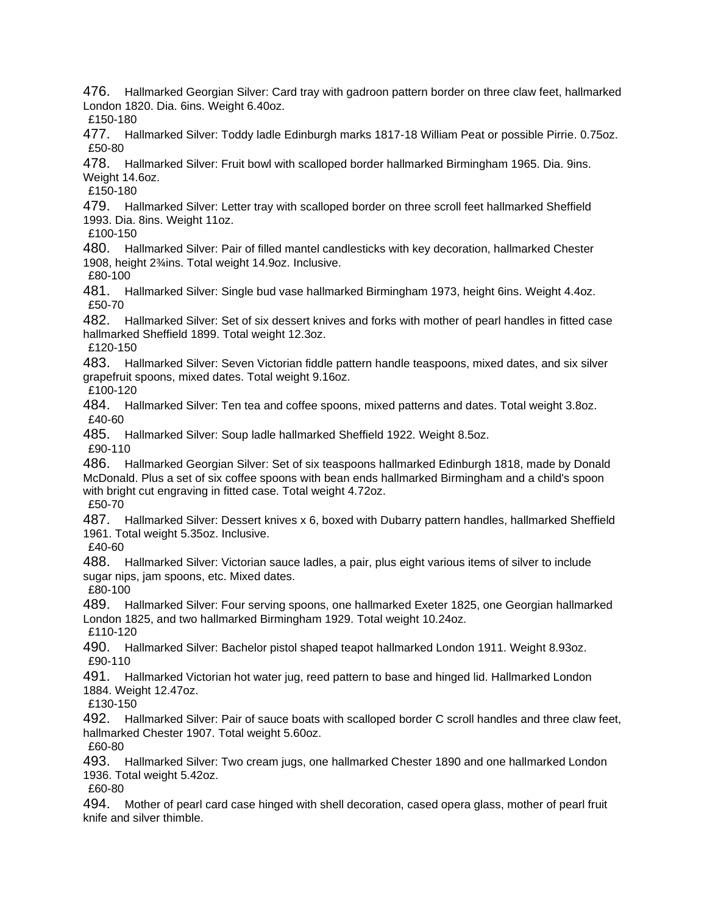476. Hallmarked Georgian Silver: Card tray with gadroon pattern border on three claw feet, hallmarked London 1820. Dia. 6ins. Weight 6.40oz.

£150-180

477. Hallmarked Silver: Toddy ladle Edinburgh marks 1817-18 William Peat or possible Pirrie. 0.75oz. £50-80

478. Hallmarked Silver: Fruit bowl with scalloped border hallmarked Birmingham 1965. Dia. 9ins. Weight 14.6oz.

£150-180

479. Hallmarked Silver: Letter tray with scalloped border on three scroll feet hallmarked Sheffield 1993. Dia. 8ins. Weight 11oz.

£100-150

480. Hallmarked Silver: Pair of filled mantel candlesticks with key decoration, hallmarked Chester 1908, height 2¾ins. Total weight 14.9oz. Inclusive.

£80-100

481. Hallmarked Silver: Single bud vase hallmarked Birmingham 1973, height 6ins. Weight 4.4oz. £50-70

482. Hallmarked Silver: Set of six dessert knives and forks with mother of pearl handles in fitted case hallmarked Sheffield 1899. Total weight 12.3oz.

£120-150

483. Hallmarked Silver: Seven Victorian fiddle pattern handle teaspoons, mixed dates, and six silver grapefruit spoons, mixed dates. Total weight 9.16oz.

£100-120

484. Hallmarked Silver: Ten tea and coffee spoons, mixed patterns and dates. Total weight 3.8oz. £40-60

485. Hallmarked Silver: Soup ladle hallmarked Sheffield 1922. Weight 8.5oz.

£90-110

486. Hallmarked Georgian Silver: Set of six teaspoons hallmarked Edinburgh 1818, made by Donald McDonald. Plus a set of six coffee spoons with bean ends hallmarked Birmingham and a child's spoon with bright cut engraving in fitted case. Total weight 4.72oz.

£50-70

487. Hallmarked Silver: Dessert knives x 6, boxed with Dubarry pattern handles, hallmarked Sheffield 1961. Total weight 5.35oz. Inclusive.

£40-60

488. Hallmarked Silver: Victorian sauce ladles, a pair, plus eight various items of silver to include sugar nips, jam spoons, etc. Mixed dates.

£80-100

489. Hallmarked Silver: Four serving spoons, one hallmarked Exeter 1825, one Georgian hallmarked London 1825, and two hallmarked Birmingham 1929. Total weight 10.24oz. £110-120

490. Hallmarked Silver: Bachelor pistol shaped teapot hallmarked London 1911. Weight 8.93oz. £90-110

491. Hallmarked Victorian hot water jug, reed pattern to base and hinged lid. Hallmarked London 1884. Weight 12.47oz.

£130-150

492. Hallmarked Silver: Pair of sauce boats with scalloped border C scroll handles and three claw feet, hallmarked Chester 1907. Total weight 5.60oz.

£60-80

493. Hallmarked Silver: Two cream jugs, one hallmarked Chester 1890 and one hallmarked London 1936. Total weight 5.42oz.

£60-80

494. Mother of pearl card case hinged with shell decoration, cased opera glass, mother of pearl fruit knife and silver thimble.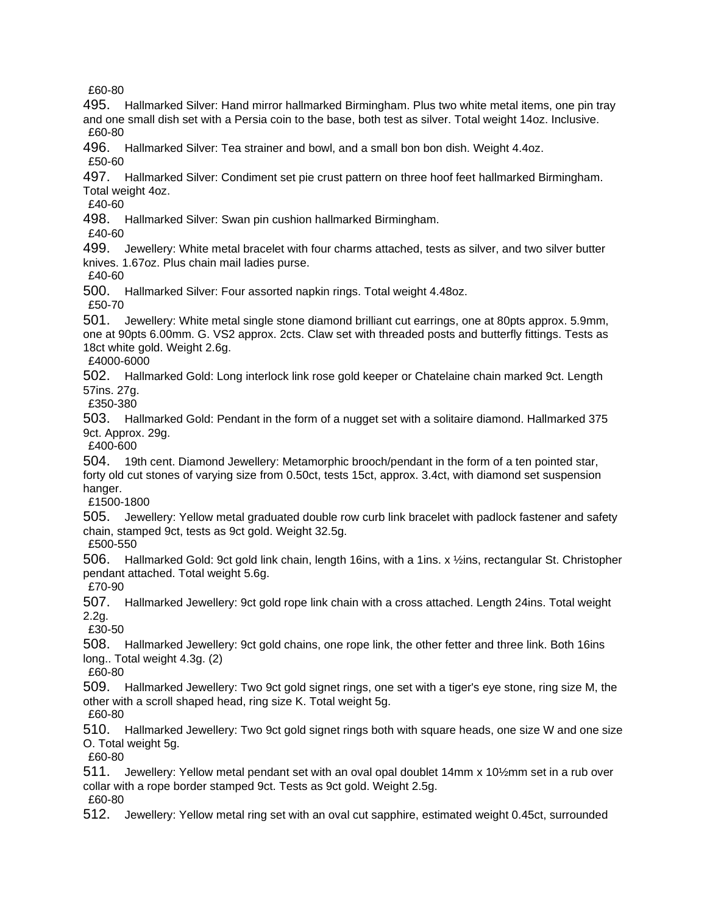£60-80

495. Hallmarked Silver: Hand mirror hallmarked Birmingham. Plus two white metal items, one pin tray and one small dish set with a Persia coin to the base, both test as silver. Total weight 14oz. Inclusive. £60-80

496. Hallmarked Silver: Tea strainer and bowl, and a small bon bon dish. Weight 4.4oz.

£50-60

497. Hallmarked Silver: Condiment set pie crust pattern on three hoof feet hallmarked Birmingham. Total weight 4oz.

£40-60

498. Hallmarked Silver: Swan pin cushion hallmarked Birmingham.

£40-60

499. Jewellery: White metal bracelet with four charms attached, tests as silver, and two silver butter knives. 1.67oz. Plus chain mail ladies purse.

£40-60

500. Hallmarked Silver: Four assorted napkin rings. Total weight 4.48oz.

£50-70

501. Jewellery: White metal single stone diamond brilliant cut earrings, one at 80pts approx. 5.9mm, one at 90pts 6.00mm. G. VS2 approx. 2cts. Claw set with threaded posts and butterfly fittings. Tests as 18ct white gold. Weight 2.6g.

£4000-6000

502. Hallmarked Gold: Long interlock link rose gold keeper or Chatelaine chain marked 9ct. Length 57ins. 27g.

£350-380

503. Hallmarked Gold: Pendant in the form of a nugget set with a solitaire diamond. Hallmarked 375 9ct. Approx. 29g.

£400-600

504. 19th cent. Diamond Jewellery: Metamorphic brooch/pendant in the form of a ten pointed star, forty old cut stones of varying size from 0.50ct, tests 15ct, approx. 3.4ct, with diamond set suspension hanger.

£1500-1800

505. Jewellery: Yellow metal graduated double row curb link bracelet with padlock fastener and safety chain, stamped 9ct, tests as 9ct gold. Weight 32.5g.

£500-550

506. Hallmarked Gold: 9ct gold link chain, length 16ins, with a 1ins. x ½ins, rectangular St. Christopher pendant attached. Total weight 5.6g.

£70-90

507. Hallmarked Jewellery: 9ct gold rope link chain with a cross attached. Length 24ins. Total weight 2.2g.

£30-50

508. Hallmarked Jewellery: 9ct gold chains, one rope link, the other fetter and three link. Both 16ins long.. Total weight 4.3g. (2)

£60-80

509. Hallmarked Jewellery: Two 9ct gold signet rings, one set with a tiger's eye stone, ring size M, the other with a scroll shaped head, ring size K. Total weight 5g.

£60-80

510. Hallmarked Jewellery: Two 9ct gold signet rings both with square heads, one size W and one size O. Total weight 5g.

£60-80

511. Jewellery: Yellow metal pendant set with an oval opal doublet 14mm x 10½mm set in a rub over collar with a rope border stamped 9ct. Tests as 9ct gold. Weight 2.5g. £60-80

512. Jewellery: Yellow metal ring set with an oval cut sapphire, estimated weight 0.45ct, surrounded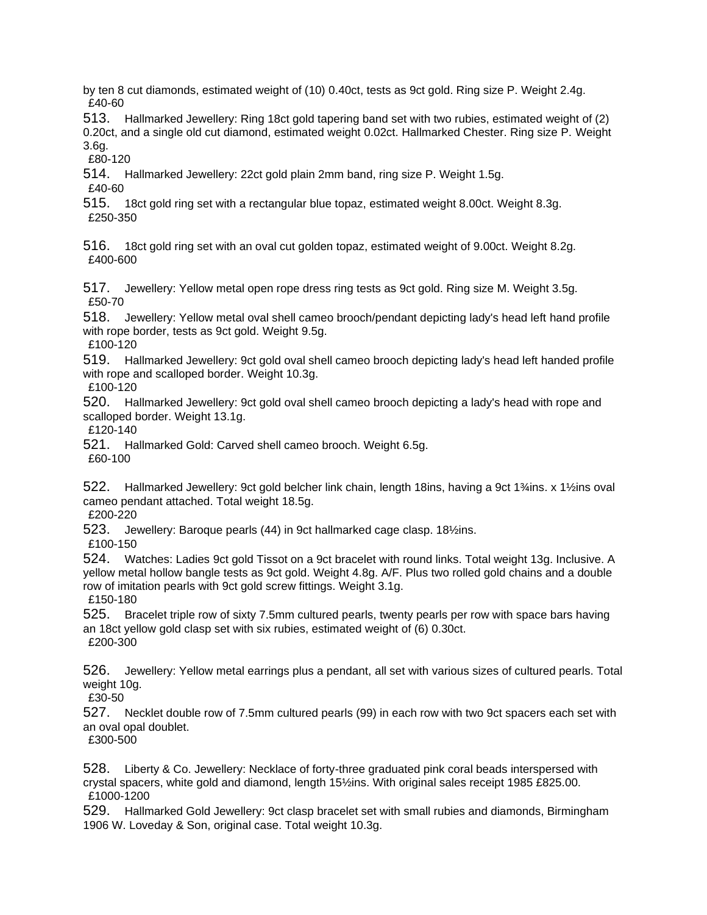by ten 8 cut diamonds, estimated weight of (10) 0.40ct, tests as 9ct gold. Ring size P. Weight 2.4g. £40-60

513. Hallmarked Jewellery: Ring 18ct gold tapering band set with two rubies, estimated weight of (2) 0.20ct, and a single old cut diamond, estimated weight 0.02ct. Hallmarked Chester. Ring size P. Weight 3.6g.

£80-120

514. Hallmarked Jewellery: 22ct gold plain 2mm band, ring size P. Weight 1.5g. £40-60

515. 18ct gold ring set with a rectangular blue topaz, estimated weight 8.00ct. Weight 8.3g. £250-350

516. 18ct gold ring set with an oval cut golden topaz, estimated weight of 9.00ct. Weight 8.2g. £400-600

517. Jewellery: Yellow metal open rope dress ring tests as 9ct gold. Ring size M. Weight 3.5g. £50-70

518. Jewellery: Yellow metal oval shell cameo brooch/pendant depicting lady's head left hand profile with rope border, tests as 9ct gold. Weight 9.5g.

£100-120

519. Hallmarked Jewellery: 9ct gold oval shell cameo brooch depicting lady's head left handed profile with rope and scalloped border. Weight 10.3g.

£100-120

520. Hallmarked Jewellery: 9ct gold oval shell cameo brooch depicting a lady's head with rope and scalloped border. Weight 13.1g.

£120-140

521. Hallmarked Gold: Carved shell cameo brooch. Weight 6.5g.

£60-100

522. Hallmarked Jewellery: 9ct gold belcher link chain, length 18ins, having a 9ct 1¾ins. x 1½ins oval cameo pendant attached. Total weight 18.5g.

£200-220

523. Jewellery: Baroque pearls (44) in 9ct hallmarked cage clasp. 18½ins.

£100-150

524. Watches: Ladies 9ct gold Tissot on a 9ct bracelet with round links. Total weight 13g. Inclusive. A yellow metal hollow bangle tests as 9ct gold. Weight 4.8g. A/F. Plus two rolled gold chains and a double row of imitation pearls with 9ct gold screw fittings. Weight 3.1g.

£150-180

525. Bracelet triple row of sixty 7.5mm cultured pearls, twenty pearls per row with space bars having an 18ct yellow gold clasp set with six rubies, estimated weight of (6) 0.30ct. £200-300

526. Jewellery: Yellow metal earrings plus a pendant, all set with various sizes of cultured pearls. Total weight 10g.

£30-50

527. Necklet double row of 7.5mm cultured pearls (99) in each row with two 9ct spacers each set with an oval opal doublet.

£300-500

528. Liberty & Co. Jewellery: Necklace of forty-three graduated pink coral beads interspersed with crystal spacers, white gold and diamond, length 15½ins. With original sales receipt 1985 £825.00. £1000-1200

529. Hallmarked Gold Jewellery: 9ct clasp bracelet set with small rubies and diamonds, Birmingham 1906 W. Loveday & Son, original case. Total weight 10.3g.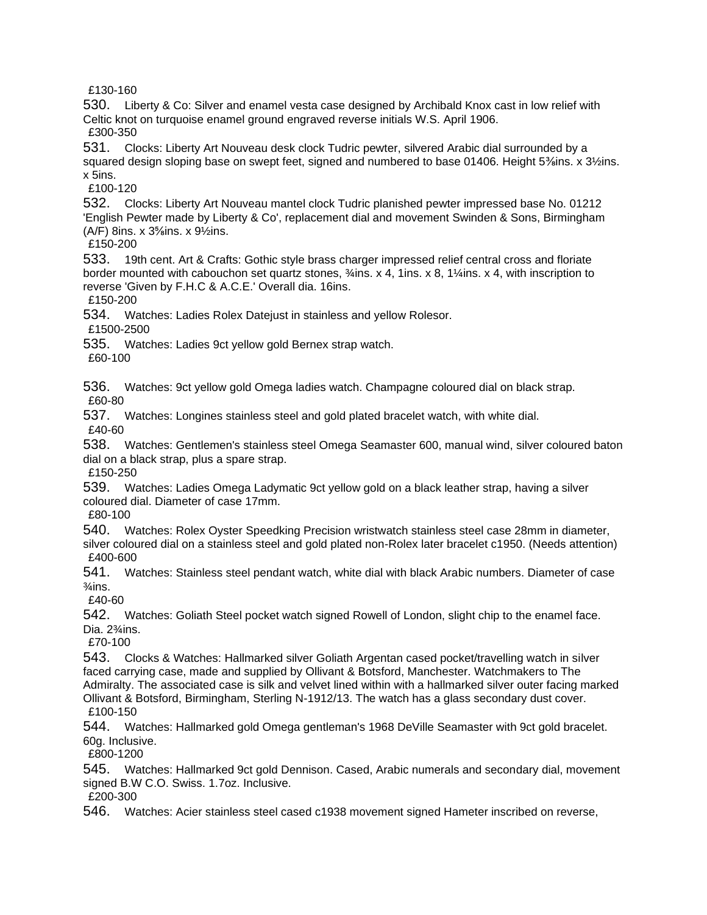£130-160

530. Liberty & Co: Silver and enamel vesta case designed by Archibald Knox cast in low relief with Celtic knot on turquoise enamel ground engraved reverse initials W.S. April 1906. £300-350

531. Clocks: Liberty Art Nouveau desk clock Tudric pewter, silvered Arabic dial surrounded by a squared design sloping base on swept feet, signed and numbered to base 01406. Height 5<sup>3</sup>/sins. x 3½ins. x 5ins.

£100-120

532. Clocks: Liberty Art Nouveau mantel clock Tudric planished pewter impressed base No. 01212 'English Pewter made by Liberty & Co', replacement dial and movement Swinden & Sons, Birmingham  $(A/F)$  8ins. x 3<sup>5</sup>/<sub>8</sub>ins. x 9<sup>1</sup>/<sub>2</sub>ins.

£150-200

533. 19th cent. Art & Crafts: Gothic style brass charger impressed relief central cross and floriate border mounted with cabouchon set quartz stones, ¾ins. x 4, 1ins. x 8, 1¼ins. x 4, with inscription to reverse 'Given by F.H.C & A.C.E.' Overall dia. 16ins.

£150-200

534. Watches: Ladies Rolex Datejust in stainless and yellow Rolesor.

£1500-2500

535. Watches: Ladies 9ct yellow gold Bernex strap watch.

£60-100

536. Watches: 9ct yellow gold Omega ladies watch. Champagne coloured dial on black strap. £60-80

537. Watches: Longines stainless steel and gold plated bracelet watch, with white dial. £40-60

538. Watches: Gentlemen's stainless steel Omega Seamaster 600, manual wind, silver coloured baton dial on a black strap, plus a spare strap.

£150-250

539. Watches: Ladies Omega Ladymatic 9ct yellow gold on a black leather strap, having a silver coloured dial. Diameter of case 17mm.

£80-100

540. Watches: Rolex Oyster Speedking Precision wristwatch stainless steel case 28mm in diameter, silver coloured dial on a stainless steel and gold plated non-Rolex later bracelet c1950. (Needs attention) £400-600

541. Watches: Stainless steel pendant watch, white dial with black Arabic numbers. Diameter of case  $\frac{3}{4}$ ins.

£40-60

542. Watches: Goliath Steel pocket watch signed Rowell of London, slight chip to the enamel face. Dia. 2<sup>3</sup>/<sub>4</sub>ins.

£70-100

543. Clocks & Watches: Hallmarked silver Goliath Argentan cased pocket/travelling watch in silver faced carrying case, made and supplied by Ollivant & Botsford, Manchester. Watchmakers to The Admiralty. The associated case is silk and velvet lined within with a hallmarked silver outer facing marked Ollivant & Botsford, Birmingham, Sterling N-1912/13. The watch has a glass secondary dust cover. £100-150

544. Watches: Hallmarked gold Omega gentleman's 1968 DeVille Seamaster with 9ct gold bracelet. 60g. Inclusive.

£800-1200

545. Watches: Hallmarked 9ct gold Dennison. Cased, Arabic numerals and secondary dial, movement signed B.W C.O. Swiss. 1.7oz. Inclusive.

£200-300

546. Watches: Acier stainless steel cased c1938 movement signed Hameter inscribed on reverse,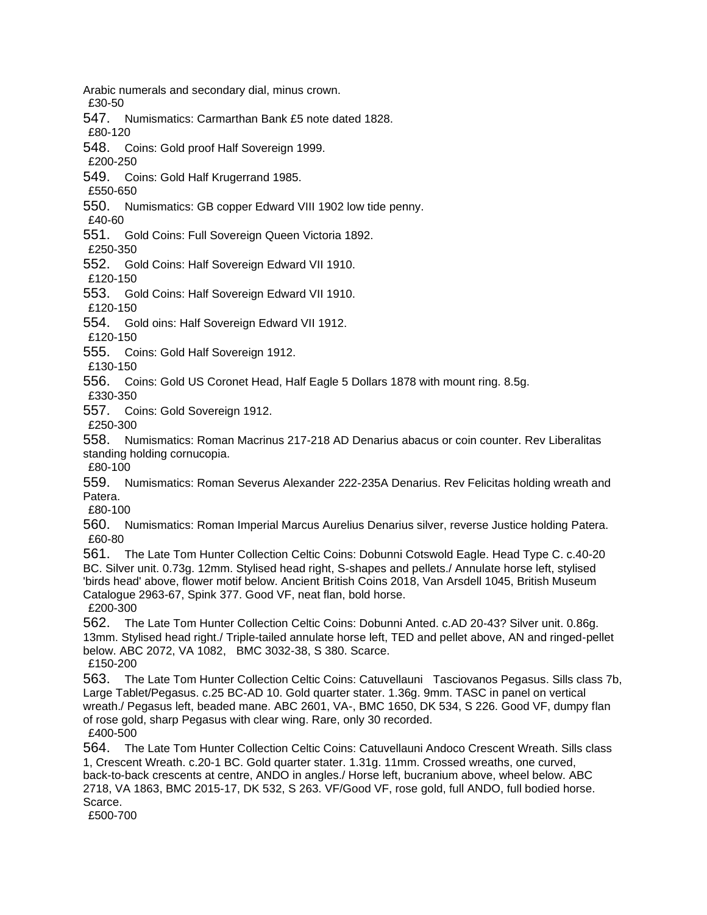Arabic numerals and secondary dial, minus crown.

£30-50

547. Numismatics: Carmarthan Bank £5 note dated 1828.

£80-120

548. Coins: Gold proof Half Sovereign 1999.

£200-250

549. Coins: Gold Half Krugerrand 1985.

£550-650

550. Numismatics: GB copper Edward VIII 1902 low tide penny.

£40-60

551. Gold Coins: Full Sovereign Queen Victoria 1892.

£250-350

552. Gold Coins: Half Sovereign Edward VII 1910.

£120-150

553. Gold Coins: Half Sovereign Edward VII 1910.

£120-150

554. Gold oins: Half Sovereign Edward VII 1912.

£120-150

555. Coins: Gold Half Sovereign 1912.

£130-150

556. Coins: Gold US Coronet Head, Half Eagle 5 Dollars 1878 with mount ring. 8.5g. £330-350

557. Coins: Gold Sovereign 1912.

£250-300

558. Numismatics: Roman Macrinus 217-218 AD Denarius abacus or coin counter. Rev Liberalitas standing holding cornucopia.

£80-100

559. Numismatics: Roman Severus Alexander 222-235A Denarius. Rev Felicitas holding wreath and Patera.

£80-100

560. Numismatics: Roman Imperial Marcus Aurelius Denarius silver, reverse Justice holding Patera. £60-80

561. The Late Tom Hunter Collection Celtic Coins: Dobunni Cotswold Eagle. Head Type C. c.40-20 BC. Silver unit. 0.73g. 12mm. Stylised head right, S-shapes and pellets./ Annulate horse left, stylised 'birds head' above, flower motif below. Ancient British Coins 2018, Van Arsdell 1045, British Museum Catalogue 2963-67, Spink 377. Good VF, neat flan, bold horse.

£200-300

562. The Late Tom Hunter Collection Celtic Coins: Dobunni Anted. c.AD 20-43? Silver unit. 0.86g. 13mm. Stylised head right./ Triple-tailed annulate horse left, TED and pellet above, AN and ringed-pellet below. ABC 2072, VA 1082, BMC 3032-38, S 380. Scarce. £150-200

563. The Late Tom Hunter Collection Celtic Coins: Catuvellauni Tasciovanos Pegasus. Sills class 7b, Large Tablet/Pegasus. c.25 BC-AD 10. Gold quarter stater. 1.36g. 9mm. TASC in panel on vertical wreath./ Pegasus left, beaded mane. ABC 2601, VA-, BMC 1650, DK 534, S 226. Good VF, dumpy flan of rose gold, sharp Pegasus with clear wing. Rare, only 30 recorded. £400-500

564. The Late Tom Hunter Collection Celtic Coins: Catuvellauni Andoco Crescent Wreath. Sills class 1, Crescent Wreath. c.20-1 BC. Gold quarter stater. 1.31g. 11mm. Crossed wreaths, one curved, back-to-back crescents at centre, ANDO in angles./ Horse left, bucranium above, wheel below. ABC 2718, VA 1863, BMC 2015-17, DK 532, S 263. VF/Good VF, rose gold, full ANDO, full bodied horse. Scarce.

£500-700